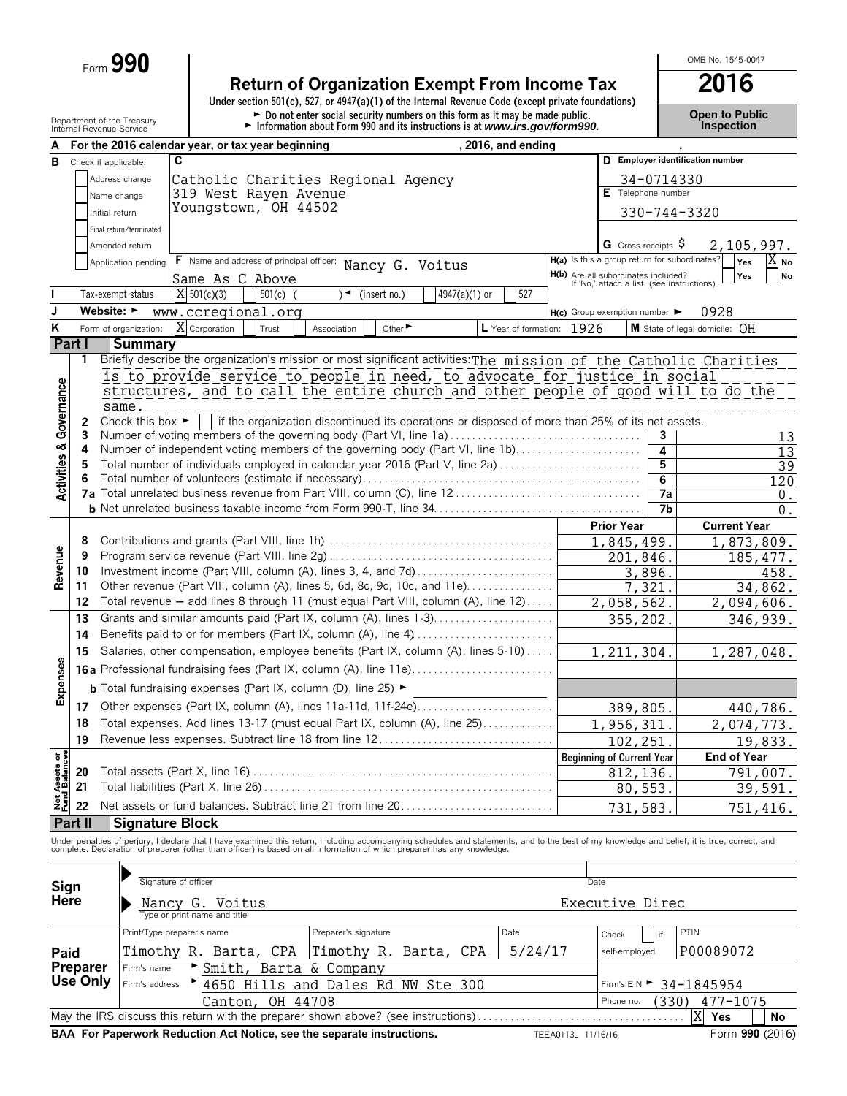Form **990**

# **Return of Organization Exempt From Income Tax**<br>
Under section 501(c), 527, or 4947(a)(1) of the Internal Revenue Code (except private foundations)

Department of the Treasury **Depen to Public**<br>Internal Revenue Service **Connect of the Connect of the Connect of the Connect of the Internal Revenue Service Connection** 

OMB No. 1545-0047

| А                                                 |                |                                      | , 2016, and ending<br>For the 2016 calendar year, or tax year beginning                                                                                                                                                           |                                                                                   |                             |            |                                        |
|---------------------------------------------------|----------------|--------------------------------------|-----------------------------------------------------------------------------------------------------------------------------------------------------------------------------------------------------------------------------------|-----------------------------------------------------------------------------------|-----------------------------|------------|----------------------------------------|
| в                                                 |                | Check if applicable:                 | C                                                                                                                                                                                                                                 |                                                                                   |                             |            | D Employer identification number       |
|                                                   |                | Address change                       | Catholic Charities Regional Agency                                                                                                                                                                                                |                                                                                   |                             | 34-0714330 |                                        |
|                                                   |                | Name change                          | 319 West Rayen Avenue                                                                                                                                                                                                             |                                                                                   | E Telephone number          |            |                                        |
|                                                   |                | Initial return                       | Youngstown, OH 44502                                                                                                                                                                                                              |                                                                                   |                             |            | 330-744-3320                           |
|                                                   |                | Final return/terminated              |                                                                                                                                                                                                                                   |                                                                                   |                             |            |                                        |
|                                                   |                | Amended return                       |                                                                                                                                                                                                                                   |                                                                                   | G Gross receipts $\sqrt{5}$ |            |                                        |
|                                                   |                | Application pending                  |                                                                                                                                                                                                                                   | H(a) Is this a group return for subordinates?                                     |                             |            | 2,105,997.<br>Yes<br><b>No</b>         |
|                                                   |                |                                      | F Name and address of principal officer: Nancy G. Voitus<br>Same As C Above                                                                                                                                                       |                                                                                   |                             |            | Yes<br><b>No</b>                       |
|                                                   |                | Tax-exempt status                    | $X$ 501(c)(3)<br>$501(c)$ (<br>$\sqrt{ }$ (insert no.)<br>4947(a)(1) or<br>527                                                                                                                                                    | H(b) Are all subordinates included?<br>If 'No,' attach a list. (see instructions) |                             |            |                                        |
| J                                                 |                | Website: ►                           |                                                                                                                                                                                                                                   | $H(c)$ Group exemption number $\blacktriangleright$                               |                             |            |                                        |
| Κ                                                 |                | Form of organization:                | www.ccregional.org<br>X Corporation<br>Other $\blacktriangleright$<br>Trust<br>Association                                                                                                                                        |                                                                                   |                             |            | 0928<br>M State of legal domicile: OH  |
|                                                   | Part I         |                                      | L Year of formation: 1926                                                                                                                                                                                                         |                                                                                   |                             |            |                                        |
|                                                   | 1.             | <b>Summary</b>                       | Briefly describe the organization's mission or most significant activities: The mission of the Catholic Charities                                                                                                                 |                                                                                   |                             |            |                                        |
|                                                   |                |                                      | is to provide service to people in need, to advocate for justice in social                                                                                                                                                        |                                                                                   |                             |            |                                        |
| Governance                                        |                |                                      | structures, and to call the entire church and other people of good will to do the                                                                                                                                                 |                                                                                   |                             |            |                                        |
|                                                   |                | same.                                |                                                                                                                                                                                                                                   |                                                                                   |                             |            |                                        |
|                                                   | 2              | Check this box $\blacktriangleright$ | if the organization discontinued its operations or disposed of more than 25% of its net assets.                                                                                                                                   |                                                                                   |                             |            |                                        |
|                                                   | 3              |                                      | Number of voting members of the governing body (Part VI, line 1a)                                                                                                                                                                 |                                                                                   |                             | 3          | 13                                     |
|                                                   | 4              |                                      | Number of independent voting members of the governing body (Part VI, line 1b)                                                                                                                                                     |                                                                                   |                             | 4          | 13                                     |
|                                                   | 5              |                                      | Total number of individuals employed in calendar year 2016 (Part V, line 2a)                                                                                                                                                      |                                                                                   |                             | 5          | 39                                     |
| <b>Activities &amp;</b>                           | 6              |                                      |                                                                                                                                                                                                                                   |                                                                                   |                             | 6          | $\overline{120}$                       |
|                                                   |                |                                      |                                                                                                                                                                                                                                   |                                                                                   |                             | 7a<br>7b   | 0.                                     |
|                                                   |                |                                      |                                                                                                                                                                                                                                   |                                                                                   | <b>Prior Year</b>           |            | 0.<br><b>Current Year</b>              |
|                                                   | 8              |                                      |                                                                                                                                                                                                                                   |                                                                                   |                             |            |                                        |
|                                                   | 9              |                                      |                                                                                                                                                                                                                                   |                                                                                   | 1,845,499.<br>201,846.      |            | 1,873,809.<br>185, 477.                |
| Revenue                                           | 10             |                                      |                                                                                                                                                                                                                                   |                                                                                   |                             | 3,896.     | 458.                                   |
|                                                   | 11             |                                      | Other revenue (Part VIII, column (A), lines 5, 6d, 8c, 9c, 10c, and 11e)                                                                                                                                                          |                                                                                   | 7,321                       |            | 34,862.                                |
|                                                   | 12             |                                      | Total revenue - add lines 8 through 11 (must equal Part VIII, column (A), line 12)                                                                                                                                                |                                                                                   | 2,058,562.                  |            | 2,094,606.                             |
|                                                   | 13             |                                      | Grants and similar amounts paid (Part IX, column (A), lines 1-3)                                                                                                                                                                  |                                                                                   | 355,202.                    |            | 346,939.                               |
|                                                   | 14             |                                      | Benefits paid to or for members (Part IX, column (A), line 4)                                                                                                                                                                     |                                                                                   |                             |            |                                        |
|                                                   | 15             |                                      | Salaries, other compensation, employee benefits (Part IX, column (A), lines 5-10)                                                                                                                                                 |                                                                                   | 1,211,304.                  |            | 1,287,048.                             |
| Expenses                                          |                |                                      |                                                                                                                                                                                                                                   |                                                                                   |                             |            |                                        |
|                                                   |                |                                      | <b>b</b> Total fundraising expenses (Part IX, column (D), line 25) $\blacktriangleright$                                                                                                                                          |                                                                                   |                             |            |                                        |
|                                                   | 17             |                                      | Other expenses (Part IX, column (A), lines 11a-11d, 11f-24e)                                                                                                                                                                      |                                                                                   |                             |            |                                        |
|                                                   | 18             |                                      | Total expenses. Add lines 13-17 (must equal Part IX, column (A), line 25)                                                                                                                                                         |                                                                                   | 389,805.<br>1,956,311.      |            | 440,786.                               |
|                                                   | 19             |                                      | Revenue less expenses. Subtract line 18 from line 12                                                                                                                                                                              |                                                                                   |                             |            | 2,074,773.                             |
|                                                   |                |                                      |                                                                                                                                                                                                                                   |                                                                                   | 102,251                     |            | 19,833.<br>End of Year                 |
|                                                   | 20             |                                      |                                                                                                                                                                                                                                   | Beginning of Current Year                                                         | <u>812,136.</u>             |            | 791,007.                               |
|                                                   | 21             |                                      |                                                                                                                                                                                                                                   |                                                                                   | 80,553.                     |            | 39,591.                                |
| <b>Net Assets or<br/>Fund Balances</b>            | 22             |                                      | Net assets or fund balances. Subtract line 21 from line 20                                                                                                                                                                        |                                                                                   |                             |            |                                        |
|                                                   | <b>Part II</b> | <b>Signature Block</b>               |                                                                                                                                                                                                                                   |                                                                                   | 731,583.                    |            | 751,416.                               |
|                                                   |                |                                      |                                                                                                                                                                                                                                   |                                                                                   |                             |            |                                        |
|                                                   |                |                                      | Under penalties of perjury, I declare that I have examined this return, including accompanying schedules and statements, and to the best of my knowledge and belief, it is true, correct, and<br>complete. Declaration of prepare |                                                                                   |                             |            |                                        |
|                                                   |                |                                      |                                                                                                                                                                                                                                   |                                                                                   |                             |            |                                        |
|                                                   |                |                                      | Signature of officer                                                                                                                                                                                                              | Date                                                                              |                             |            |                                        |
| Sign<br>Here                                      |                |                                      | Nancy G. Voitus                                                                                                                                                                                                                   | Executive Direc                                                                   |                             |            |                                        |
|                                                   |                |                                      | Type or print name and title                                                                                                                                                                                                      |                                                                                   |                             |            |                                        |
|                                                   |                |                                      | Print/Type preparer's name<br>Preparer's signature<br>Date                                                                                                                                                                        |                                                                                   | Check                       | if         | PTIN                                   |
| Paid                                              |                |                                      | Timothy R. Barta, CPA<br>5/24/17<br>Timothy R. Barta, CPA                                                                                                                                                                         |                                                                                   | self-employed               |            | P00089072                              |
| Preparer<br>Firm's name<br>Smith, Barta & Company |                |                                      |                                                                                                                                                                                                                                   |                                                                                   |                             |            |                                        |
|                                                   | Use Only       | Firm's address                       | * 4650 Hills and Dales Rd NW Ste 300                                                                                                                                                                                              |                                                                                   |                             |            | Firm's EIN $\triangleright$ 34-1845954 |
|                                                   |                |                                      | OH 44708<br>Canton,                                                                                                                                                                                                               |                                                                                   | Phone no.                   | (330)      | 477-1075                               |
|                                                   |                |                                      | May the IRS discuss this return with the preparer shown above? (see instructions)                                                                                                                                                 |                                                                                   |                             |            | X<br>Yes<br>No                         |
|                                                   |                |                                      | BAA For Paperwork Reduction Act Notice, see the separate instructions.                                                                                                                                                            | TEEA0113L 11/16/16                                                                |                             |            | Form 990 (2016)                        |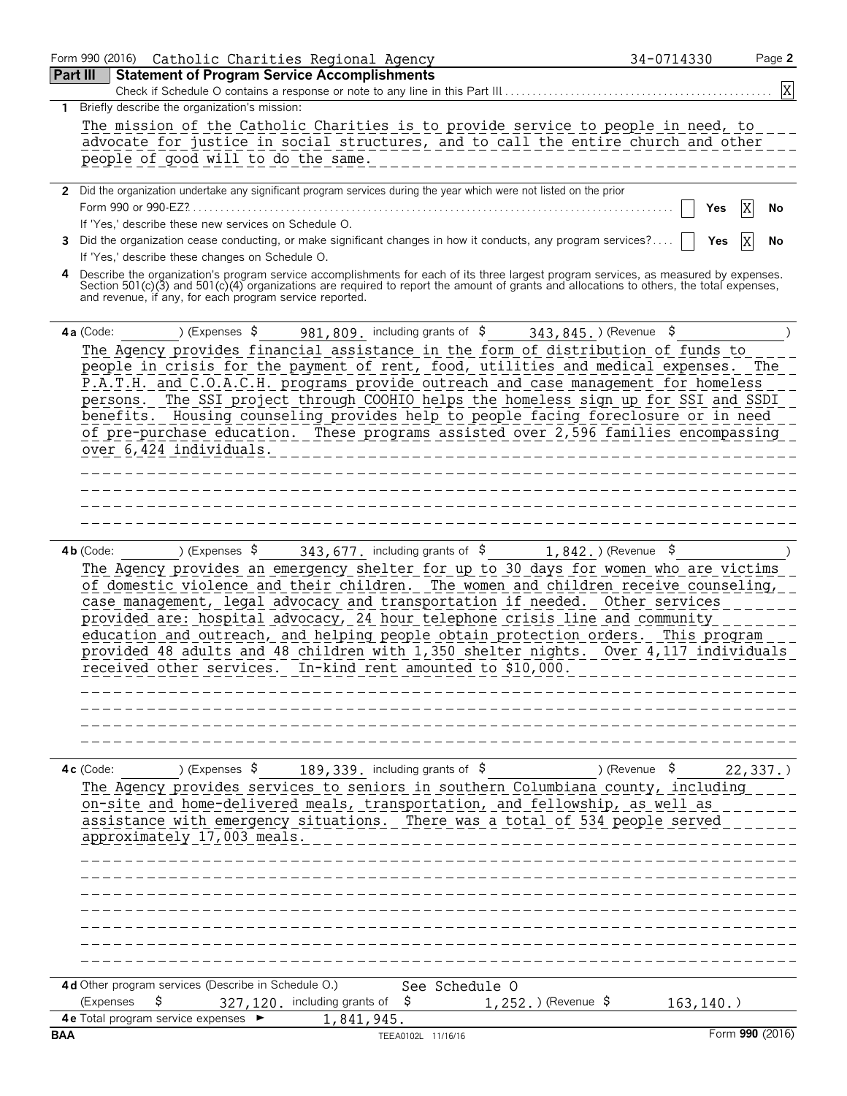| Form 990 (2016) Catholic Charities Regional Agency                                                                                                                                                                                                                                                                                                                                                                                                                                                                                                                                                                       |                                                                         | 34-0714330               | Page 2   |
|--------------------------------------------------------------------------------------------------------------------------------------------------------------------------------------------------------------------------------------------------------------------------------------------------------------------------------------------------------------------------------------------------------------------------------------------------------------------------------------------------------------------------------------------------------------------------------------------------------------------------|-------------------------------------------------------------------------|--------------------------|----------|
| <b>Statement of Program Service Accomplishments</b><br><b>Part III</b><br>Check if Schedule O contains a response or note to any line in this Part III                                                                                                                                                                                                                                                                                                                                                                                                                                                                   |                                                                         |                          | X        |
| Briefly describe the organization's mission:<br>1                                                                                                                                                                                                                                                                                                                                                                                                                                                                                                                                                                        |                                                                         |                          |          |
| The mission of the Catholic Charities is to provide service to people in need, to                                                                                                                                                                                                                                                                                                                                                                                                                                                                                                                                        |                                                                         |                          |          |
| advocate for justice in social structures, and to call the entire church and other                                                                                                                                                                                                                                                                                                                                                                                                                                                                                                                                       |                                                                         |                          |          |
| people of good will to do the same.                                                                                                                                                                                                                                                                                                                                                                                                                                                                                                                                                                                      |                                                                         |                          |          |
| 2 Did the organization undertake any significant program services during the year which were not listed on the prior                                                                                                                                                                                                                                                                                                                                                                                                                                                                                                     |                                                                         |                          |          |
| Form 990 or 990-EZ?                                                                                                                                                                                                                                                                                                                                                                                                                                                                                                                                                                                                      |                                                                         | Yes                      | No       |
| If 'Yes,' describe these new services on Schedule O.                                                                                                                                                                                                                                                                                                                                                                                                                                                                                                                                                                     |                                                                         |                          |          |
| Did the organization cease conducting, or make significant changes in how it conducts, any program services?<br>3<br>If 'Yes,' describe these changes on Schedule O.                                                                                                                                                                                                                                                                                                                                                                                                                                                     |                                                                         | Yes                      | No       |
| Describe the organization's program service accomplishments for each of its three largest program services, as measured by expenses.<br>4<br>Section 501(c)(3) and 501(c)(4) organizations are required to report the amount of grants and allocations to others, the total expenses,<br>and revenue, if any, for each program service reported.                                                                                                                                                                                                                                                                         |                                                                         |                          |          |
| ) (Expenses $\frac{1}{2}$<br>4a (Code:<br>981,809. including grants of $\,$ \$                                                                                                                                                                                                                                                                                                                                                                                                                                                                                                                                           | 343, 845. ) (Revenue \$                                                 |                          |          |
| The Agency provides financial assistance in the form of distribution of funds to                                                                                                                                                                                                                                                                                                                                                                                                                                                                                                                                         |                                                                         |                          |          |
| people in crisis for the payment of rent, food, utilities and medical expenses. The<br>P.A.T.H. and C.O.A.C.H. programs provide outreach and case management for homeless                                                                                                                                                                                                                                                                                                                                                                                                                                                |                                                                         |                          |          |
| persons. The SSI project through COOHIO helps the homeless sign up for SSI and SSDI                                                                                                                                                                                                                                                                                                                                                                                                                                                                                                                                      |                                                                         |                          |          |
| benefits. Housing counseling provides help to people facing foreclosure or in need                                                                                                                                                                                                                                                                                                                                                                                                                                                                                                                                       |                                                                         |                          |          |
| of pre-purchase education. These programs assisted over 2,596 families encompassing                                                                                                                                                                                                                                                                                                                                                                                                                                                                                                                                      |                                                                         |                          |          |
| over 6,424 individuals.                                                                                                                                                                                                                                                                                                                                                                                                                                                                                                                                                                                                  |                                                                         |                          |          |
|                                                                                                                                                                                                                                                                                                                                                                                                                                                                                                                                                                                                                          |                                                                         |                          |          |
|                                                                                                                                                                                                                                                                                                                                                                                                                                                                                                                                                                                                                          | --------------------                                                    |                          |          |
|                                                                                                                                                                                                                                                                                                                                                                                                                                                                                                                                                                                                                          |                                                                         |                          |          |
|                                                                                                                                                                                                                                                                                                                                                                                                                                                                                                                                                                                                                          |                                                                         |                          |          |
| ) (Expenses \$<br>$4b$ (Code:<br>The Agency provides an emergency shelter for up to 30 days for women who are victims<br>of domestic violence and their children. The women and children receive counseling,<br>case management, legal advocacy and transportation if needed. Other services<br>provided are: hospital advocacy, 24 hour telephone crisis line and community<br>education and outreach, and helping people obtain protection orders. This program<br>provided 48 adults and 48 children with 1,350 shelter nights. Over 4,117 individuals<br>received other services. In-kind rent amounted to \$10,000. | $343,677$ . including grants of $\$$<br>$1,842.$ (Revenue $\frac{1}{5}$ |                          |          |
|                                                                                                                                                                                                                                                                                                                                                                                                                                                                                                                                                                                                                          |                                                                         |                          |          |
|                                                                                                                                                                                                                                                                                                                                                                                                                                                                                                                                                                                                                          |                                                                         |                          |          |
|                                                                                                                                                                                                                                                                                                                                                                                                                                                                                                                                                                                                                          |                                                                         |                          |          |
|                                                                                                                                                                                                                                                                                                                                                                                                                                                                                                                                                                                                                          |                                                                         |                          |          |
| 189, 339. including grants of \$<br>) (Expenses $$$<br>4c (Code:<br>The Agency provides services to seniors in southern Columbiana county, including<br>on-site and home-delivered meals, transportation, and fellowship, as well as<br>assistance with emergency situations. There was a total of 534 people served<br>approximately 17,003 meals.                                                                                                                                                                                                                                                                      |                                                                         | ) (Revenue $\frac{1}{2}$ | 22, 337. |
|                                                                                                                                                                                                                                                                                                                                                                                                                                                                                                                                                                                                                          |                                                                         |                          |          |
|                                                                                                                                                                                                                                                                                                                                                                                                                                                                                                                                                                                                                          |                                                                         |                          |          |
|                                                                                                                                                                                                                                                                                                                                                                                                                                                                                                                                                                                                                          |                                                                         |                          |          |
|                                                                                                                                                                                                                                                                                                                                                                                                                                                                                                                                                                                                                          |                                                                         |                          |          |
|                                                                                                                                                                                                                                                                                                                                                                                                                                                                                                                                                                                                                          |                                                                         |                          |          |
| 4d Other program services (Describe in Schedule O.)                                                                                                                                                                                                                                                                                                                                                                                                                                                                                                                                                                      | See Schedule O                                                          |                          |          |
| \$<br>(Expenses<br>327, 120. including grants of<br>\$                                                                                                                                                                                                                                                                                                                                                                                                                                                                                                                                                                   | $1,252.$ ) (Revenue \$                                                  | 163, 140.                |          |
| 4e Total program service expenses<br>1,841,945.                                                                                                                                                                                                                                                                                                                                                                                                                                                                                                                                                                          |                                                                         |                          |          |
| <b>BAA</b>                                                                                                                                                                                                                                                                                                                                                                                                                                                                                                                                                                                                               | TEEA0102L 11/16/16                                                      | Form 990 (2016)          |          |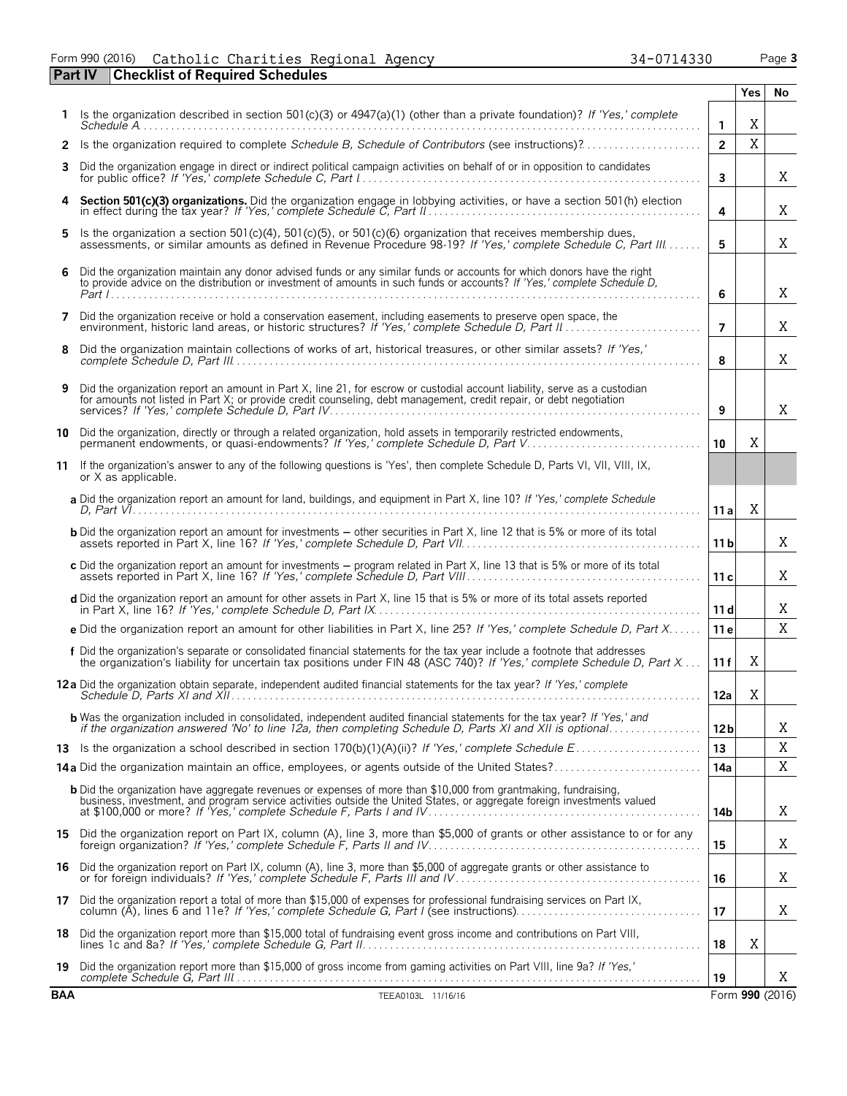#### Form 990 (2016) Page **3** Catholic Charities Regional Agency 34-0714330 **Part IV Checklist of Required Schedules**

|            |                                                                                                                                                                                                                                                   |                 | Yes | No              |
|------------|---------------------------------------------------------------------------------------------------------------------------------------------------------------------------------------------------------------------------------------------------|-----------------|-----|-----------------|
|            | Is the organization described in section 501(c)(3) or 4947(a)(1) (other than a private foundation)? If 'Yes,' complete                                                                                                                            | 1               | X   |                 |
| 2          |                                                                                                                                                                                                                                                   | $\overline{2}$  | X   |                 |
| 3          | Did the organization engage in direct or indirect political campaign activities on behalf of or in opposition to candidates                                                                                                                       | $\mathbf{3}$    |     | Χ               |
| 4          | Section 501(c)(3) organizations. Did the organization engage in lobbying activities, or have a section 501(h) election                                                                                                                            | 4               |     | Χ               |
| 5          | Is the organization a section 501(c)(4), 501(c)(5), or 501(c)(6) organization that receives membership dues,<br>assessments, or similar amounts as defined in Revenue Procedure 98-19? If 'Yes,' complete Schedule C, Part III                    | 5               |     | X               |
| 6          | Did the organization maintain any donor advised funds or any similar funds or accounts for which donors have the right to provide advice on the distribution or investment of amounts in such funds or accounts? If 'Yes,' com                    | 6               |     | X               |
| 7          | Did the organization receive or hold a conservation easement, including easements to preserve open space, the                                                                                                                                     | $\overline{7}$  |     | Χ               |
| 8          | Did the organization maintain collections of works of art, historical treasures, or other similar assets? If 'Yes,'                                                                                                                               | 8               |     | Χ               |
| 9          | Did the organization report an amount in Part X, line 21, for escrow or custodial account liability, serve as a custodian<br>for amounts not listed in Part X; or provide credit counseling, debt management, credit repair, or debt negotiation  | 9               |     | Χ               |
| 10         | Did the organization, directly or through a related organization, hold assets in temporarily restricted endowments,<br>permanent endowments, or quasi-endowments? If 'Yes,' complete Schedule D, Part V.                                          | 10              | X   |                 |
| 11         | If the organization's answer to any of the following questions is 'Yes', then complete Schedule D, Parts VI, VII, VIII, IX,<br>or X as applicable.                                                                                                |                 |     |                 |
|            | a Did the organization report an amount for land, buildings, and equipment in Part X, line 10? If 'Yes,' complete Schedule                                                                                                                        | 11a             | X   |                 |
|            | <b>b</b> Did the organization report an amount for investments - other securities in Part X, line 12 that is 5% or more of its total                                                                                                              | 11 <sub>b</sub> |     | Χ               |
|            | c Did the organization report an amount for investments - program related in Part X, line 13 that is 5% or more of its total                                                                                                                      | 11c             |     | X               |
|            | d Did the organization report an amount for other assets in Part X, line 15 that is 5% or more of its total assets reported                                                                                                                       | 11d             |     | Χ               |
|            | e Did the organization report an amount for other liabilities in Part X, line 25? If 'Yes,' complete Schedule D, Part X                                                                                                                           | 11e             |     | X               |
|            | f Did the organization's separate or consolidated financial statements for the tax year include a footnote that addresses<br>the organization's liability for uncertain tax positions under FIN 48 (ASC 740)? If 'Yes,' complete                  | 11f             | X   |                 |
|            | 12a Did the organization obtain separate, independent audited financial statements for the tax year? If 'Yes,' complete                                                                                                                           | 12a             | X   |                 |
|            | <b>b</b> Was the organization included in consolidated, independent audited financial statements for the tax year? If 'Yes,' and<br>if the organization answered 'No' to line 12a, then completing Schedule D, Parts XI and XII is optional       | 12 <sub>b</sub> |     | Χ               |
|            |                                                                                                                                                                                                                                                   | 13              |     | X               |
|            | 14a Did the organization maintain an office, employees, or agents outside of the United States?                                                                                                                                                   | 14a             |     | X               |
|            | <b>b</b> Did the organization have aggregate revenues or expenses of more than \$10,000 from grantmaking, fundraising,<br>business, investment, and program service activities outside the United States, or aggregate foreign investments valued | 14b             |     | X               |
|            | 15 Did the organization report on Part IX, column (A), line 3, more than \$5,000 of grants or other assistance to or for any                                                                                                                      | 15              |     | X               |
| 16         | Did the organization report on Part IX, column (A), line 3, more than \$5,000 of aggregate grants or other assistance to                                                                                                                          | 16              |     | X               |
| 17         | Did the organization report a total of more than \$15,000 of expenses for professional fundraising services on Part IX,                                                                                                                           | 17              |     | X               |
| 18         | Did the organization report more than \$15,000 total of fundraising event gross income and contributions on Part VIII,                                                                                                                            | 18              | Χ   |                 |
| 19         | Did the organization report more than \$15,000 of gross income from gaming activities on Part VIII, line 9a? If 'Yes,'                                                                                                                            | 19              |     | X               |
| <b>BAA</b> | TEEA0103L 11/16/16                                                                                                                                                                                                                                |                 |     | Form 990 (2016) |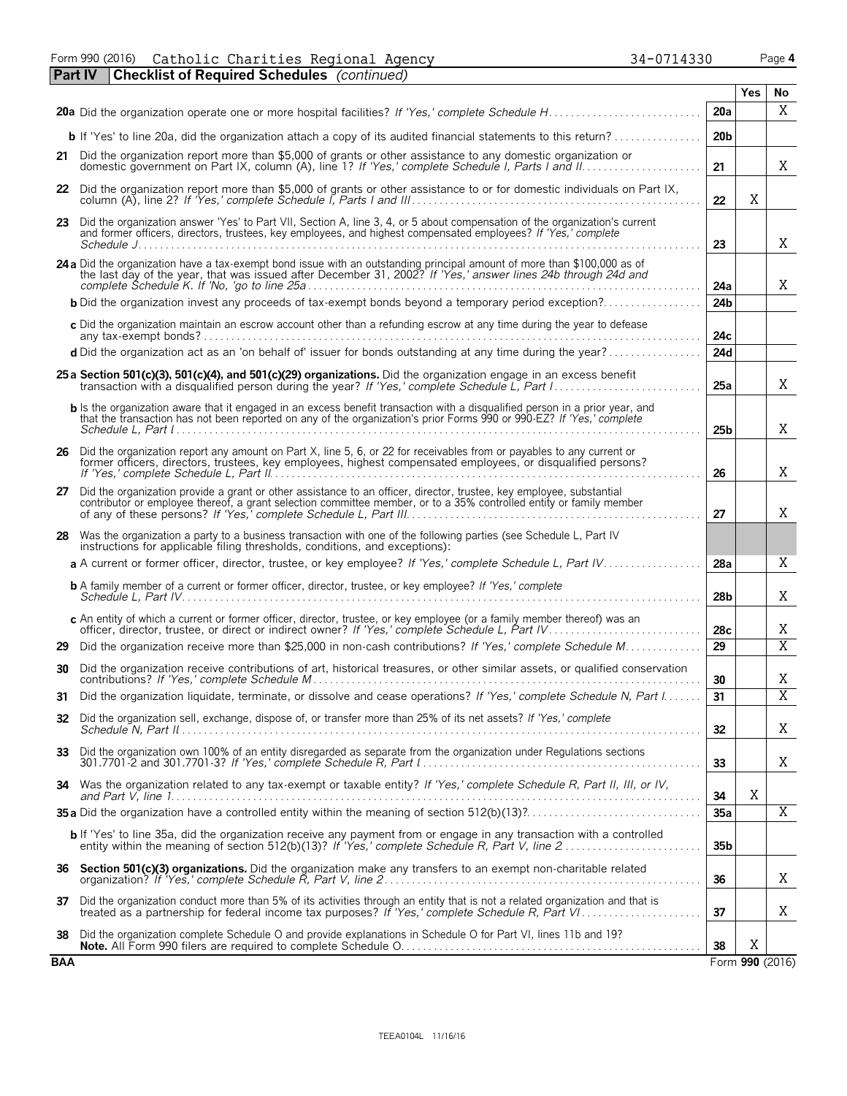|            | <b>Checklist of Required Schedules</b> (continued)<br><b>Part IV</b>                                                                                                                                                                                         |                 |            |                 |
|------------|--------------------------------------------------------------------------------------------------------------------------------------------------------------------------------------------------------------------------------------------------------------|-----------------|------------|-----------------|
|            |                                                                                                                                                                                                                                                              |                 | <b>Yes</b> | No              |
|            |                                                                                                                                                                                                                                                              | 20a             |            | X               |
|            | <b>b</b> If 'Yes' to line 20a, did the organization attach a copy of its audited financial statements to this return?                                                                                                                                        | 20 <sub>b</sub> |            |                 |
|            | 21 Did the organization report more than \$5,000 of grants or other assistance to any domestic organization or<br>domestic government on Part IX, column (A), line 1? If 'Yes,' complete Schedule I, Parts I and II.                                         | 21              |            | Χ               |
|            | 22 Did the organization report more than \$5,000 of grants or other assistance to or for domestic individuals on Part IX,                                                                                                                                    | 22              | X          |                 |
|            | 23 Did the organization answer 'Yes' to Part VII, Section A, line 3, 4, or 5 about compensation of the organization's current<br>and former officers, directors, trustees, key employees, and highest compensated employees? If 'Yes,' complete              | 23              |            | X               |
|            | 24 a Did the organization have a tax-exempt bond issue with an outstanding principal amount of more than \$100,000 as of<br>the last day of the year, that was issued after December 31, 2002? If 'Yes,' answer lines 24b through 24d and                    | 24a             |            | X               |
|            | <b>b</b> Did the organization invest any proceeds of tax-exempt bonds beyond a temporary period exception?                                                                                                                                                   | 24b             |            |                 |
|            | c Did the organization maintain an escrow account other than a refunding escrow at any time during the year to defease                                                                                                                                       | 24c             |            |                 |
|            | d Did the organization act as an 'on behalf of' issuer for bonds outstanding at any time during the year?                                                                                                                                                    | 24d             |            |                 |
|            | 25 a Section 501(c)(3), 501(c)(4), and 501(c)(29) organizations. Did the organization engage in an excess benefit<br>transaction with a disqualified person during the year? If 'Yes,' complete Schedule L, Part 1                                           | 25a             |            | X               |
|            | <b>b</b> Is the organization aware that it engaged in an excess benefit transaction with a disqualified person in a prior year, and<br>that the transaction has not been reported on any of the organization's prior Forms 990 or 990-EZ? If 'Yes,' complete | 25 <sub>b</sub> |            | Χ               |
|            | 26 Did the organization report any amount on Part X, line 5, 6, or 22 for receivables from or payables to any current or<br>former officers, directors, trustees, key employees, highest compensated employees, or disqualified persons?                     | 26              |            | Χ               |
|            | 27 Did the organization provide a grant or other assistance to an officer, director, trustee, key employee, substantial<br>contributor or employee thereof, a grant selection committee member, or to a 35% controlled entity or family member               | 27              |            | Χ               |
| 28         | Was the organization a party to a business transaction with one of the following parties (see Schedule L, Part IV<br>instructions for applicable filing thresholds, conditions, and exceptions):                                                             |                 |            |                 |
|            |                                                                                                                                                                                                                                                              | 28a             |            | Χ               |
|            | <b>b</b> A family member of a current or former officer, director, trustee, or key employee? If 'Yes,' complete                                                                                                                                              | 28b             |            | Χ               |
|            | c An entity of which a current or former officer, director, trustee, or key employee (or a family member thereof) was an                                                                                                                                     | 28 <sub>c</sub> |            | Χ               |
| 29         | Did the organization receive more than \$25,000 in non-cash contributions? If 'Yes,' complete Schedule M                                                                                                                                                     | 29              |            | $\overline{X}$  |
| 30         | Did the organization receive contributions of art, historical treasures, or other similar assets, or qualified conservation                                                                                                                                  | 30              |            | Χ               |
| 31.        | Did the organization liquidate, terminate, or dissolve and cease operations? If 'Yes,' complete Schedule N, Part I                                                                                                                                           | 31              |            | $\overline{X}$  |
| 32         | Did the organization sell, exchange, dispose of, or transfer more than 25% of its net assets? If 'Yes,' complete                                                                                                                                             | 32              |            | Χ               |
| 33         | Did the organization own 100% of an entity disregarded as separate from the organization under Regulations sections                                                                                                                                          | 33              |            | Χ               |
| 34         | Was the organization related to any tax-exempt or taxable entity? If 'Yes,' complete Schedule R, Part II, III, or IV,                                                                                                                                        | 34              | X          |                 |
|            |                                                                                                                                                                                                                                                              | 35a             |            | X               |
|            | <b>b</b> If 'Yes' to line 35a, did the organization receive any payment from or engage in any transaction with a controlled                                                                                                                                  | 35b             |            |                 |
| 36         | Section 501(c)(3) organizations. Did the organization make any transfers to an exempt non-charitable related                                                                                                                                                 | 36              |            | X               |
| 37         | Did the organization conduct more than 5% of its activities through an entity that is not a related organization and that is                                                                                                                                 | 37              |            | Χ               |
| 38         | Did the organization complete Schedule O and provide explanations in Schedule O for Part VI, lines 11b and 19?                                                                                                                                               | 38              | X          |                 |
| <b>BAA</b> |                                                                                                                                                                                                                                                              |                 |            | Form 990 (2016) |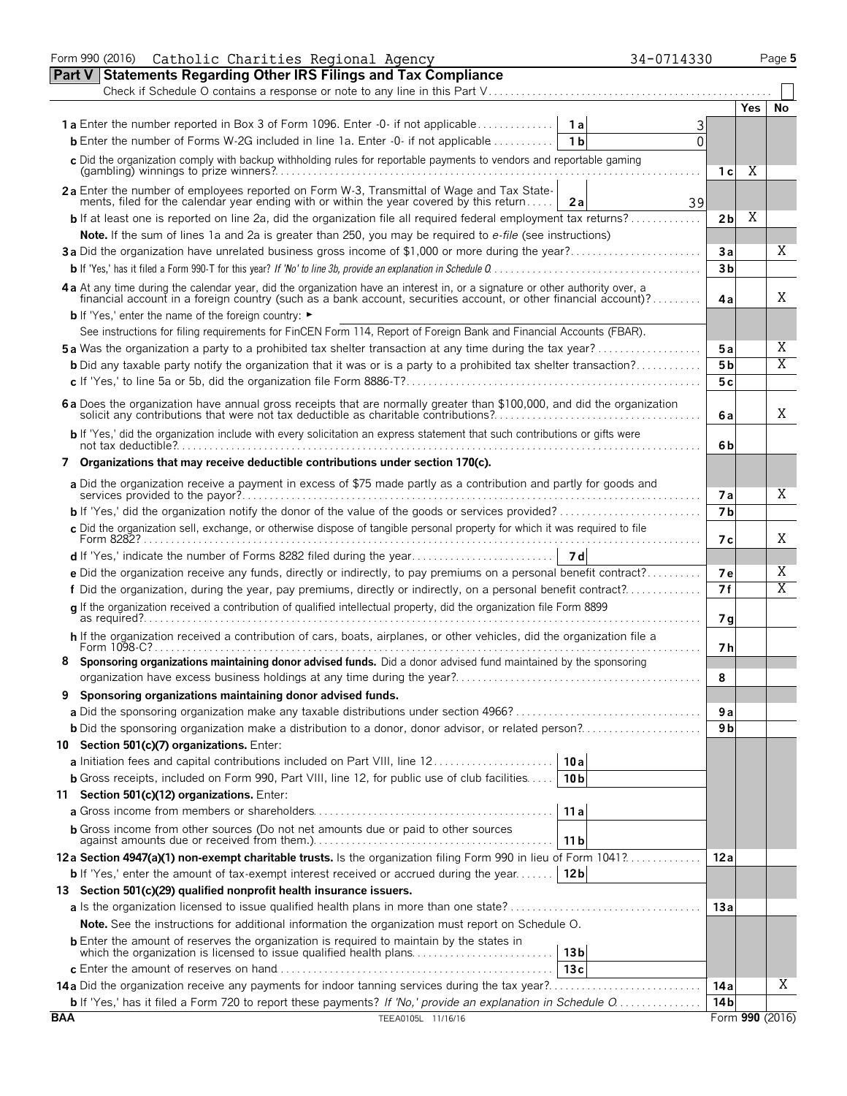|            | Form 990 (2016)<br>Catholic Charities Regional Agency<br>34-0714330                                                                                                                                                            |                 |     | Page 5          |
|------------|--------------------------------------------------------------------------------------------------------------------------------------------------------------------------------------------------------------------------------|-----------------|-----|-----------------|
|            | <b>Part V Statements Regarding Other IRS Filings and Tax Compliance</b>                                                                                                                                                        |                 |     |                 |
|            | Check if Schedule O contains a response or note to any line in this Part V                                                                                                                                                     |                 |     |                 |
|            |                                                                                                                                                                                                                                |                 | Yes | No              |
|            | 3                                                                                                                                                                                                                              |                 |     |                 |
|            | <b>b</b> Enter the number of Forms W-2G included in line 1a. Enter $-0$ - if not applicable<br>1 <sub>b</sub><br>$\Omega$                                                                                                      |                 |     |                 |
|            | c Did the organization comply with backup withholding rules for reportable payments to vendors and reportable gaming                                                                                                           |                 |     |                 |
|            |                                                                                                                                                                                                                                | 1 с             | Χ   |                 |
|            | 2a Enter the number of employees reported on Form W-3, Transmittal of Wage and Tax State-<br>ments, filed for the calendar year ending with or within the year covered by this return<br>39<br>2a                              |                 |     |                 |
|            | <b>b</b> If at least one is reported on line 2a, did the organization file all required federal employment tax returns?                                                                                                        | 2b              | X   |                 |
|            | Note. If the sum of lines 1a and 2a is greater than 250, you may be required to e-file (see instructions)                                                                                                                      |                 |     |                 |
|            | 3a Did the organization have unrelated business gross income of \$1,000 or more during the year?                                                                                                                               | 3a              |     | Χ               |
|            |                                                                                                                                                                                                                                | 3 <sub>b</sub>  |     |                 |
|            | 4 a At any time during the calendar year, did the organization have an interest in, or a signature or other authority over, a financial account in a foreign country (such as a bank account, securities account, or other fin | 4a              |     | X               |
|            | <b>b</b> If 'Yes,' enter the name of the foreign country: ►                                                                                                                                                                    |                 |     |                 |
|            | See instructions for filing requirements for FinCEN Form 114, Report of Foreign Bank and Financial Accounts (FBAR).                                                                                                            |                 |     |                 |
|            | <b>5a</b> Was the organization a party to a prohibited tax shelter transaction at any time during the tax year?                                                                                                                | 5a              |     | Χ               |
|            | <b>b</b> Did any taxable party notify the organization that it was or is a party to a prohibited tax shelter transaction?                                                                                                      | 5 <sub>b</sub>  |     | Χ               |
|            |                                                                                                                                                                                                                                | 5c              |     |                 |
|            | 6 a Does the organization have annual gross receipts that are normally greater than \$100,000, and did the organization solicit any contributions that were not tax deductible as charitable contributions?                    |                 |     | Χ               |
|            | b If 'Yes,' did the organization include with every solicitation an express statement that such contributions or gifts were                                                                                                    | 6a              |     |                 |
|            | 7 Organizations that may receive deductible contributions under section 170(c).                                                                                                                                                | 6b              |     |                 |
|            |                                                                                                                                                                                                                                |                 |     |                 |
|            | a Did the organization receive a payment in excess of \$75 made partly as a contribution and partly for goods and                                                                                                              | <b>7a</b>       |     | Χ               |
|            |                                                                                                                                                                                                                                | 7 <sub>b</sub>  |     |                 |
|            | c Did the organization sell, exchange, or otherwise dispose of tangible personal property for which it was required to file<br>Form 8282?.                                                                                     | 7 с             |     | X               |
|            |                                                                                                                                                                                                                                |                 |     |                 |
|            | e Did the organization receive any funds, directly or indirectly, to pay premiums on a personal benefit contract?                                                                                                              | <b>7e</b>       |     | Χ               |
|            | f Did the organization, during the year, pay premiums, directly or indirectly, on a personal benefit contract?                                                                                                                 | 7f              |     | Χ               |
|            | q If the organization received a contribution of qualified intellectual property, did the organization file Form 8899                                                                                                          | 7g              |     |                 |
|            | h If the organization received a contribution of cars, boats, airplanes, or other vehicles, did the organization file a                                                                                                        | 7 h             |     |                 |
|            | Sponsoring organizations maintaining donor advised funds. Did a donor advised fund maintained by the sponsoring                                                                                                                |                 |     |                 |
|            |                                                                                                                                                                                                                                | 8               |     |                 |
| 9          | Sponsoring organizations maintaining donor advised funds.                                                                                                                                                                      |                 |     |                 |
|            |                                                                                                                                                                                                                                | 9а              |     |                 |
|            | <b>b</b> Did the sponsoring organization make a distribution to a donor, donor advisor, or related person?                                                                                                                     | 9 b             |     |                 |
|            | 10 Section 501(c)(7) organizations. Enter:                                                                                                                                                                                     |                 |     |                 |
|            | 10a<br>a Initiation fees and capital contributions included on Part VIII, line 12                                                                                                                                              |                 |     |                 |
|            | <b>b</b> Gross receipts, included on Form 990, Part VIII, line 12, for public use of club facilities<br>10 <sub>b</sub>                                                                                                        |                 |     |                 |
|            | 11 Section 501(c)(12) organizations. Enter:                                                                                                                                                                                    |                 |     |                 |
|            | 11a                                                                                                                                                                                                                            |                 |     |                 |
|            | <b>b</b> Gross income from other sources (Do not net amounts due or paid to other sources<br>11 <sub>b</sub>                                                                                                                   |                 |     |                 |
|            | 12a Section 4947(a)(1) non-exempt charitable trusts. Is the organization filing Form 990 in lieu of Form 1041?                                                                                                                 | 12a             |     |                 |
|            | <b>b</b> If 'Yes,' enter the amount of tax-exempt interest received or accrued during the year<br>12 <sub>b</sub>                                                                                                              |                 |     |                 |
|            | 13 Section 501(c)(29) qualified nonprofit health insurance issuers.                                                                                                                                                            |                 |     |                 |
|            |                                                                                                                                                                                                                                | 13a             |     |                 |
|            | Note. See the instructions for additional information the organization must report on Schedule O.                                                                                                                              |                 |     |                 |
|            |                                                                                                                                                                                                                                |                 |     |                 |
|            | 13 <sub>b</sub>                                                                                                                                                                                                                |                 |     |                 |
|            | 13c                                                                                                                                                                                                                            |                 |     |                 |
|            |                                                                                                                                                                                                                                | 14 a            |     | X               |
|            | <b>b</b> If 'Yes,' has it filed a Form 720 to report these payments? If 'No,' provide an explanation in Schedule O                                                                                                             | 14 <sub>b</sub> |     |                 |
| <b>BAA</b> | TEEA0105L 11/16/16                                                                                                                                                                                                             |                 |     | Form 990 (2016) |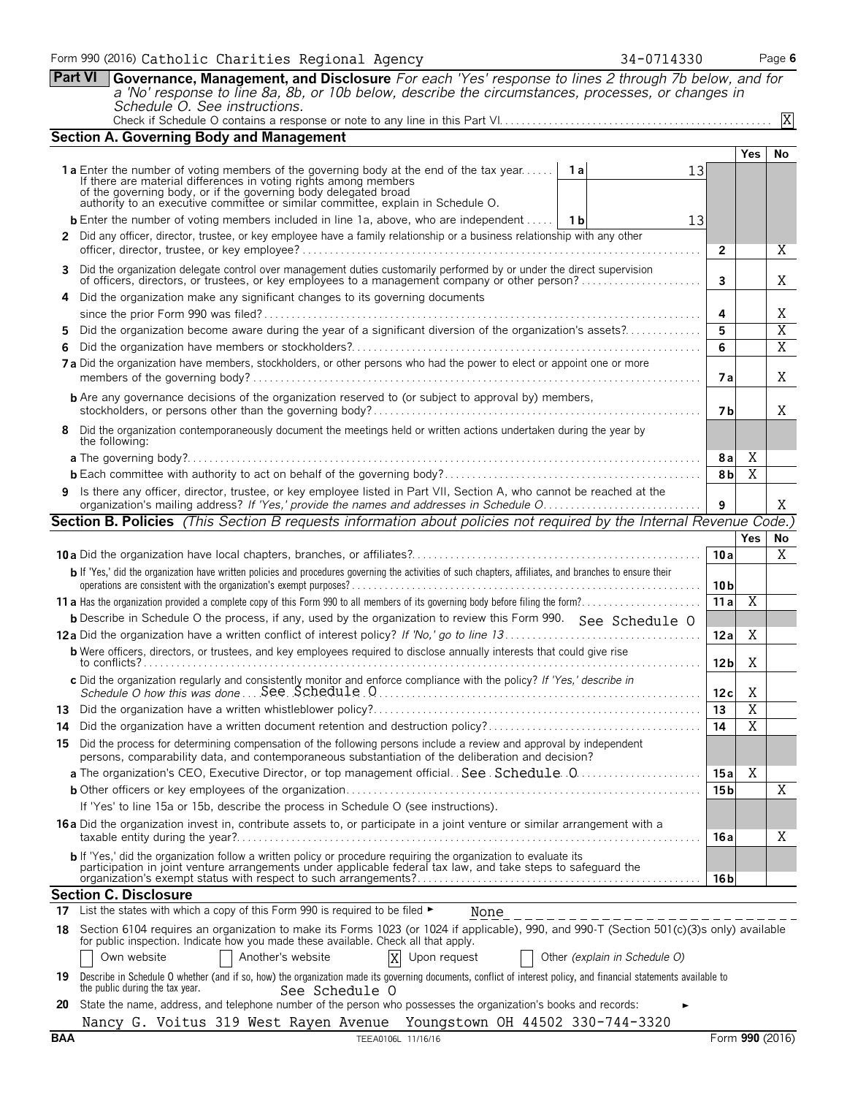|     | <b>Part VI</b><br>Governance, Management, and Disclosure For each 'Yes' response to lines 2 through 7b below, and for                                                                                                                                                                                                            |                 |                         |                |  |  |  |  |  |
|-----|----------------------------------------------------------------------------------------------------------------------------------------------------------------------------------------------------------------------------------------------------------------------------------------------------------------------------------|-----------------|-------------------------|----------------|--|--|--|--|--|
|     | a 'No' response to line 8a, 8b, or 10b below, describe the circumstances, processes, or changes in<br>Schedule O. See instructions.                                                                                                                                                                                              |                 |                         |                |  |  |  |  |  |
|     |                                                                                                                                                                                                                                                                                                                                  |                 |                         | $\overline{X}$ |  |  |  |  |  |
|     | <b>Section A. Governing Body and Management</b>                                                                                                                                                                                                                                                                                  |                 |                         |                |  |  |  |  |  |
|     |                                                                                                                                                                                                                                                                                                                                  |                 | $\overline{Y}$ es       | No             |  |  |  |  |  |
|     | <b>1a</b> Enter the number of voting members of the governing body at the end of the tax year   1a<br>13<br>If there are material differences in voting rights among members<br>of the governing body, or if the governing body delegated broad authority to an executive committee or similar committee, explain in Schedule O. |                 |                         |                |  |  |  |  |  |
|     | <b>b</b> Enter the number of voting members included in line 1a, above, who are independent $\begin{bmatrix} 1 & b \end{bmatrix}$<br>13                                                                                                                                                                                          |                 |                         |                |  |  |  |  |  |
|     | 2 Did any officer, director, trustee, or key employee have a family relationship or a business relationship with any other                                                                                                                                                                                                       | $\overline{2}$  |                         | X              |  |  |  |  |  |
| 3   | Did the organization delegate control over management duties customarily performed by or under the direct supervision<br>of officers, directors, or trustees, or key employees to a management company or other person?                                                                                                          | $\mathbf{3}$    |                         | Χ              |  |  |  |  |  |
| 4   | Did the organization make any significant changes to its governing documents                                                                                                                                                                                                                                                     |                 |                         |                |  |  |  |  |  |
|     |                                                                                                                                                                                                                                                                                                                                  | 4               |                         | Χ              |  |  |  |  |  |
| 5   | Did the organization become aware during the year of a significant diversion of the organization's assets?                                                                                                                                                                                                                       | 5               |                         | X              |  |  |  |  |  |
| 6   |                                                                                                                                                                                                                                                                                                                                  | 6               |                         | X              |  |  |  |  |  |
|     | 7a Did the organization have members, stockholders, or other persons who had the power to elect or appoint one or more                                                                                                                                                                                                           | <b>7a</b>       |                         | Χ              |  |  |  |  |  |
|     | <b>b</b> Are any governance decisions of the organization reserved to (or subject to approval by) members,                                                                                                                                                                                                                       | 7 b             |                         | Χ              |  |  |  |  |  |
| 8   | Did the organization contemporaneously document the meetings held or written actions undertaken during the year by<br>the following:                                                                                                                                                                                             |                 |                         |                |  |  |  |  |  |
|     |                                                                                                                                                                                                                                                                                                                                  | 8a              | X                       |                |  |  |  |  |  |
|     |                                                                                                                                                                                                                                                                                                                                  | 8 <sub>b</sub>  | $\overline{\mathbf{X}}$ |                |  |  |  |  |  |
| 9   | Is there any officer, director, trustee, or key employee listed in Part VII, Section A, who cannot be reached at the                                                                                                                                                                                                             | 9               |                         | Χ              |  |  |  |  |  |
|     | Section B. Policies (This Section B requests information about policies not required by the Internal Revenue Code.)                                                                                                                                                                                                              |                 |                         |                |  |  |  |  |  |
|     |                                                                                                                                                                                                                                                                                                                                  |                 | Yes                     | No             |  |  |  |  |  |
|     |                                                                                                                                                                                                                                                                                                                                  | 10a             |                         | X              |  |  |  |  |  |
|     | b If 'Yes,' did the organization have written policies and procedures governing the activities of such chapters, affiliates, and branches to ensure their                                                                                                                                                                        | 10 <sub>b</sub> |                         |                |  |  |  |  |  |
|     |                                                                                                                                                                                                                                                                                                                                  | 11a             | Χ                       |                |  |  |  |  |  |
|     | <b>b</b> Describe in Schedule O the process, if any, used by the organization to review this Form 990. See Schedule O                                                                                                                                                                                                            |                 |                         |                |  |  |  |  |  |
|     |                                                                                                                                                                                                                                                                                                                                  | 12a             | X                       |                |  |  |  |  |  |
|     | <b>b</b> Were officers, directors, or trustees, and key employees required to disclose annually interests that could give rise                                                                                                                                                                                                   | 12 <sub>b</sub> | Χ                       |                |  |  |  |  |  |
|     | c Did the organization regularly and consistently monitor and enforce compliance with the policy? If 'Yes,' describe in                                                                                                                                                                                                          | 12 c            | X                       |                |  |  |  |  |  |
| 13  |                                                                                                                                                                                                                                                                                                                                  | 13              | Χ                       |                |  |  |  |  |  |
| 14  |                                                                                                                                                                                                                                                                                                                                  | 14              | $\overline{\text{X}}$   |                |  |  |  |  |  |
| 15  | Did the process for determining compensation of the following persons include a review and approval by independent<br>persons, comparability data, and contemporaneous substantiation of the deliberation and decision?                                                                                                          |                 |                         |                |  |  |  |  |  |
|     |                                                                                                                                                                                                                                                                                                                                  | 15a             | Χ                       |                |  |  |  |  |  |
|     |                                                                                                                                                                                                                                                                                                                                  | 15 b            |                         | Χ              |  |  |  |  |  |
|     | If 'Yes' to line 15a or 15b, describe the process in Schedule O (see instructions).                                                                                                                                                                                                                                              |                 |                         |                |  |  |  |  |  |
|     | <b>16a</b> Did the organization invest in, contribute assets to, or participate in a joint venture or similar arrangement with a                                                                                                                                                                                                 | 16 a            |                         | Χ              |  |  |  |  |  |
|     | b If 'Yes,' did the organization follow a written policy or procedure requiring the organization to evaluate its<br>participation in joint venture arrangements under applicable federal tax law, and take steps to safeguard the                                                                                                | 16 b            |                         |                |  |  |  |  |  |
|     | <b>Section C. Disclosure</b>                                                                                                                                                                                                                                                                                                     |                 |                         |                |  |  |  |  |  |
| 17  | List the states with which a copy of this Form 990 is required to be filed ►<br>None                                                                                                                                                                                                                                             |                 |                         |                |  |  |  |  |  |
| 18  | Section 6104 requires an organization to make its Forms 1023 (or 1024 if applicable), 990, and 990-T (Section 501(c)(3)s only) available<br>for public inspection. Indicate how you made these available. Check all that apply.<br>Another's website<br>X<br>Upon request<br>Own website<br>Other (explain in Schedule O)        |                 |                         |                |  |  |  |  |  |
| 19. | Describe in Schedule O whether (and if so, how) the organization made its governing documents, conflict of interest policy, and financial statements available to<br>the public during the tax year.<br>See Schedule O                                                                                                           |                 |                         |                |  |  |  |  |  |
|     | 20 State the name, address, and telephone number of the person who possesses the organization's books and records:                                                                                                                                                                                                               |                 |                         |                |  |  |  |  |  |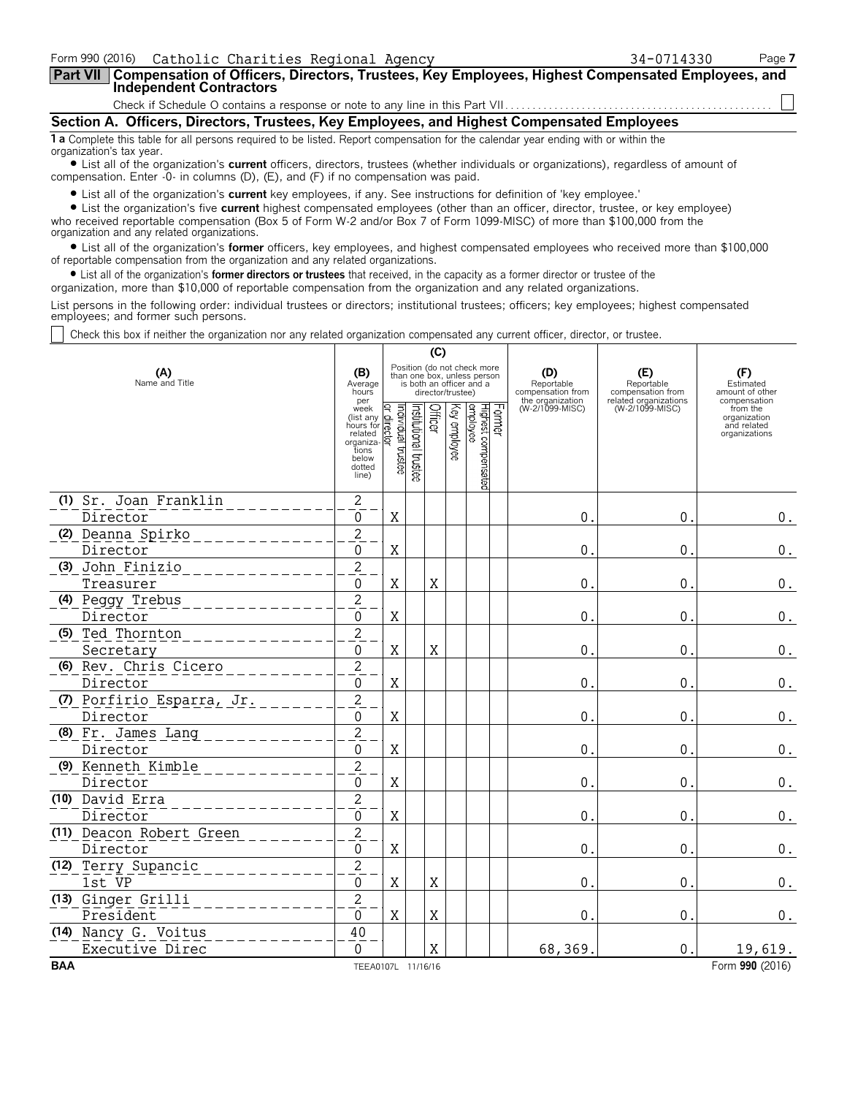| Form 990 (2016) Catholic Charities Regional Agency                                                                                                                                                                                                                                                                                                                                                                                      | 34-0714330 | Page 7 |
|-----------------------------------------------------------------------------------------------------------------------------------------------------------------------------------------------------------------------------------------------------------------------------------------------------------------------------------------------------------------------------------------------------------------------------------------|------------|--------|
| Part VII   Compensation of Officers, Directors, Trustees, Key Employees, Highest Compensated Employees, and<br><b>Independent Contractors</b>                                                                                                                                                                                                                                                                                           |            |        |
|                                                                                                                                                                                                                                                                                                                                                                                                                                         |            |        |
| Section A. Officers, Directors, Trustees, Key Employees, and Highest Compensated Employees                                                                                                                                                                                                                                                                                                                                              |            |        |
| 1 a Complete this table for all persons required to be listed. Report compensation for the calendar year ending with or within the<br>organization's tax year.<br>• List all of the organization's <b>current</b> officers, directors, trustees (whether individuals or organizations), regardless of amount of<br>compensation. Enter -0- in columns (D), $(E)$ , and $(F)$ if no compensation was paid.                               |            |        |
| • List all of the organization's <b>current</b> key employees, if any. See instructions for definition of 'key employee.'<br>• List the organization's five current highest compensated employees (other than an officer, director, trustee, or key employee)<br>who received reportable compensation (Box 5 of Form W-2 and/or Box 7 of Form 1099-MISC) of more than \$100,000 from the<br>organization and any related organizations. |            |        |

? List all of the organization's **former** officers, key employees, and highest compensated employees who received more than \$100,000 of reportable compensation from the organization and any related organizations.

? List all of the organization's **former directors or trustees** that received, in the capacity as a former director or trustee of the

organization, more than \$10,000 of reportable compensation from the organization and any related organizations.

List persons in the following order: individual trustees or directors; institutional trustees; officers; key employees; highest compensated employees; and former such persons.

Check this box if neither the organization nor any related organization compensated any current officer, director, or trustee.

|                           |                                                                                                    | (C)                                                                                                         |                      |             |              |                                            |                                                            |                                          |                                                          |
|---------------------------|----------------------------------------------------------------------------------------------------|-------------------------------------------------------------------------------------------------------------|----------------------|-------------|--------------|--------------------------------------------|------------------------------------------------------------|------------------------------------------|----------------------------------------------------------|
| (A)<br>Name and Title     |                                                                                                    | Position (do not check more<br>than one box, unless person<br>is both an officer and a<br>director/trustee) |                      |             |              |                                            | (D)<br>Reportable<br>compensation from<br>the organization | (E)<br>Reportable<br>compensation from   | (F)<br>Estimated<br>amount of other<br>compensation      |
|                           | per<br>week<br>(list any<br>hours for<br>related<br>organiza-<br>tions<br>below<br>dotted<br>line) | ndividual trustee<br>drect<br>হি                                                                            | nstitutional trustee | Officer     | Key employee | Former<br>Highest compensated<br> employee | (W-2/1099-MISC)                                            | related organizations<br>(W-2/1099-MISC) | from the<br>organization<br>and related<br>organizations |
| (1) Sr. Joan Franklin     | $\sqrt{2}$                                                                                         |                                                                                                             |                      |             |              |                                            |                                                            |                                          |                                                          |
| Director                  | $\mathsf 0$                                                                                        | X                                                                                                           |                      |             |              |                                            | $\mathbf 0$                                                | 0.                                       | $0$ .                                                    |
| (2) Deanna Spirko         | $\overline{2}$                                                                                     |                                                                                                             |                      |             |              |                                            |                                                            |                                          |                                                          |
| Director                  | 0                                                                                                  | X                                                                                                           |                      |             |              |                                            | 0                                                          | 0.                                       | $0$ .                                                    |
| (3) John Finizio          | $\overline{2}$                                                                                     |                                                                                                             |                      |             |              |                                            |                                                            |                                          |                                                          |
| Treasurer                 | $\overline{0}$                                                                                     | $\mathbf X$                                                                                                 |                      | $\mathbf X$ |              |                                            | $\mathbf 0$                                                | 0.                                       | $0$ .                                                    |
| (4) Peggy Trebus          | $\overline{2}$                                                                                     |                                                                                                             |                      |             |              |                                            |                                                            |                                          |                                                          |
| Director                  | $\mathbf 0$                                                                                        | $\mathbf X$                                                                                                 |                      |             |              |                                            | $\mathbf 0$                                                | 0.                                       | $\boldsymbol{0}$ .                                       |
| (5) Ted Thornton          | $\overline{2}$                                                                                     |                                                                                                             |                      |             |              |                                            |                                                            |                                          |                                                          |
| Secretary                 | $\overline{0}$                                                                                     | X                                                                                                           |                      | $\rm X$     |              |                                            | 0                                                          | 0.                                       | 0.                                                       |
| (6) Rev. Chris Cicero     | $\overline{2}$                                                                                     |                                                                                                             |                      |             |              |                                            |                                                            |                                          |                                                          |
| Director                  | $\overline{0}$                                                                                     | X                                                                                                           |                      |             |              |                                            | $\mathbf 0$                                                | $\mathbf 0$ .                            | $0$ .                                                    |
| (7) Porfirio Esparra, Jr. | $\overline{2}$                                                                                     |                                                                                                             |                      |             |              |                                            |                                                            |                                          |                                                          |
| Director                  | $\mathsf 0$                                                                                        | X                                                                                                           |                      |             |              |                                            | 0                                                          | 0.                                       | 0.                                                       |
| (8) Fr. James Lang        | $\overline{2}$                                                                                     |                                                                                                             |                      |             |              |                                            |                                                            |                                          |                                                          |
| Director                  | $\overline{0}$                                                                                     | X                                                                                                           |                      |             |              |                                            | $\mathbf 0$                                                | $\mathbf{0}$                             | $\boldsymbol{0}$ .                                       |
| (9) Kenneth Kimble        | $\overline{2}$                                                                                     |                                                                                                             |                      |             |              |                                            |                                                            |                                          |                                                          |
| Director                  | $\mathbf 0$                                                                                        | X                                                                                                           |                      |             |              |                                            | $\mathbf 0$                                                | $\mathbf{0}$                             | $\mathbf 0$ .                                            |
| (10) David Erra           | $\overline{2}$                                                                                     |                                                                                                             |                      |             |              |                                            |                                                            |                                          |                                                          |
| Director                  | $\mathbf 0$                                                                                        | X                                                                                                           |                      |             |              |                                            | 0                                                          | 0.                                       | $\boldsymbol{0}$ .                                       |
| (11) Deacon Robert Green  | $\overline{2}$                                                                                     |                                                                                                             |                      |             |              |                                            |                                                            |                                          |                                                          |
| Director                  | $\mathbf 0$                                                                                        | X                                                                                                           |                      |             |              |                                            | $\mathbf 0$                                                | 0.                                       | $0$ .                                                    |
| (12) Terry Supancic       | $\overline{2}$                                                                                     |                                                                                                             |                      |             |              |                                            |                                                            |                                          |                                                          |
| 1st VP                    | $\overline{0}$                                                                                     | $\mathbf X$                                                                                                 |                      | $\mathbf X$ |              |                                            | $\mathbf 0$                                                | $\mathbf 0$ .                            | $\boldsymbol{0}$ .                                       |
| (13) Ginger Grilli        | $\overline{2}$                                                                                     |                                                                                                             |                      |             |              |                                            |                                                            |                                          |                                                          |
| President                 | $\mathbf 0$                                                                                        | X                                                                                                           |                      | X           |              |                                            | 0                                                          | 0.                                       | 0.                                                       |
| (14) Nancy G. Voitus      | 40                                                                                                 |                                                                                                             |                      |             |              |                                            |                                                            |                                          |                                                          |
| Executive Direc           | $\Omega$                                                                                           |                                                                                                             | X                    |             |              |                                            | 68,369                                                     | $\mathbf{0}$ .                           | 19,619.                                                  |
| <b>BAA</b>                | TEEA0107L 11/16/16                                                                                 |                                                                                                             |                      |             |              |                                            |                                                            |                                          | Form 990 (2016)                                          |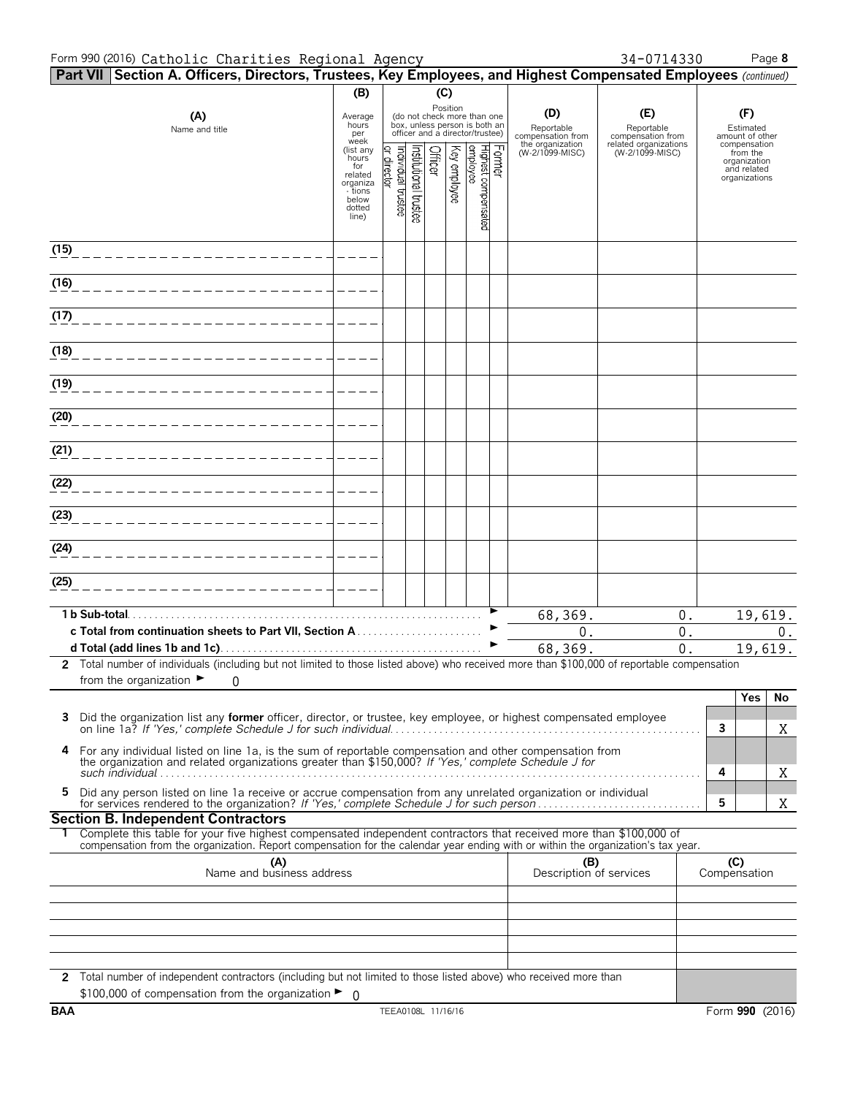#### Form 990 (2016) Page **8** Catholic Charities Regional Agency 34-0714330

| ٠ť |
|----|

| (B)<br>(C)<br>Position<br>(do not check more than one<br>(D)<br>(E)<br>(F)<br>(A)<br>Average<br>hours<br>box, unless person is both an<br>Reportable<br>compensation from<br>Estimated<br>Reportable<br>Name and title<br>officer and a director/trustee)<br>per<br>compensation from<br>amount of other<br>week<br>the organization<br>related organizations<br>compensation<br> Former<br> Highest compensated<br> employee<br>(list any<br>Key employee<br>or director<br>ndividual trustee<br>nstitutional trustee<br>Officer<br>(W-2/1099-MISC)<br>(W-2/1099-MISC)<br>from the<br>hours<br>organization<br>for<br>and related<br>related<br>organizations<br>organiza<br>- tions<br>below<br>dotted<br>line)<br>(15) |               |
|---------------------------------------------------------------------------------------------------------------------------------------------------------------------------------------------------------------------------------------------------------------------------------------------------------------------------------------------------------------------------------------------------------------------------------------------------------------------------------------------------------------------------------------------------------------------------------------------------------------------------------------------------------------------------------------------------------------------------|---------------|
|                                                                                                                                                                                                                                                                                                                                                                                                                                                                                                                                                                                                                                                                                                                           |               |
|                                                                                                                                                                                                                                                                                                                                                                                                                                                                                                                                                                                                                                                                                                                           |               |
|                                                                                                                                                                                                                                                                                                                                                                                                                                                                                                                                                                                                                                                                                                                           |               |
|                                                                                                                                                                                                                                                                                                                                                                                                                                                                                                                                                                                                                                                                                                                           |               |
| (16)                                                                                                                                                                                                                                                                                                                                                                                                                                                                                                                                                                                                                                                                                                                      |               |
| (17)                                                                                                                                                                                                                                                                                                                                                                                                                                                                                                                                                                                                                                                                                                                      |               |
| (18)                                                                                                                                                                                                                                                                                                                                                                                                                                                                                                                                                                                                                                                                                                                      |               |
| (19)                                                                                                                                                                                                                                                                                                                                                                                                                                                                                                                                                                                                                                                                                                                      |               |
| (20)                                                                                                                                                                                                                                                                                                                                                                                                                                                                                                                                                                                                                                                                                                                      |               |
| (21)                                                                                                                                                                                                                                                                                                                                                                                                                                                                                                                                                                                                                                                                                                                      |               |
| (22)                                                                                                                                                                                                                                                                                                                                                                                                                                                                                                                                                                                                                                                                                                                      |               |
| (23)                                                                                                                                                                                                                                                                                                                                                                                                                                                                                                                                                                                                                                                                                                                      |               |
| (24)                                                                                                                                                                                                                                                                                                                                                                                                                                                                                                                                                                                                                                                                                                                      |               |
| (25)                                                                                                                                                                                                                                                                                                                                                                                                                                                                                                                                                                                                                                                                                                                      |               |
| 68,369.<br>1 b Sub-total.<br>$0$ .                                                                                                                                                                                                                                                                                                                                                                                                                                                                                                                                                                                                                                                                                        | 19,619.       |
| $0$ .<br>$0$ .<br>68,369.<br>0.                                                                                                                                                                                                                                                                                                                                                                                                                                                                                                                                                                                                                                                                                           | 0.<br>19,619. |
| Total number of individuals (including but not limited to those listed above) who received more than \$100,000 of reportable compensation<br>$\mathbf{2}^{\prime}$<br>from the organization $\blacktriangleright$<br>0                                                                                                                                                                                                                                                                                                                                                                                                                                                                                                    |               |
| Did the organization list any <b>former</b> officer, director, or trustee, key employee, or highest compensated employee<br>з                                                                                                                                                                                                                                                                                                                                                                                                                                                                                                                                                                                             | Yes<br>No     |
| 3                                                                                                                                                                                                                                                                                                                                                                                                                                                                                                                                                                                                                                                                                                                         | Χ             |
| For any individual listed on line 1a, is the sum of reportable compensation and other compensation from<br>4<br>the organization and related organizations greater than \$150,000? If 'Yes,' complete Schedule J for<br>4                                                                                                                                                                                                                                                                                                                                                                                                                                                                                                 | Χ             |
| Did any person listed on line 1a receive or accrue compensation from any unrelated organization or individual<br>5<br>5                                                                                                                                                                                                                                                                                                                                                                                                                                                                                                                                                                                                   | Χ             |
| <b>Section B. Independent Contractors</b><br>Complete this table for your five highest compensated independent contractors that received more than \$100,000 of                                                                                                                                                                                                                                                                                                                                                                                                                                                                                                                                                           |               |
| compensation from the organization. Report compensation for the calendar year ending with or within the organization's tax year.                                                                                                                                                                                                                                                                                                                                                                                                                                                                                                                                                                                          |               |
| (C)<br>Compensation<br>(A)<br>Name and business address<br>(B)<br>Description of services                                                                                                                                                                                                                                                                                                                                                                                                                                                                                                                                                                                                                                 |               |
|                                                                                                                                                                                                                                                                                                                                                                                                                                                                                                                                                                                                                                                                                                                           |               |
|                                                                                                                                                                                                                                                                                                                                                                                                                                                                                                                                                                                                                                                                                                                           |               |
|                                                                                                                                                                                                                                                                                                                                                                                                                                                                                                                                                                                                                                                                                                                           |               |
| 2 Total number of independent contractors (including but not limited to those listed above) who received more than<br>\$100,000 of compensation from the organization ► 0                                                                                                                                                                                                                                                                                                                                                                                                                                                                                                                                                 |               |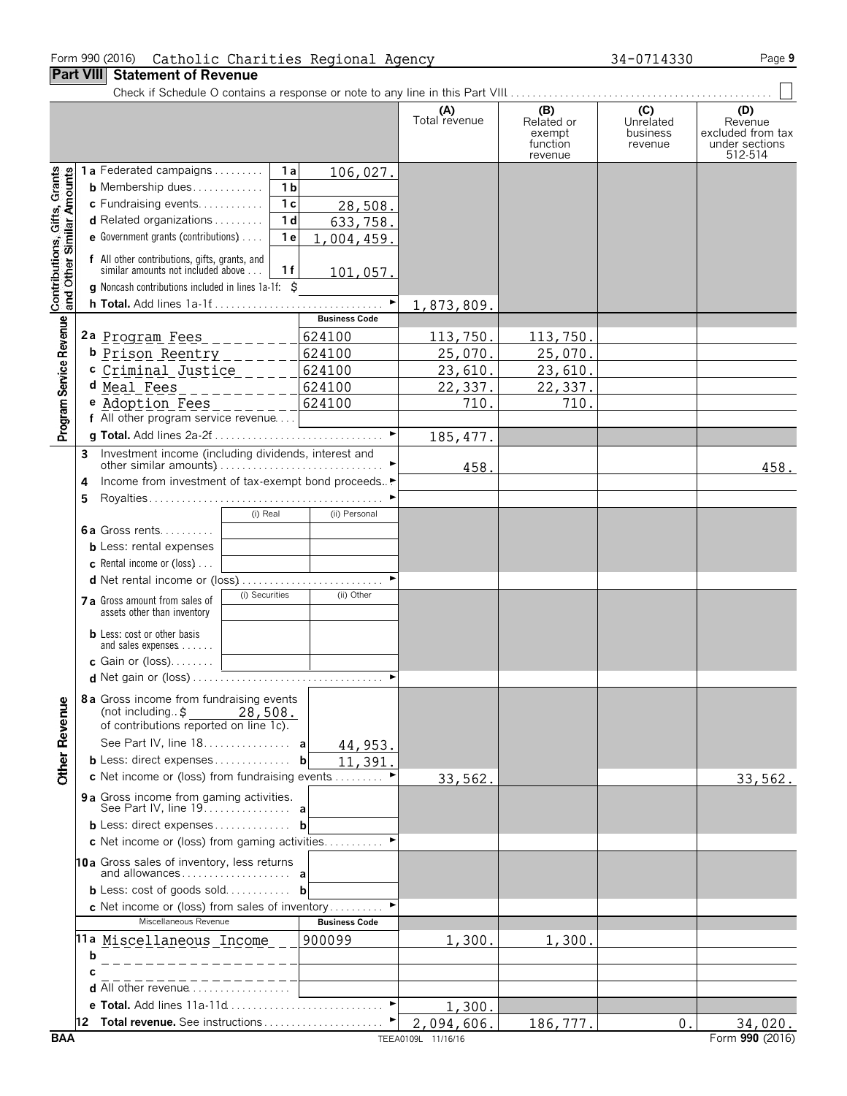#### Form 990 (2016) Page **9** Catholic Charities Regional Agency 34-0714330

# **Part VIII Statement of Revenue**

|                                                           |    |                                                                                                                                                                                                                             |                                              | (A)<br>Total revenue | (B)<br>Related or<br>exempt<br>function<br>revenue | (C)<br>Unrelated<br>business<br>revenue | (D)<br>Revenue<br>excluded from tax<br>under sections<br>512-514 |
|-----------------------------------------------------------|----|-----------------------------------------------------------------------------------------------------------------------------------------------------------------------------------------------------------------------------|----------------------------------------------|----------------------|----------------------------------------------------|-----------------------------------------|------------------------------------------------------------------|
| Contributions, Gifts, Grants<br>and Other Similar Amounts |    | 1a Federated campaigns<br>1 a<br>1 <sub>b</sub><br><b>b</b> Membership dues<br>1 <sub>c</sub><br>c Fundraising events<br>d Related organizations<br>1 <sub>d</sub><br>e Government grants (contributions)<br>1 <sub>e</sub> | 106,027.<br>28,508.<br>633,758.<br>004, 459. |                      |                                                    |                                         |                                                                  |
|                                                           |    | f All other contributions, gifts, grants, and<br>similar amounts not included above<br>1f                                                                                                                                   | 101,057.                                     |                      |                                                    |                                         |                                                                  |
|                                                           |    | g Noncash contributions included in lines 1a-1f: \$                                                                                                                                                                         | ▶                                            |                      |                                                    |                                         |                                                                  |
|                                                           |    |                                                                                                                                                                                                                             | <b>Business Code</b>                         | 1,873,809.           |                                                    |                                         |                                                                  |
|                                                           |    |                                                                                                                                                                                                                             | 624100                                       |                      |                                                    |                                         |                                                                  |
| Program Service Revenue                                   |    | 2a Program Fees                                                                                                                                                                                                             | 624100                                       | 113,750.             | 113,750.                                           |                                         |                                                                  |
|                                                           |    | b Prison Reentry _______                                                                                                                                                                                                    |                                              | 25,070.              | 25,070.                                            |                                         |                                                                  |
|                                                           |    | c Criminal Justice                                                                                                                                                                                                          | 624100<br>624100                             | 23,610.<br>22,337.   | 23,610.                                            |                                         |                                                                  |
|                                                           |    | d Meal Fees<br>----------                                                                                                                                                                                                   | 624100                                       |                      | 22,337.<br>710.                                    |                                         |                                                                  |
|                                                           |    | e Adoption Fees________<br>f All other program service revenue                                                                                                                                                              |                                              | 710.                 |                                                    |                                         |                                                                  |
|                                                           |    |                                                                                                                                                                                                                             | $\blacktriangleright$                        |                      |                                                    |                                         |                                                                  |
|                                                           |    |                                                                                                                                                                                                                             |                                              | 185, 477.            |                                                    |                                         |                                                                  |
|                                                           | 3  | Investment income (including dividends, interest and                                                                                                                                                                        |                                              | 458.                 |                                                    |                                         | 458.                                                             |
|                                                           | 4  | Income from investment of tax-exempt bond proceeds                                                                                                                                                                          |                                              |                      |                                                    |                                         |                                                                  |
|                                                           | 5  |                                                                                                                                                                                                                             |                                              |                      |                                                    |                                         |                                                                  |
|                                                           |    | (i) Real                                                                                                                                                                                                                    | (ii) Personal                                |                      |                                                    |                                         |                                                                  |
|                                                           |    | 6a Gross rents                                                                                                                                                                                                              |                                              |                      |                                                    |                                         |                                                                  |
|                                                           |    | <b>b</b> Less: rental expenses                                                                                                                                                                                              |                                              |                      |                                                    |                                         |                                                                  |
|                                                           |    | <b>c</b> Rental income or (loss) $\ldots$                                                                                                                                                                                   |                                              |                      |                                                    |                                         |                                                                  |
|                                                           |    | d Net rental income or (loss)                                                                                                                                                                                               |                                              |                      |                                                    |                                         |                                                                  |
|                                                           |    | (i) Securities<br>7 a Gross amount from sales of<br>assets other than inventory                                                                                                                                             | (ii) Other                                   |                      |                                                    |                                         |                                                                  |
|                                                           |    | <b>b</b> Less: cost or other basis<br>and sales expenses                                                                                                                                                                    |                                              |                      |                                                    |                                         |                                                                  |
|                                                           |    | <b>c</b> Gain or (loss). $\ldots$                                                                                                                                                                                           |                                              |                      |                                                    |                                         |                                                                  |
|                                                           |    |                                                                                                                                                                                                                             |                                              |                      |                                                    |                                         |                                                                  |
| A)<br><b>Other Revenue</b>                                |    | 8a Gross income from fundraising events<br>(not including $\sharp$<br>28,508.                                                                                                                                               |                                              |                      |                                                    |                                         |                                                                  |
|                                                           |    | of contributions reported on line 1c).                                                                                                                                                                                      |                                              |                      |                                                    |                                         |                                                                  |
|                                                           |    | See Part IV, line 18. a                                                                                                                                                                                                     | 44,953.                                      |                      |                                                    |                                         |                                                                  |
|                                                           |    | <b>b</b> Less: direct expenses                                                                                                                                                                                              | b<br>11,391                                  |                      |                                                    |                                         |                                                                  |
|                                                           |    | c Net income or (loss) from fundraising events $\dots\dots\dots$                                                                                                                                                            | 33,562.                                      |                      |                                                    | 33,562.                                 |                                                                  |
|                                                           |    | <b>9a</b> Gross income from gaming activities.<br>See Part IV, line 19. a                                                                                                                                                   |                                              |                      |                                                    |                                         |                                                                  |
|                                                           |    | <b>b</b> Less: direct expenses                                                                                                                                                                                              | b                                            |                      |                                                    |                                         |                                                                  |
|                                                           |    | c Net income or (loss) from gaming activities                                                                                                                                                                               |                                              |                      |                                                    |                                         |                                                                  |
|                                                           |    | 10a Gross sales of inventory, less returns                                                                                                                                                                                  |                                              |                      |                                                    |                                         |                                                                  |
|                                                           |    |                                                                                                                                                                                                                             |                                              |                      |                                                    |                                         |                                                                  |
|                                                           |    | <b>b</b> Less: cost of goods sold                                                                                                                                                                                           | $\mathbf b$                                  |                      |                                                    |                                         |                                                                  |
|                                                           |    | c Net income or (loss) from sales of inventory                                                                                                                                                                              |                                              |                      |                                                    |                                         |                                                                  |
|                                                           |    | Miscellaneous Revenue                                                                                                                                                                                                       | <b>Business Code</b>                         |                      |                                                    |                                         |                                                                  |
|                                                           |    | 11a Miscellaneous Income                                                                                                                                                                                                    | 900099                                       | 1,300.               | 1,300.                                             |                                         |                                                                  |
|                                                           | b  |                                                                                                                                                                                                                             |                                              |                      |                                                    |                                         |                                                                  |
|                                                           |    |                                                                                                                                                                                                                             |                                              |                      |                                                    |                                         |                                                                  |
|                                                           |    | <b>d</b> All other revenue $\ldots$ , $\ldots$                                                                                                                                                                              |                                              |                      |                                                    |                                         |                                                                  |
|                                                           |    | e Total. Add lines 11a-11d                                                                                                                                                                                                  |                                              | 1,300.               |                                                    |                                         |                                                                  |
|                                                           | 12 | Total revenue. See instructions                                                                                                                                                                                             |                                              | 2,094,606.           | 186,777.                                           | 0.                                      | 34,020.                                                          |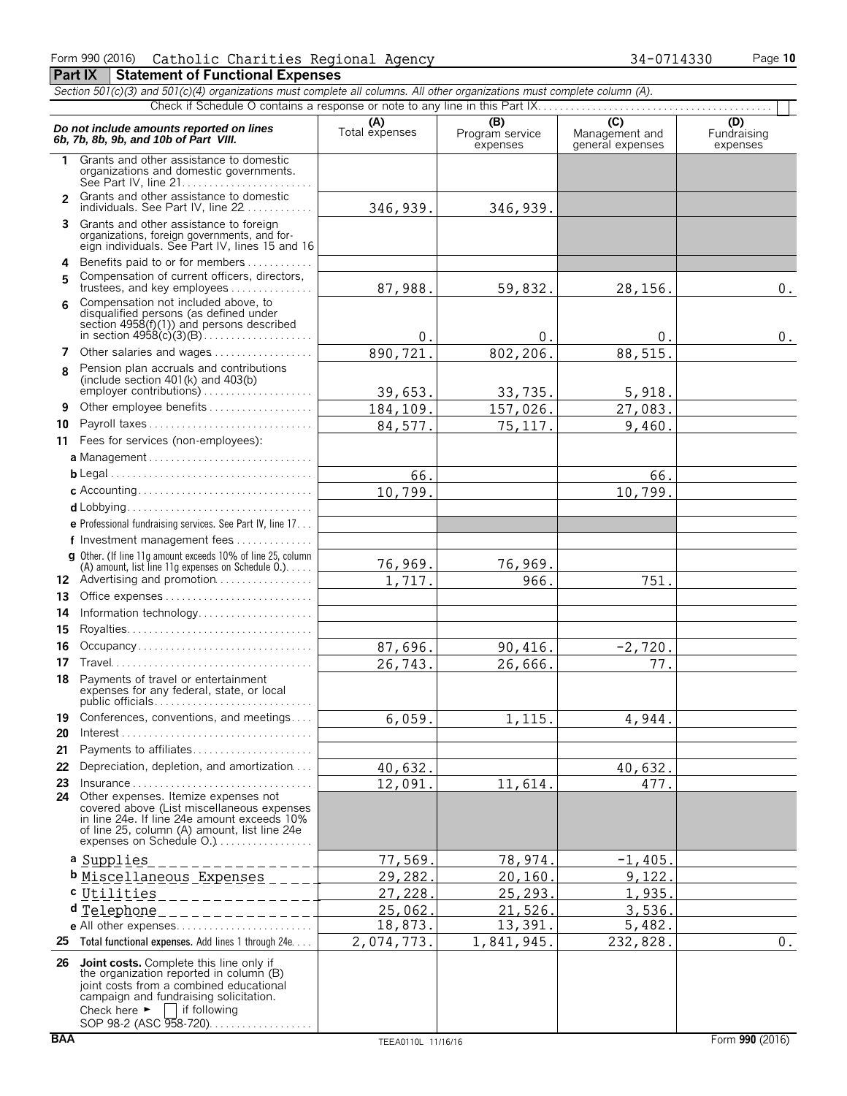#### Form 990 (2016) Page **10** Catholic Charities Regional Agency 34-0714330 **Part IX | Statement of Functional Expenses**

|               | Section 501(c)(3) and 501(c)(4) organizations must complete all columns. All other organizations must complete column (A).                                                                                                     |                       |                                    |                                                      |                                |
|---------------|--------------------------------------------------------------------------------------------------------------------------------------------------------------------------------------------------------------------------------|-----------------------|------------------------------------|------------------------------------------------------|--------------------------------|
|               |                                                                                                                                                                                                                                |                       |                                    |                                                      |                                |
|               | Do not include amounts reported on lines<br>6b, 7b, 8b, 9b, and 10b of Part VIII.                                                                                                                                              | (A)<br>Total expenses | (B)<br>Program service<br>expenses | $\overline{C}$<br>Management and<br>general expenses | (D)<br>Fundraising<br>expenses |
| 1.            | Grants and other assistance to domestic<br>organizations and domestic governments.<br>See Part IV, line 21                                                                                                                     |                       |                                    |                                                      |                                |
| $\mathcal{P}$ | Grants and other assistance to domestic<br>individuals. See Part IV, line 22                                                                                                                                                   | 346,939.              | 346,939.                           |                                                      |                                |
| 3             | Grants and other assistance to foreign<br>organizations, foreign governments, and for-<br>eign individuals. See Part IV, lines 15 and 16                                                                                       |                       |                                    |                                                      |                                |
| 4             | Benefits paid to or for members                                                                                                                                                                                                |                       |                                    |                                                      |                                |
| 5             | Compensation of current officers, directors,<br>trustees, and key employees                                                                                                                                                    | 87,988.               | 59,832.                            | 28,156.                                              | $\boldsymbol{0}$ .             |
| 6             | Compensation not included above, to                                                                                                                                                                                            |                       |                                    |                                                      |                                |
|               | disqualified persons (as defined under<br>section $4958(f)(1)$ ) and persons described                                                                                                                                         | 0.                    | 0.                                 | 0.                                                   | 0.                             |
| 7             | Other salaries and wages                                                                                                                                                                                                       | 890,721.              | 802,206.                           | 88,515.                                              |                                |
| <b>R</b>      | Pension plan accruals and contributions<br>(include section $401(k)$ and $403(b)$<br>employer contributions)                                                                                                                   | 39,653.               | 33,735.                            | 5,918.                                               |                                |
| 9             | Other employee benefits                                                                                                                                                                                                        | 184,109.              | 157,026.                           | 27,083.                                              |                                |
| 10            | Payroll taxes                                                                                                                                                                                                                  | 84,577.               | 75,117.                            | 9,460.                                               |                                |
|               | 11 Fees for services (non-employees):                                                                                                                                                                                          |                       |                                    |                                                      |                                |
|               |                                                                                                                                                                                                                                |                       |                                    |                                                      |                                |
|               |                                                                                                                                                                                                                                | 66.                   |                                    | 66.                                                  |                                |
|               |                                                                                                                                                                                                                                | 10,799.               |                                    | 10,799.                                              |                                |
|               |                                                                                                                                                                                                                                |                       |                                    |                                                      |                                |
|               | e Professional fundraising services. See Part IV, line 17                                                                                                                                                                      |                       |                                    |                                                      |                                |
|               | f Investment management fees                                                                                                                                                                                                   |                       |                                    |                                                      |                                |
|               | g Other. (If line 11g amount exceeds 10% of line 25, column<br>(A) amount, list line 11g expenses on Schedule $0.$ )                                                                                                           | 76,969.               | 76,969.                            |                                                      |                                |
|               | 12 Advertising and promotion                                                                                                                                                                                                   | 1,717.                | 966.                               | 751.                                                 |                                |
| 13            | Office expenses                                                                                                                                                                                                                |                       |                                    |                                                      |                                |
| 14            | Information technology                                                                                                                                                                                                         |                       |                                    |                                                      |                                |
| 15            |                                                                                                                                                                                                                                |                       |                                    |                                                      |                                |
| 16            |                                                                                                                                                                                                                                | 87,696.               | 90,416.                            | $-2,720.$                                            |                                |
| 17            |                                                                                                                                                                                                                                | 26,743.               | 26,666.                            | 77.                                                  |                                |
|               | 18 Payments of travel or entertainment<br>expenses for any federal, state, or local<br>public officials.                                                                                                                       |                       |                                    |                                                      |                                |
| 19            | Conferences, conventions, and meetings                                                                                                                                                                                         | 6,059.                | 1,115.                             | 4,944.                                               |                                |
| 20            |                                                                                                                                                                                                                                |                       |                                    |                                                      |                                |
| 21            | Payments to affiliates                                                                                                                                                                                                         |                       |                                    |                                                      |                                |
| 22            | Depreciation, depletion, and amortization                                                                                                                                                                                      | 40,632.               |                                    | 40,632.                                              |                                |
| 23            | Insurance                                                                                                                                                                                                                      | 12,091.               | 11,614.                            | 477.                                                 |                                |
|               | 24 Other expenses. Itemize expenses not<br>covered above (List miscellaneous expenses<br>in line 24e. If line 24e amount exceeds 10%<br>of line 25, column (A) amount, list line 24e                                           |                       |                                    |                                                      |                                |
|               |                                                                                                                                                                                                                                |                       |                                    |                                                      |                                |
|               | a Supplies                                                                                                                                                                                                                     | 77,569.               | 78,974.                            | $-1,405.$                                            |                                |
|               | <u>b Miscellaneous Expenses </u>                                                                                                                                                                                               | 29,282.               | 20, 160.                           | 9,122.                                               |                                |
|               | c Utilities                                                                                                                                                                                                                    | 27,228.               | 25,293.                            | 1,935                                                |                                |
|               | d Telephone                                                                                                                                                                                                                    | 25,062.               | 21,526.                            | 3,536.                                               |                                |
|               | e All other expenses<br>25 Total functional expenses. Add lines 1 through 24e.                                                                                                                                                 | 18,873.               | 13,391.                            | 5,482.                                               |                                |
|               |                                                                                                                                                                                                                                | 2,074,773.            | 1,841,945.                         | 232,828.                                             | 0.                             |
|               | 26 Joint costs. Complete this line only if<br>the organization reported in column (B)<br>joint costs from a combined educational<br>campaign and fundraising solicitation.<br>Check here $\blacktriangleright$<br>if following |                       |                                    |                                                      |                                |

SOP 98-2 (ASC 958-720). . . . . . . . . . . . . . . . .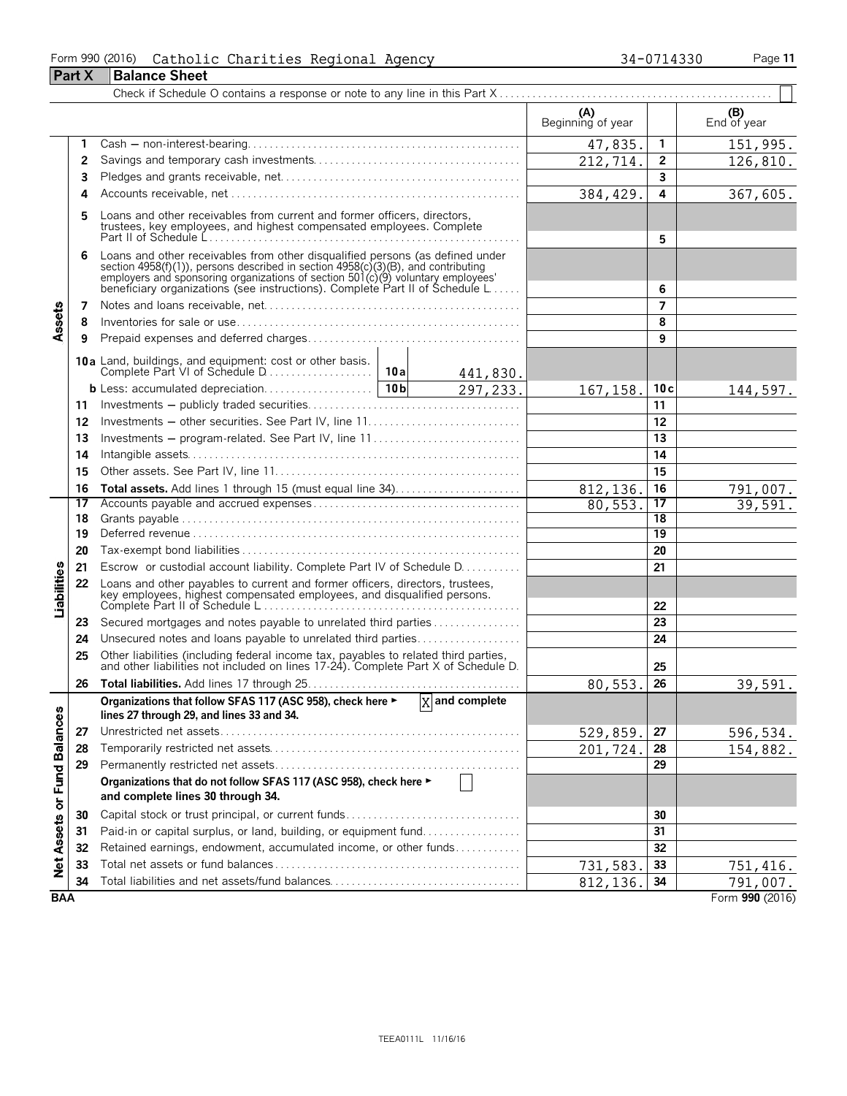#### Form 990 (2016) Page **11** Catholic Charities Regional Agency 34-0714330

|                             | <b>Part X</b> | <b>Balance Sheet</b>                                                                                                                                                                                                                                                                                                 |                             |                          |                 |                    |
|-----------------------------|---------------|----------------------------------------------------------------------------------------------------------------------------------------------------------------------------------------------------------------------------------------------------------------------------------------------------------------------|-----------------------------|--------------------------|-----------------|--------------------|
|                             |               |                                                                                                                                                                                                                                                                                                                      |                             |                          |                 |                    |
|                             |               |                                                                                                                                                                                                                                                                                                                      |                             | (A)<br>Beginning of year |                 | (B)<br>End of year |
|                             | 1             |                                                                                                                                                                                                                                                                                                                      |                             | 47,835.                  | $\mathbf{1}$    | 151,995.           |
|                             | 2             |                                                                                                                                                                                                                                                                                                                      |                             | 212,714.                 | $\mathbf{2}$    | 126,810.           |
|                             | 3             |                                                                                                                                                                                                                                                                                                                      |                             |                          | $\overline{3}$  |                    |
|                             | 4             |                                                                                                                                                                                                                                                                                                                      |                             | 384,429.                 | 4               | 367,605.           |
|                             | 5             | Loans and other receivables from current and former officers, directors,<br>trustees, key employees, and highest compensated employees. Complete                                                                                                                                                                     |                             |                          | 5               |                    |
|                             | 6             | Loans and other receivables from other disqualified persons (as defined under<br>section 4958(f)(1)), persons described in section 4958(c)(3)(B), and contributing<br>employers and sponsoring organizations of section 501(c)(9) voluntary employees<br>beneficiary organizations (see instructions). Complete Part |                             |                          | 6               |                    |
|                             | 7             |                                                                                                                                                                                                                                                                                                                      |                             |                          | $\overline{7}$  |                    |
| Assets                      | 8             |                                                                                                                                                                                                                                                                                                                      |                             |                          | 8               |                    |
|                             | 9             |                                                                                                                                                                                                                                                                                                                      |                             |                          | 9               |                    |
|                             |               |                                                                                                                                                                                                                                                                                                                      | 441,830.                    |                          |                 |                    |
|                             |               |                                                                                                                                                                                                                                                                                                                      | 297,233.                    | 167,158.                 | 10c             | 144,597.           |
|                             | 11            |                                                                                                                                                                                                                                                                                                                      |                             |                          | 11              |                    |
|                             | 12            | Investments - other securities. See Part IV, line 11                                                                                                                                                                                                                                                                 |                             |                          | 12              |                    |
|                             | 13            | Investments – program-related. See Part IV, line 11                                                                                                                                                                                                                                                                  |                             |                          | 13              |                    |
|                             | 14            |                                                                                                                                                                                                                                                                                                                      |                             |                          | 14              |                    |
|                             | 15            |                                                                                                                                                                                                                                                                                                                      |                             |                          | 15              |                    |
|                             | 16            |                                                                                                                                                                                                                                                                                                                      |                             | 812, 136.                | 16              | 791,007.           |
|                             | 17            |                                                                                                                                                                                                                                                                                                                      |                             | 80, 553.                 | 17              | 39,591.            |
|                             | 18            |                                                                                                                                                                                                                                                                                                                      |                             |                          | 18              |                    |
|                             | 19            |                                                                                                                                                                                                                                                                                                                      |                             |                          | $\overline{19}$ |                    |
|                             | 20            |                                                                                                                                                                                                                                                                                                                      |                             |                          | 20              |                    |
|                             | 21            | Escrow or custodial account liability. Complete Part IV of Schedule D.                                                                                                                                                                                                                                               |                             |                          | 21              |                    |
| Liabilities                 | 22            | Loans and other payables to current and former officers, directors, trustees,                                                                                                                                                                                                                                        |                             |                          | 22              |                    |
|                             | 23            | Secured mortgages and notes payable to unrelated third parties                                                                                                                                                                                                                                                       |                             |                          | 23              |                    |
|                             | 24            | Unsecured notes and loans payable to unrelated third parties                                                                                                                                                                                                                                                         |                             |                          | 24              |                    |
|                             | 25            |                                                                                                                                                                                                                                                                                                                      |                             |                          |                 |                    |
|                             |               | Other liabilities (including federal income tax, payables to related third parties, and other liabilities not included on lines 17-24). Complete Part X of Schedule D.                                                                                                                                               |                             |                          | 25              |                    |
|                             | 26            |                                                                                                                                                                                                                                                                                                                      |                             | 80,553.                  | 26              | 39,591.            |
|                             |               | Organizations that follow SFAS 117 (ASC 958), check here ►<br>lines 27 through 29, and lines 33 and 34.                                                                                                                                                                                                              | $\overline{X}$ and complete |                          |                 |                    |
|                             | 27            |                                                                                                                                                                                                                                                                                                                      |                             | 529,859.                 | 27              | 596,534.           |
|                             | 28            |                                                                                                                                                                                                                                                                                                                      |                             | 201,724.                 | 28              | 154,882.           |
|                             | 29            |                                                                                                                                                                                                                                                                                                                      |                             |                          | 29              |                    |
| Net Assets or Fund Balances |               | Organizations that do not follow SFAS 117 (ASC 958), check here ►<br>and complete lines 30 through 34.                                                                                                                                                                                                               | $\vert \ \ \vert$           |                          |                 |                    |
|                             | 30            | Capital stock or trust principal, or current funds                                                                                                                                                                                                                                                                   |                             |                          | 30              |                    |
|                             | 31            | Paid-in or capital surplus, or land, building, or equipment fund                                                                                                                                                                                                                                                     |                             |                          | 31              |                    |
|                             | 32            | Retained earnings, endowment, accumulated income, or other funds                                                                                                                                                                                                                                                     |                             |                          | 32              |                    |
|                             | 33            |                                                                                                                                                                                                                                                                                                                      |                             | 731,583.                 | 33              | 751,416.           |
|                             | 34            |                                                                                                                                                                                                                                                                                                                      |                             | 812, 136.                | 34              | 791,007.           |
| <b>BAA</b>                  |               |                                                                                                                                                                                                                                                                                                                      |                             |                          |                 | Form 990 (2016)    |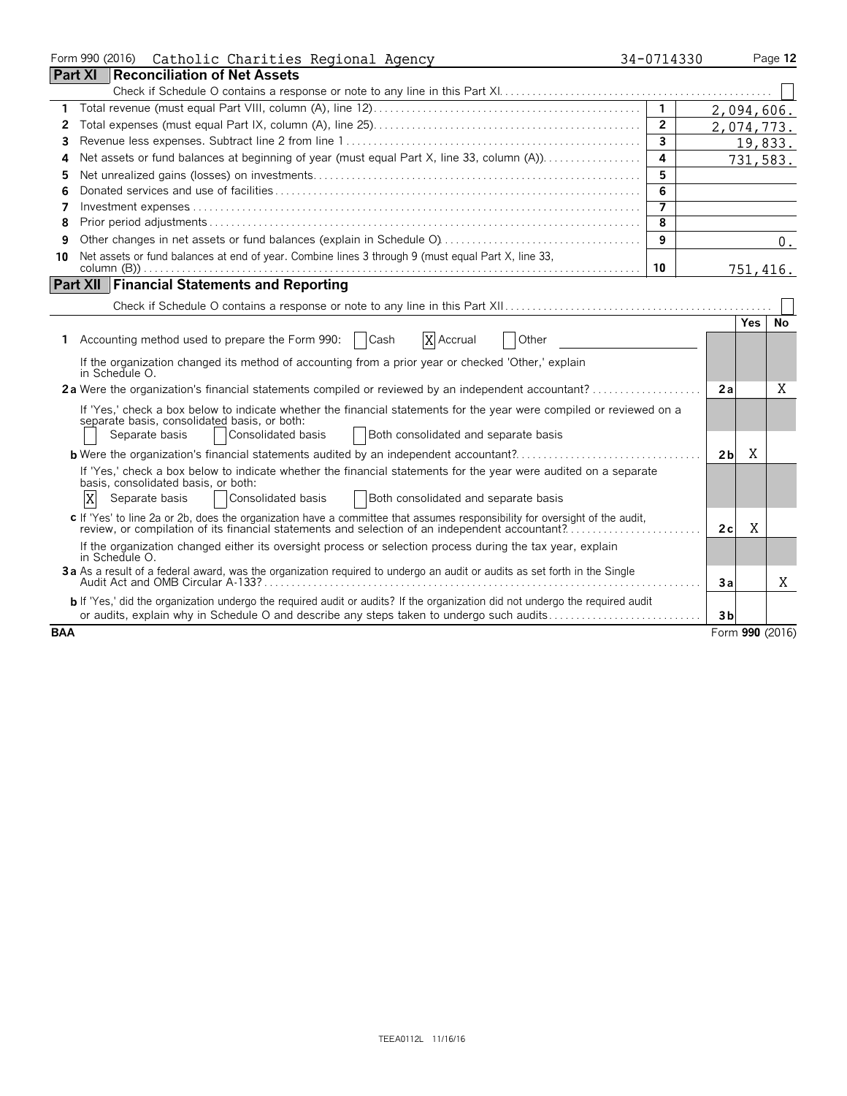|                | Form 990 (2016) Catholic Charities Regional Agency                                                                                                                                                                                                   | 34-0714330     |                     | Page 12         |
|----------------|------------------------------------------------------------------------------------------------------------------------------------------------------------------------------------------------------------------------------------------------------|----------------|---------------------|-----------------|
| <b>Part XI</b> | Reconciliation of Net Assets                                                                                                                                                                                                                         |                |                     |                 |
|                |                                                                                                                                                                                                                                                      |                |                     |                 |
| 1              |                                                                                                                                                                                                                                                      | $\mathbf{1}$   | 2,094,606.          |                 |
| 2              |                                                                                                                                                                                                                                                      | $\overline{2}$ | 2,074,773.          |                 |
| 3              |                                                                                                                                                                                                                                                      | $\overline{3}$ |                     | 19,833.         |
| 4              | Net assets or fund balances at beginning of year (must equal Part X, line 33, column (A))                                                                                                                                                            | 4              |                     | 731,583.        |
| 5              |                                                                                                                                                                                                                                                      | 5              |                     |                 |
| 6              |                                                                                                                                                                                                                                                      | 6              |                     |                 |
| 7              |                                                                                                                                                                                                                                                      | 7              |                     |                 |
| 8              |                                                                                                                                                                                                                                                      | 8              |                     |                 |
| 9              |                                                                                                                                                                                                                                                      | 9              |                     | $0$ .           |
| 10             | Net assets or fund balances at end of year. Combine lines 3 through 9 (must equal Part X, line 33,                                                                                                                                                   | 10             |                     | 751,416.        |
|                | <b>Part XII Financial Statements and Reporting</b>                                                                                                                                                                                                   |                |                     |                 |
|                |                                                                                                                                                                                                                                                      |                |                     |                 |
|                |                                                                                                                                                                                                                                                      |                | <b>Yes</b>          | No              |
| 1.             | X Accrual<br>Accounting method used to prepare the Form 990:<br>Cash<br>Other                                                                                                                                                                        |                |                     |                 |
|                | If the organization changed its method of accounting from a prior year or checked 'Other,' explain<br>in Schedule O.                                                                                                                                 |                |                     |                 |
|                | 2a Were the organization's financial statements compiled or reviewed by an independent accountant?                                                                                                                                                   |                | 2a                  | X               |
|                | If 'Yes,' check a box below to indicate whether the financial statements for the year were compiled or reviewed on a<br>separate basis, consolidated basis, or both:<br>Consolidated basis<br>Both consolidated and separate basis<br>Separate basis |                |                     |                 |
|                |                                                                                                                                                                                                                                                      |                | X<br>2 <sub>b</sub> |                 |
|                | If 'Yes,' check a box below to indicate whether the financial statements for the year were audited on a separate<br>basis, consolidated basis, or both:<br>X<br>Consolidated basis<br>Both consolidated and separate basis<br>Separate basis         |                |                     |                 |
|                | c If 'Yes' to line 2a or 2b, does the organization have a committee that assumes responsibility for oversight of the audit,<br>review, or compilation of its financial statements and selection of an independent accountant?                        |                | 2 c                 | Χ               |
|                | If the organization changed either its oversight process or selection process during the tax year, explain<br>in Schedule O.                                                                                                                         |                |                     |                 |
|                | 3a As a result of a federal award, was the organization required to undergo an audit or audits as set forth in the Single                                                                                                                            |                | Зa                  | X               |
|                | b If 'Yes,' did the organization undergo the required audit or audits? If the organization did not undergo the required audit<br>or audits, explain why in Schedule O and describe any steps taken to undergo such audits                            |                | 3b                  |                 |
| <b>BAA</b>     |                                                                                                                                                                                                                                                      |                |                     | Form 990 (2016) |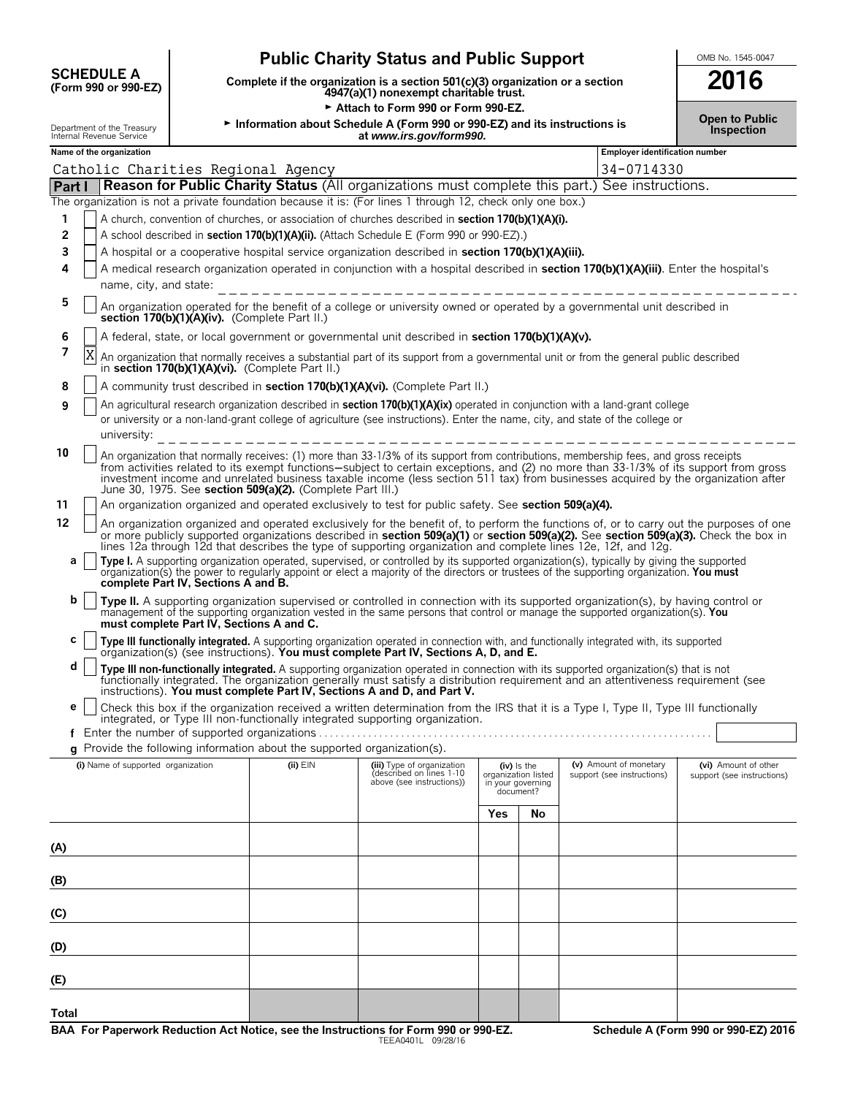| <b>SCHEDULE A</b>    |
|----------------------|
| (Form 990 or 990-EZ) |

# **Public Charity Status and Public Support**

Complete if the organization is a section 501(c)(3) organization or a section **2016**<br>4947(a)(1) nonexempt charitable trust.

Attach to Form 990 or Form 990-EZ.

Department of the Treasury <sup>G</sup>**Information about Schedule A (Form 990 or 990-EZ) and its instructions is Inspection** Internal Revenue Service **at** *www.irs.gov/form990.*

|  | OMB No. 1545-0047 |
|--|-------------------|
|  |                   |

**Open to Public**

|              |   | Name of the organization                                                                                                                                                                                                                                                                                                                                                                                                |                                                                                                                                                                                                                                      |                                                                                    |     |                                                                        | Employer identification number                       |                                                    |
|--------------|---|-------------------------------------------------------------------------------------------------------------------------------------------------------------------------------------------------------------------------------------------------------------------------------------------------------------------------------------------------------------------------------------------------------------------------|--------------------------------------------------------------------------------------------------------------------------------------------------------------------------------------------------------------------------------------|------------------------------------------------------------------------------------|-----|------------------------------------------------------------------------|------------------------------------------------------|----------------------------------------------------|
|              |   | Catholic Charities Regional Agency                                                                                                                                                                                                                                                                                                                                                                                      |                                                                                                                                                                                                                                      |                                                                                    |     |                                                                        | 34-0714330                                           |                                                    |
| Part I       |   | Reason for Public Charity Status (All organizations must complete this part.) See instructions.                                                                                                                                                                                                                                                                                                                         |                                                                                                                                                                                                                                      |                                                                                    |     |                                                                        |                                                      |                                                    |
|              |   | The organization is not a private foundation because it is: (For lines 1 through 12, check only one box.)                                                                                                                                                                                                                                                                                                               |                                                                                                                                                                                                                                      |                                                                                    |     |                                                                        |                                                      |                                                    |
| 1            |   | A church, convention of churches, or association of churches described in section 170(b)(1)(A)(i).                                                                                                                                                                                                                                                                                                                      |                                                                                                                                                                                                                                      |                                                                                    |     |                                                                        |                                                      |                                                    |
| 2            |   | A school described in section 170(b)(1)(A)(ii). (Attach Schedule E (Form 990 or 990-EZ).)                                                                                                                                                                                                                                                                                                                               |                                                                                                                                                                                                                                      |                                                                                    |     |                                                                        |                                                      |                                                    |
| 3            |   | A hospital or a cooperative hospital service organization described in section 170(b)(1)(A)(iii).                                                                                                                                                                                                                                                                                                                       |                                                                                                                                                                                                                                      |                                                                                    |     |                                                                        |                                                      |                                                    |
| 4            |   | A medical research organization operated in conjunction with a hospital described in section 170(b)(1)(A)(iii). Enter the hospital's                                                                                                                                                                                                                                                                                    |                                                                                                                                                                                                                                      |                                                                                    |     |                                                                        |                                                      |                                                    |
|              |   | name, city, and state:                                                                                                                                                                                                                                                                                                                                                                                                  | <u> 1999 - San Amerika Serika Serika Serika Serika Serika Serika Serika Serika Serika Serika Serika Serika Serika Serika Serika Serika Serika Serika Serika Serika Serika Serika Serika Serika Serika Serika Serika Serika Serik</u> |                                                                                    |     |                                                                        |                                                      |                                                    |
| 5            |   | An organization operated for the benefit of a college or university owned or operated by a governmental unit described in<br>section 170(b)(1)(A)(iv). (Complete Part II.)                                                                                                                                                                                                                                              |                                                                                                                                                                                                                                      |                                                                                    |     |                                                                        |                                                      |                                                    |
| 6            |   | A federal, state, or local government or governmental unit described in section 170(b)(1)(A)(v).                                                                                                                                                                                                                                                                                                                        |                                                                                                                                                                                                                                      |                                                                                    |     |                                                                        |                                                      |                                                    |
| 7            | Χ | An organization that normally receives a substantial part of its support from a governmental unit or from the general public described<br>in section 170(b)(1)(A)(vi). (Complete Part II.)                                                                                                                                                                                                                              |                                                                                                                                                                                                                                      |                                                                                    |     |                                                                        |                                                      |                                                    |
| 8            |   | A community trust described in section 170(b)(1)(A)(vi). (Complete Part II.)                                                                                                                                                                                                                                                                                                                                            |                                                                                                                                                                                                                                      |                                                                                    |     |                                                                        |                                                      |                                                    |
| 9            |   | An agricultural research organization described in section 170(b)(1)(A)(ix) operated in conjunction with a land-grant college                                                                                                                                                                                                                                                                                           |                                                                                                                                                                                                                                      |                                                                                    |     |                                                                        |                                                      |                                                    |
|              |   | or university or a non-land-grant college of agriculture (see instructions). Enter the name, city, and state of the college or<br>university:                                                                                                                                                                                                                                                                           |                                                                                                                                                                                                                                      |                                                                                    |     |                                                                        |                                                      |                                                    |
| 10           |   | An organization that normally receives: (1) more than 33-1/3% of its support from contributions, membership fees, and gross receipts                                                                                                                                                                                                                                                                                    |                                                                                                                                                                                                                                      |                                                                                    |     |                                                                        |                                                      |                                                    |
|              |   | from activities related to its exempt functions-subject to certain exceptions, and (2) no more than 33-1/3% of its support from gross<br>investment income and unrelated business taxable income (less section 511 tax) from businesses acquired by the organization after                                                                                                                                              |                                                                                                                                                                                                                                      |                                                                                    |     |                                                                        |                                                      |                                                    |
|              |   | June 30, 1975. See section 509(a)(2). (Complete Part III.)                                                                                                                                                                                                                                                                                                                                                              |                                                                                                                                                                                                                                      |                                                                                    |     |                                                                        |                                                      |                                                    |
| 11           |   | An organization organized and operated exclusively to test for public safety. See section 509(a)(4).                                                                                                                                                                                                                                                                                                                    |                                                                                                                                                                                                                                      |                                                                                    |     |                                                                        |                                                      |                                                    |
| 12           |   | An organization organized and operated exclusively for the benefit of, to perform the functions of, or to carry out the purposes of one<br>or more publicly supported organizations described in <b>section 509(a)(1)</b> or <b>section 509(a)(2).</b> See <b>section 509(a)(3).</b> Check the box in<br>lines 12a through 12d that describes the type of supporting organization and complete lines 12e, 12f, and 12g. |                                                                                                                                                                                                                                      |                                                                                    |     |                                                                        |                                                      |                                                    |
| a            |   | Type I. A supporting organization operated, supervised, or controlled by its supported organization(s), typically by giving the supported                                                                                                                                                                                                                                                                               |                                                                                                                                                                                                                                      |                                                                                    |     |                                                                        |                                                      |                                                    |
|              |   | organization(s) the power to regularly appoint or elect a majority of the directors or trustees of the supporting organization. You must<br>complete Part IV, Sections A and B.                                                                                                                                                                                                                                         |                                                                                                                                                                                                                                      |                                                                                    |     |                                                                        |                                                      |                                                    |
| b            |   | Type II. A supporting organization supervised or controlled in connection with its supported organization(s), by having control or<br>management of the supporting organization vested in the same persons that control or manage the supported organization(s). You<br>must complete Part IV, Sections A and C.                                                                                                        |                                                                                                                                                                                                                                      |                                                                                    |     |                                                                        |                                                      |                                                    |
| c            |   | Type III functionally integrated. A supporting organization operated in connection with, and functionally integrated with, its supported organization(s) (see instructions). You must complete Part IV, Sections A, D, and E.                                                                                                                                                                                           |                                                                                                                                                                                                                                      |                                                                                    |     |                                                                        |                                                      |                                                    |
| d            |   | Type III non-functionally integrated. A supporting organization operated in connection with its supported organization(s) that is not<br>functionally integrated. The organization generally must satisfy a distribution requirement and an attentiveness requirement (see<br>instructions). You must complete Part IV, Sections A and D, and Part V.                                                                   |                                                                                                                                                                                                                                      |                                                                                    |     |                                                                        |                                                      |                                                    |
| e            |   | Check this box if the organization received a written determination from the IRS that it is a Type I, Type II, Type III functionally<br>integrated, or Type III non-functionally integrated supporting organization.                                                                                                                                                                                                    |                                                                                                                                                                                                                                      |                                                                                    |     |                                                                        |                                                      |                                                    |
|              |   |                                                                                                                                                                                                                                                                                                                                                                                                                         |                                                                                                                                                                                                                                      |                                                                                    |     |                                                                        |                                                      |                                                    |
|              |   | g Provide the following information about the supported organization(s).                                                                                                                                                                                                                                                                                                                                                |                                                                                                                                                                                                                                      |                                                                                    |     |                                                                        |                                                      |                                                    |
|              |   | (i) Name of supported organization                                                                                                                                                                                                                                                                                                                                                                                      | (ii) EIN                                                                                                                                                                                                                             | (iii) Type of organization<br>described on lines 1-10<br>above (see instructions)) |     | $(iv)$ is the<br>organization listed<br>in your governing<br>document? | (v) Amount of monetary<br>support (see instructions) | (vi) Amount of other<br>support (see instructions) |
|              |   |                                                                                                                                                                                                                                                                                                                                                                                                                         |                                                                                                                                                                                                                                      |                                                                                    | Yes | No                                                                     |                                                      |                                                    |
|              |   |                                                                                                                                                                                                                                                                                                                                                                                                                         |                                                                                                                                                                                                                                      |                                                                                    |     |                                                                        |                                                      |                                                    |
| (A)          |   |                                                                                                                                                                                                                                                                                                                                                                                                                         |                                                                                                                                                                                                                                      |                                                                                    |     |                                                                        |                                                      |                                                    |
|              |   |                                                                                                                                                                                                                                                                                                                                                                                                                         |                                                                                                                                                                                                                                      |                                                                                    |     |                                                                        |                                                      |                                                    |
| (B)          |   |                                                                                                                                                                                                                                                                                                                                                                                                                         |                                                                                                                                                                                                                                      |                                                                                    |     |                                                                        |                                                      |                                                    |
| (C)          |   |                                                                                                                                                                                                                                                                                                                                                                                                                         |                                                                                                                                                                                                                                      |                                                                                    |     |                                                                        |                                                      |                                                    |
| (D)          |   |                                                                                                                                                                                                                                                                                                                                                                                                                         |                                                                                                                                                                                                                                      |                                                                                    |     |                                                                        |                                                      |                                                    |
| (E)          |   |                                                                                                                                                                                                                                                                                                                                                                                                                         |                                                                                                                                                                                                                                      |                                                                                    |     |                                                                        |                                                      |                                                    |
| <b>Total</b> |   |                                                                                                                                                                                                                                                                                                                                                                                                                         |                                                                                                                                                                                                                                      |                                                                                    |     |                                                                        |                                                      |                                                    |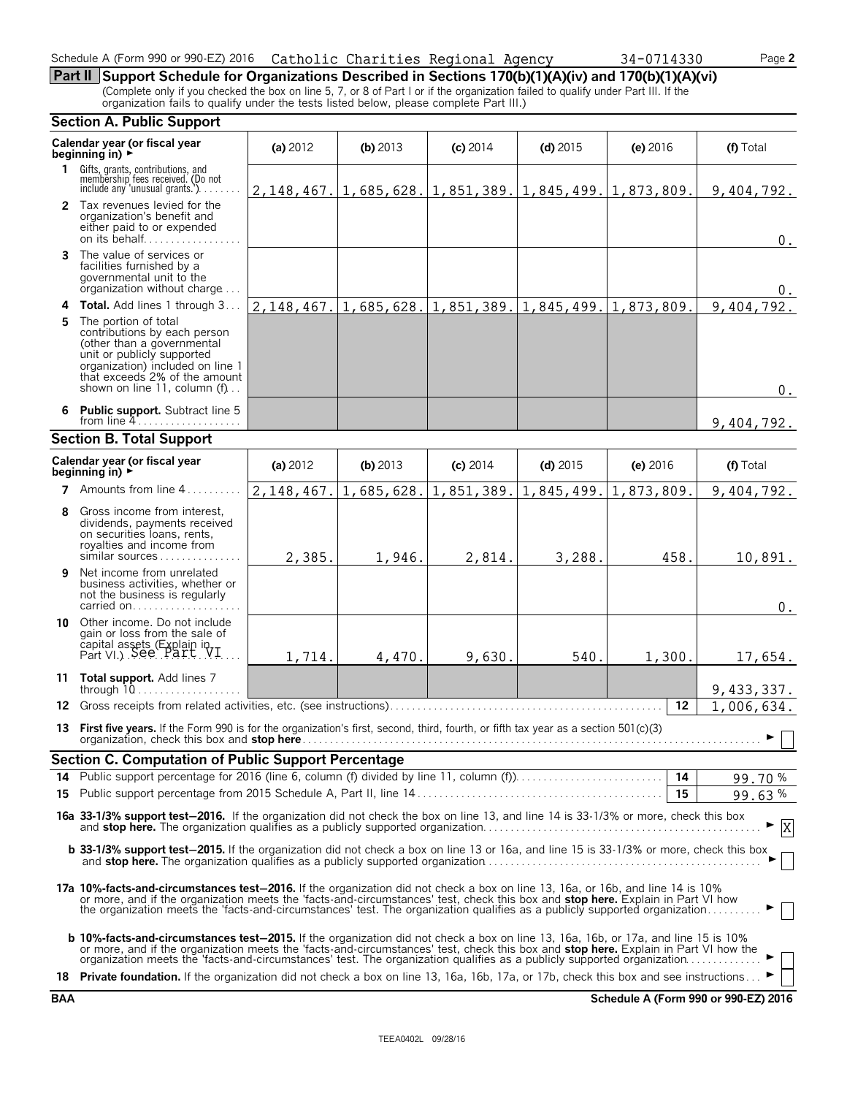#### Schedule A (Form 990 or 990-EZ) 2016 Catholic Charities Regional Agency 34-0714330 Page **2**

**Part II Support Schedule for Organizations Described in Sections 170(b)(1)(A)(iv) and 170(b)(1)(A)(vi)** (Complete only if you checked the box on line 5, 7, or 8 of Part I or if the organization failed to qualify under Part III. If the organization fails to qualify under the tests listed below, please complete Part III.)

|    | <b>Section A. Public Support</b>                                                                                                                                                                                                                                                                                                                                                                |            |            |            |                                          |            |                              |
|----|-------------------------------------------------------------------------------------------------------------------------------------------------------------------------------------------------------------------------------------------------------------------------------------------------------------------------------------------------------------------------------------------------|------------|------------|------------|------------------------------------------|------------|------------------------------|
|    | Calendar year (or fiscal year<br>beginning in) ►                                                                                                                                                                                                                                                                                                                                                | (a) 2012   | (b) 2013   | $(c)$ 2014 | $(d)$ 2015                               | $(e)$ 2016 | (f) Total                    |
|    | 1 Gifts, grants, contributions, and<br>membership fees received. (Do not<br>include any 'unusual grants.'). $\dots$ .                                                                                                                                                                                                                                                                           | 2,148,467. |            |            | $1,685,628.$ $ 1,851,389.$ $ 1,845,499.$ | 1,873,809. | 9,404,792.                   |
|    | 2 Tax revenues levied for the<br>organization's benefit and<br>either paid to or expended<br>on its behalf                                                                                                                                                                                                                                                                                      |            |            |            |                                          |            | $0$ .                        |
|    | 3 The value of services or<br>facilities furnished by a<br>governmental unit to the<br>organization without charge                                                                                                                                                                                                                                                                              |            |            |            |                                          |            | 0.                           |
|    | <b>4 Total.</b> Add lines 1 through 3                                                                                                                                                                                                                                                                                                                                                           | 2,148,467. | 1,685,628. | 1,851,389. | 1,845,499.                               | 1,873,809. | 9,404,792.                   |
| 5. | The portion of total<br>contributions by each person<br>(other than a governmental<br>unit or publicly supported<br>organization) included on line 1<br>that exceeds 2% of the amount<br>shown on line 11, column $(f)$                                                                                                                                                                         |            |            |            |                                          |            | $0$ .                        |
|    | 6 Public support. Subtract line 5<br>from line $4, \ldots, \ldots, \ldots, \ldots$                                                                                                                                                                                                                                                                                                              |            |            |            |                                          |            | 9,404,792.                   |
|    | <b>Section B. Total Support</b>                                                                                                                                                                                                                                                                                                                                                                 |            |            |            |                                          |            |                              |
|    | Calendar year (or fiscal year<br>beginning in) $\rightarrow$                                                                                                                                                                                                                                                                                                                                    | (a) $2012$ | (b) 2013   | $(c)$ 2014 | $(d)$ 2015                               | (e) $2016$ | (f) Total                    |
|    | 7 Amounts from line 4.                                                                                                                                                                                                                                                                                                                                                                          | 2,148,467. | 1,685,628. | 1,851,389. | 1,845,499.                               | 1,873,809. | 9,404,792.                   |
| 8  | Gross income from interest,<br>dividends, payments received<br>on securities loans, rents,<br>royalties and income from<br>similar sources                                                                                                                                                                                                                                                      | 2,385.     | 1,946.     | 2,814.     | 3,288.                                   | 458.       | 10,891.                      |
| 9  | Net income from unrelated<br>business activities, whether or<br>not the business is regularly<br>carried on                                                                                                                                                                                                                                                                                     |            |            |            |                                          |            | $0$ .                        |
| 10 | Other income. Do not include<br>gain or loss from the sale of<br>capital assets (Explain in VI<br>Part VI.) See Part VI                                                                                                                                                                                                                                                                         | 1,714.     | 4,470.     | 9,630.     | 540.                                     | 1,300.     | 17,654.                      |
|    | 11 Total support. Add lines 7<br>through $10, \ldots, \ldots, \ldots$                                                                                                                                                                                                                                                                                                                           |            |            |            |                                          |            | 9,433,337.                   |
|    | 12 Gross receipts from related activities, etc. (see instructions)                                                                                                                                                                                                                                                                                                                              |            |            |            |                                          | 12         | 1,006,634.                   |
|    | 13 First five years. If the Form 990 is for the organization's first, second, third, fourth, or fifth tax year as a section 501(c)(3)                                                                                                                                                                                                                                                           |            |            |            |                                          |            | $\blacktriangleright$ $\Box$ |
|    | Section C. Computation of Public Support Percentage                                                                                                                                                                                                                                                                                                                                             |            |            |            |                                          |            |                              |
|    |                                                                                                                                                                                                                                                                                                                                                                                                 |            |            |            |                                          |            | 99.70%                       |
|    |                                                                                                                                                                                                                                                                                                                                                                                                 |            |            |            |                                          | 15         | 99.63%                       |
|    | 16a 33-1/3% support test-2016. If the organization did not check the box on line 13, and line 14 is 33-1/3% or more, check this box                                                                                                                                                                                                                                                             |            |            |            |                                          |            | $\mathbf{X}$                 |
|    | <b>b 33-1/3% support test-2015.</b> If the organization did not check a box on line 13 or 16a, and line 15 is 33-1/3% or more, check this box                                                                                                                                                                                                                                                   |            |            |            |                                          |            |                              |
|    | 17a 10%-facts-and-circumstances test-2016. If the organization did not check a box on line 13, 16a, or 16b, and line 14 is 10%<br>or more, and if the organization meets the 'facts-and-circumstances' test, check this box and stop here. Explain in Part VI how<br>the organization meets the 'facts-and-circumstances' test. The organization qualifies as a publicly supported organization |            |            |            |                                          |            |                              |
|    | <b>b 10%-facts-and-circumstances test-2015.</b> If the organization did not check a box on line 13, 16a, 16b, or 17a, and line 15 is 10%<br>or more, and if the organization meets the 'facts-and-circumstances' test, check this box and stop here. Explain in Part VI how the organization meets the 'facts-and-circumstances' test. The organization qualifies as a pub                      |            |            |            |                                          |            |                              |
|    | 18 Private foundation. If the organization did not check a box on line 13, 16a, 16b, 17a, or 17b, check this box and see instructions                                                                                                                                                                                                                                                           |            |            |            |                                          |            |                              |

**BAA Schedule A (Form 990 or 990-EZ) 2016**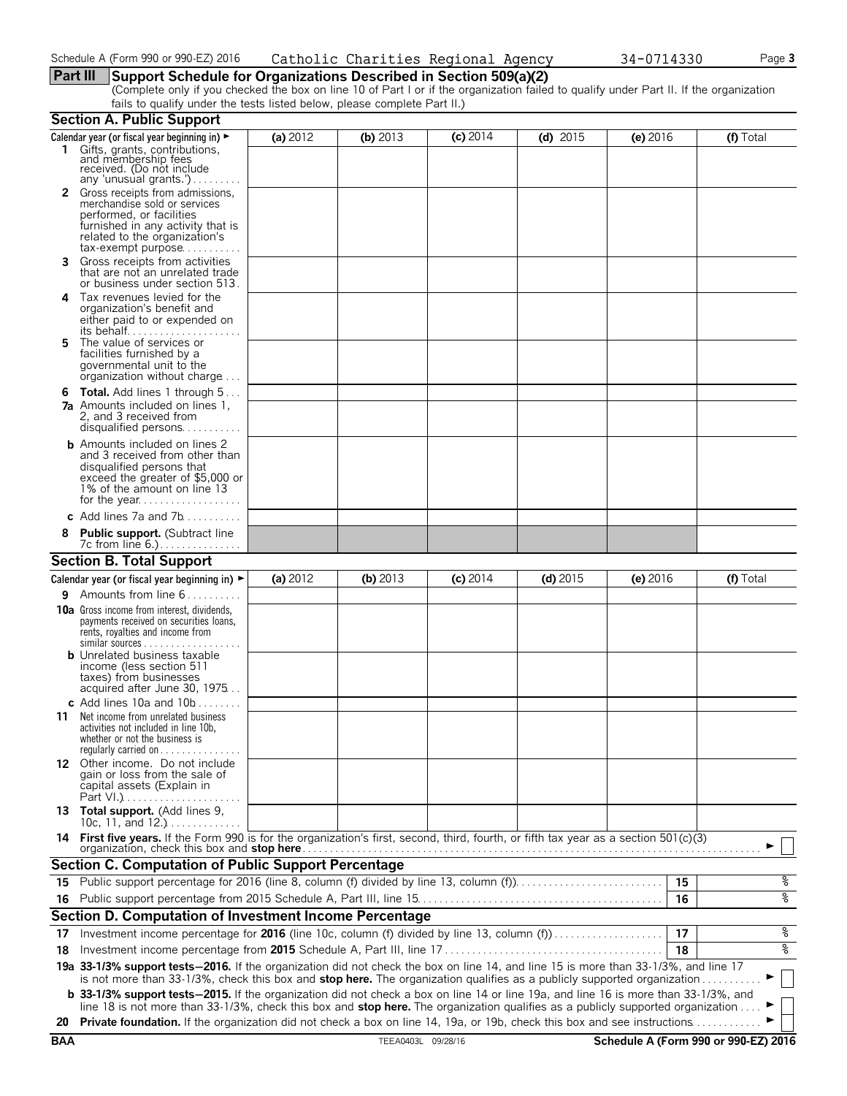# **Part III Support Schedule for Organizations Described in Section 509(a)(2)**

(Complete only if you checked the box on line 10 of Part I or if the organization failed to qualify under Part II. If the organization fails to qualify under the tests listed below, please complete Part II.)

|     | <b>Section A. Public Support</b>                                                                                                                                                                                                                               |          |            |            |            |          |           |
|-----|----------------------------------------------------------------------------------------------------------------------------------------------------------------------------------------------------------------------------------------------------------------|----------|------------|------------|------------|----------|-----------|
|     | Calendar year (or fiscal year beginning in) $\blacktriangleright$                                                                                                                                                                                              | (a) 2012 | (b) $2013$ | $(c)$ 2014 | $(d)$ 2015 | (e) 2016 | (f) Total |
|     | 1 Gifts, grants, contributions,<br>and membership fees<br>received. (Do not include                                                                                                                                                                            |          |            |            |            |          |           |
|     | any 'unusual grants.')<br>2 Gross receipts from admissions,                                                                                                                                                                                                    |          |            |            |            |          |           |
|     | merchandise sold or services                                                                                                                                                                                                                                   |          |            |            |            |          |           |
|     | performed, or facilities<br>furnished in any activity that is                                                                                                                                                                                                  |          |            |            |            |          |           |
|     | related to the organization's                                                                                                                                                                                                                                  |          |            |            |            |          |           |
| 3.  | $tax\text{-}exempt$ purpose<br>Gross receipts from activities                                                                                                                                                                                                  |          |            |            |            |          |           |
|     | that are not an unrelated trade<br>or business under section 513.                                                                                                                                                                                              |          |            |            |            |          |           |
| 4   | Tax revenues levied for the                                                                                                                                                                                                                                    |          |            |            |            |          |           |
|     | organization's benefit and<br>either paid to or expended on                                                                                                                                                                                                    |          |            |            |            |          |           |
|     |                                                                                                                                                                                                                                                                |          |            |            |            |          |           |
| 5   | The value of services or<br>facilities furnished by a                                                                                                                                                                                                          |          |            |            |            |          |           |
|     | governmental unit to the                                                                                                                                                                                                                                       |          |            |            |            |          |           |
|     | organization without charge<br><b>6 Total.</b> Add lines 1 through 5                                                                                                                                                                                           |          |            |            |            |          |           |
|     | <b>7a</b> Amounts included on lines 1,                                                                                                                                                                                                                         |          |            |            |            |          |           |
|     | 2, and 3 received from                                                                                                                                                                                                                                         |          |            |            |            |          |           |
|     | disqualified persons                                                                                                                                                                                                                                           |          |            |            |            |          |           |
|     | <b>b</b> Amounts included on lines 2<br>and 3 received from other than                                                                                                                                                                                         |          |            |            |            |          |           |
|     | disqualified persons that<br>exceed the greater of \$5,000 or                                                                                                                                                                                                  |          |            |            |            |          |           |
|     | 1% of the amount on line 13                                                                                                                                                                                                                                    |          |            |            |            |          |           |
|     | for the year                                                                                                                                                                                                                                                   |          |            |            |            |          |           |
|     | c Add lines $7a$ and $7b$                                                                                                                                                                                                                                      |          |            |            |            |          |           |
|     | <b>Public support.</b> (Subtract line<br>7c from line 6.).                                                                                                                                                                                                     |          |            |            |            |          |           |
|     | <b>Section B. Total Support</b>                                                                                                                                                                                                                                |          |            |            |            |          |           |
|     | Calendar year (or fiscal year beginning in) $\blacktriangleright$                                                                                                                                                                                              | (a) 2012 | $(b)$ 2013 | $(c)$ 2014 | $(d)$ 2015 | (e) 2016 | (f) Total |
|     | 9 Amounts from line 6                                                                                                                                                                                                                                          |          |            |            |            |          |           |
|     | <b>10a</b> Gross income from interest, dividends,                                                                                                                                                                                                              |          |            |            |            |          |           |
|     | payments received on securities loans,<br>rents, royalties and income from                                                                                                                                                                                     |          |            |            |            |          |           |
|     |                                                                                                                                                                                                                                                                |          |            |            |            |          |           |
|     | <b>b</b> Unrelated business taxable<br>income (less section 511                                                                                                                                                                                                |          |            |            |            |          |           |
|     | taxes) from businesses<br>acquired after June 30, 1975                                                                                                                                                                                                         |          |            |            |            |          |           |
|     | c Add lines 10a and $10b$                                                                                                                                                                                                                                      |          |            |            |            |          |           |
| 11. | Net income from unrelated business                                                                                                                                                                                                                             |          |            |            |            |          |           |
|     | activities not included in line 10b,<br>whether or not the business is                                                                                                                                                                                         |          |            |            |            |          |           |
|     | regularly carried on $\dots\dots\dots$                                                                                                                                                                                                                         |          |            |            |            |          |           |
|     | 12 Other income. Do not include                                                                                                                                                                                                                                |          |            |            |            |          |           |
|     | gain or loss from the sale of<br>capital assets (Explain in                                                                                                                                                                                                    |          |            |            |            |          |           |
|     |                                                                                                                                                                                                                                                                |          |            |            |            |          |           |
|     | 13 Total support. (Add lines 9,<br>10c, 11, and $12.$ )                                                                                                                                                                                                        |          |            |            |            |          |           |
|     | 14 First five years. If the Form 990 is for the organization's first, second, third, fourth, or fifth tax year as a section 501(c)(3)                                                                                                                          |          |            |            |            |          |           |
|     | <b>Section C. Computation of Public Support Percentage</b>                                                                                                                                                                                                     |          |            |            |            |          |           |
| 15  | Public support percentage for 2016 (line 8, column (f) divided by line 13, column (f)                                                                                                                                                                          |          |            |            |            | 15       | န့        |
| 16  |                                                                                                                                                                                                                                                                |          |            |            |            | 16       | ०७        |
|     | Section D. Computation of Investment Income Percentage                                                                                                                                                                                                         |          |            |            |            |          |           |
| 17  | Investment income percentage for 2016 (line 10c, column (f) divided by line 13, column (f)                                                                                                                                                                     |          |            |            |            | 17       | %         |
| 18  |                                                                                                                                                                                                                                                                |          |            |            |            | 18       | နွ        |
|     | 19a 33-1/3% support tests-2016. If the organization did not check the box on line 14, and line 15 is more than 33-1/3%, and line 17<br>is not more than 33-1/3%, check this box and stop here. The organization qualifies as a publicly supported organization |          |            |            |            |          |           |
|     | <b>b</b> 33-1/3% support tests-2015. If the organization did not check a box on line 14 or line 19a, and line 16 is more than 33-1/3%, and                                                                                                                     |          |            |            |            |          |           |
|     | line 18 is not more than 33-1/3%, check this box and stop here. The organization qualifies as a publicly supported organization                                                                                                                                |          |            |            |            |          |           |
|     | 20 Private foundation. If the organization did not check a box on line 14, 19a, or 19b, check this box and see instructions                                                                                                                                    |          |            |            |            |          |           |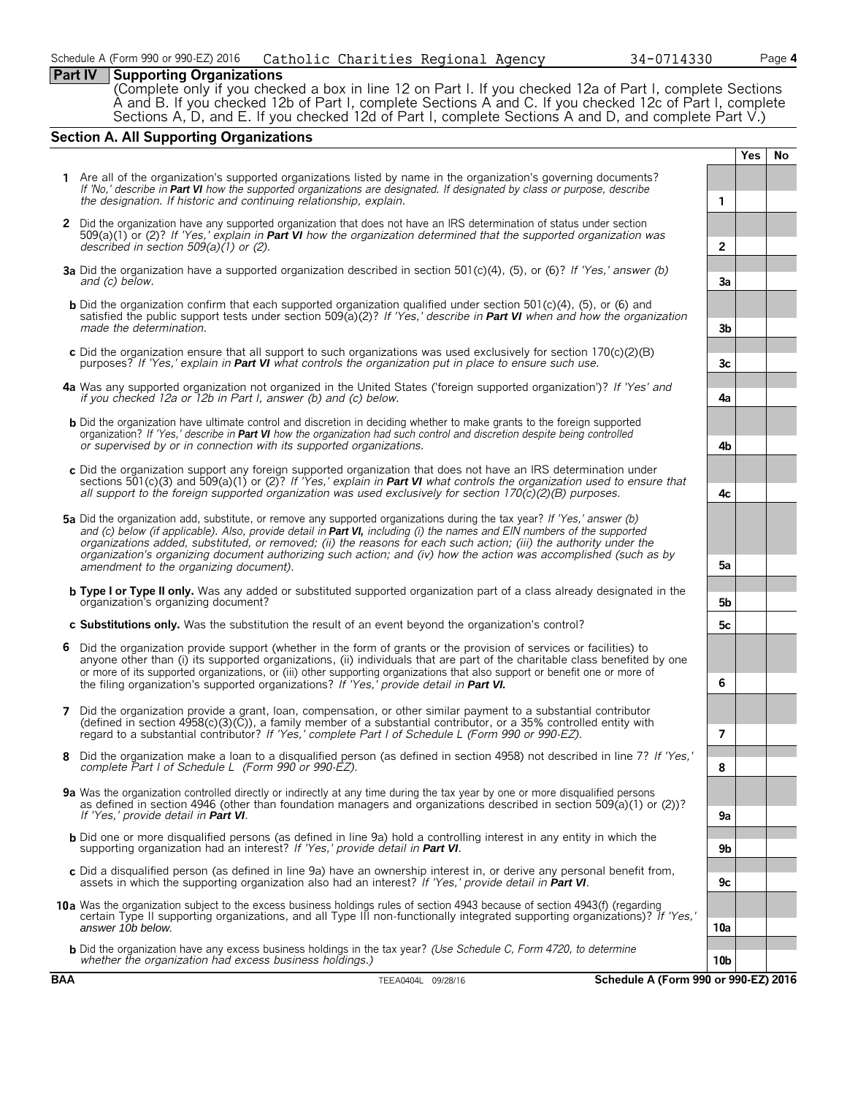#### **Part IV** Supporting Organizations

(Complete only if you checked a box in line 12 on Part I. If you checked 12a of Part I, complete Sections A and B. If you checked 12b of Part I, complete Sections A and C. If you checked 12c of Part I, complete Sections A, D, and E. If you checked 12d of Part I, complete Sections A and D, and complete Part V.)

#### **Section A. All Supporting Organizations**

**Yes No 1** Are all of the organization's supported organizations listed by name in the organization's governing documents? *If 'No,' describe in Part VI how the supported organizations are designated. If designated by class or purpose, describe the designation. If historic and continuing relationship, explain.* **1 2** Did the organization have any supported organization that does not have an IRS determination of status under section 509(a)(1) or (2)? *If 'Yes,' explain in Part VI how the organization determined that the supported organization was described in section 509(a)(1) or (2).* **2 3a** Did the organization have a supported organization described in section 501(c)(4), (5), or (6)? *If 'Yes,' answer (b) and (c) below.* **3a b** Did the organization confirm that each supported organization qualified under section 501(c)(4), (5), or (6) and satisfied the public support tests under section 509(a)(2)? *If 'Yes,' describe in Part VI when and how the organization made the determination.* **3b c** Did the organization ensure that all support to such organizations was used exclusively for section 170(c)(2)(B) purposes? *If 'Yes,' explain in Part VI what controls the organization put in place to ensure such use.* **3c 4a** Was any supported organization not organized in the United States ('foreign supported organization')? *If 'Yes' and if you checked 12a or 12b in Part I, answer (b) and (c) below.* **4a b** Did the organization have ultimate control and discretion in deciding whether to make grants to the foreign supported organization? *If 'Yes,' describe in Part VI how the organization had such control and discretion despite being controlled or supervised by or in connection with its supported organizations.* **4b c** Did the organization support any foreign supported organization that does not have an IRS determination under sections 501(c)(3) and 509(a)(1) or (2)? *If 'Yes,' explain in Part VI what controls the organization used to ensure that all support to the foreign supported organization was used exclusively for section 170(c)(2)(B) purposes.* **4c 5a** Did the organization add, substitute, or remove any supported organizations during the tax year? *If 'Yes,' answer (b) and (c) below (if applicable). Also, provide detail in Part VI, including (i) the names and EIN numbers of the supported organizations added, substituted, or removed; (ii) the reasons for each such action; (iii) the authority under the organization's organizing document authorizing such action; and (iv) how the action was accomplished (such as by amendment to the organizing document).* **5a b Type I or Type II only.** Was any added or substituted supported organization part of a class already designated in the organization's organizing document? **5b c Substitutions only.** Was the substitution the result of an event beyond the organization's control? **5c 6** Did the organization provide support (whether in the form of grants or the provision of services or facilities) to anyone other than (i) its supported organizations, (ii) individuals that are part of the charitable class benefited by one or more of its supported organizations, or (iii) other supporting organizations that also support or benefit one or more of the filing organization's supported organizations? *If 'Yes,' provide detail in Part VI.* **6 7** Did the organization provide a grant, loan, compensation, or other similar payment to a substantial contributor (defined in section  $4958(c)(3)(\tilde{C})$ ), a family member of a substantial contributor, or a 35% controlled entity with regard to a substantial contributor? *If 'Yes,' complete Part I of Schedule L (Form 990 or 990-EZ).* **7 8** Did the organization make a loan to a disqualified person (as defined in section 4958) not described in line 7? *If 'Yes,' complete Part I of Schedule L (Form 990 or 990-EZ).* **8 9a** Was the organization controlled directly or indirectly at any time during the tax year by one or more disqualified persons as defined in section 4946 (other than foundation managers and organizations described in section 509(a)(1) or (2))? *If 'Yes,' provide detail in Part VI*. **9a** b Did one or more disqualified persons (as defined in line 9a) hold a controlling interest in any entity in which the<br>supporting organization had an interest? If 'Yes,' provide detail in Part VI. c Did a disqualified person (as defined in line 9a) have an ownership interest in, or derive any personal benefit from,<br>assets in which the supporting organization also had an interest? If 'Yes,' provide detail in Part VI. **10a** Was the organization subject to the excess business holdings rules of section 4943 because of section 4943(f) (regarding certain Type II supporting organizations, and all Type III non-functionally integrated supporting organizations)? *If 'Yes,' answer 10b below.* **10a b** Did the organization have any excess business holdings in the tax year? *(Use Schedule C, Form 4720, to determine whether the organization had excess business holdings.)* **10b**

| $\frac{1}{2}$ cause $\frac{1}{2}$ of $\frac{1}{2}$ or $\frac{1}{2}$ or $\frac{1}{2}$ or $\frac{1}{2}$ cause $\frac{1}{2}$ | ╰ |
|---------------------------------------------------------------------------------------------------------------------------|---|
| art IV Supporting Organization                                                                                            |   |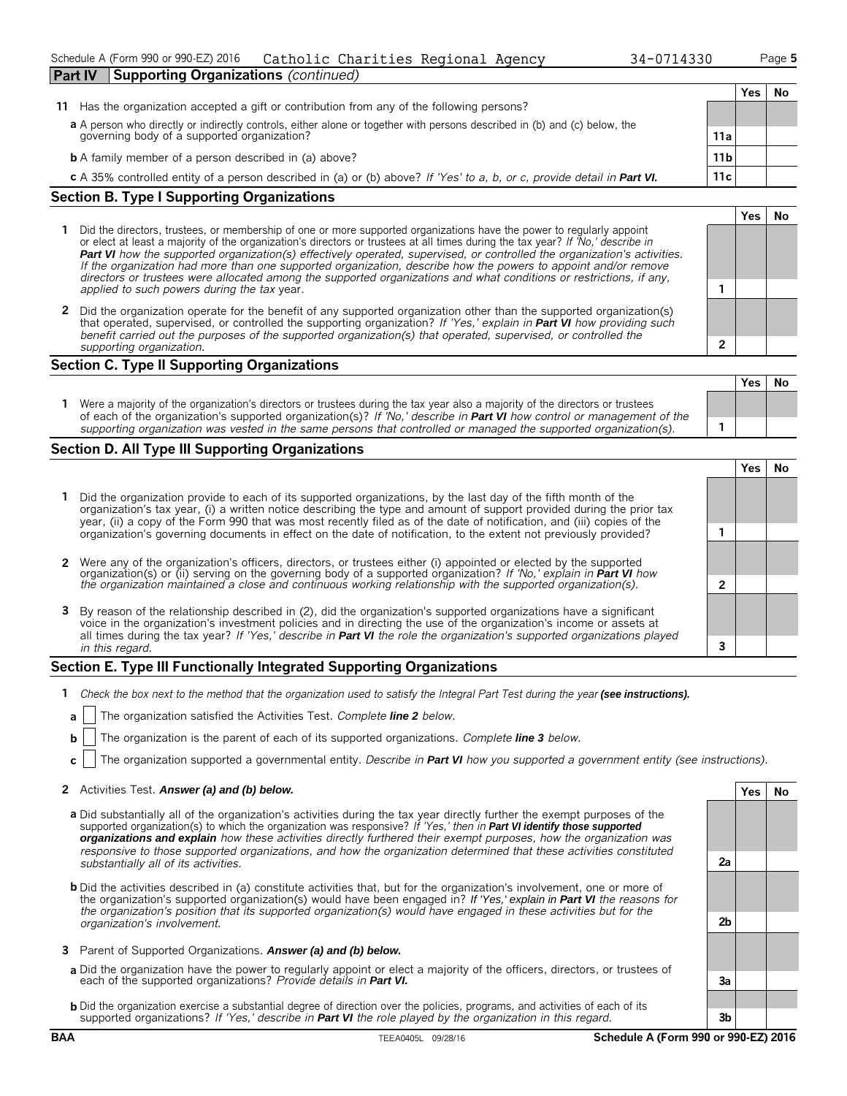| Part IV | <b>Supporting Organizations (continued)</b>                                                                               |                 |     |    |
|---------|---------------------------------------------------------------------------------------------------------------------------|-----------------|-----|----|
|         |                                                                                                                           |                 | Yes | Nο |
| 11      | Has the organization accepted a gift or contribution from any of the following persons?                                   |                 |     |    |
|         | a A person who directly or indirectly controls, either alone or together with persons described in (b) and (c) below, the |                 |     |    |
|         | governing body of a supported organization?                                                                               | 11a             |     |    |
|         | <b>b</b> A family member of a person described in (a) above?                                                              | 11 <sub>b</sub> |     |    |
|         | c A 35% controlled entity of a person described in (a) or (b) above? If 'Yes' to a, b, or c, provide detail in Part VI.   | 11c             |     |    |
|         | Section R. Tyne   Supporting Organizations                                                                                |                 |     |    |

## **Section B. Type I Supporting Organizations**

- **1** Did the directors, trustees, or membership of one or more supported organizations have the power to regularly appoint or elect at least a majority of the organization's directors or trustees at all times during the tax year? *If 'No,' describe in Part VI how the supported organization(s) effectively operated, supervised, or controlled the organization's activities. If the organization had more than one supported organization, describe how the powers to appoint and/or remove directors or trustees were allocated among the supported organizations and what conditions or restrictions, if any, applied to such powers during the tax* year. **1**
- **2** Did the organization operate for the benefit of any supported organization other than the supported organization(s) that operated, supervised, or controlled the supporting organization? *If 'Yes,' explain in Part VI how providing such benefit carried out the purposes of the supported organization(s) that operated, supervised, or controlled the supporting organization.* **2**

### **Section C. Type II Supporting Organizations**

|                                                                                                                                                                                                                                                               | Yes l | Nο |
|---------------------------------------------------------------------------------------------------------------------------------------------------------------------------------------------------------------------------------------------------------------|-------|----|
| Were a majority of the organization's directors or trustees during the tax year also a majority of the directors or trustees<br>of each of the organization's supported organization(s)? If 'No,' describe in <b>Part VI</b> how control or management of the |       |    |
| supporting organization was vested in the same persons that controlled or managed the supported organization(s).                                                                                                                                              |       |    |

# **Section D. All Type III Supporting Organizations**

**Yes No 1** Did the organization provide to each of its supported organizations, by the last day of the fifth month of the organization's tax year, (i) a written notice describing the type and amount of support provided during the prior tax year, (ii) a copy of the Form 990 that was most recently filed as of the date of notification, and (iii) copies of the organization's governing documents in effect on the date of notification, to the extent not previously provided? **1** 2 Were any of the organization's officers, directors, or trustees either (i) appointed or elected by the supported<br>organization(s) or (ii) serving on the governing body of a supported organization? If 'No,' explain in Part *the organization maintained a close and continuous working relationship with the supported organization(s).* **2 3** By reason of the relationship described in (2), did the organization's supported organizations have a significant voice in the organization's investment policies and in directing the use of the organization's income or assets at all times during the tax year? *If 'Yes,' describe in Part VI the role the organization's supported organizations played in this regard.* **3**

# **Section E. Type III Functionally Integrated Supporting Organizations**

- **1** *Check the box next to the method that the organization used to satisfy the Integral Part Test during the year (see instructions).* 
	- **a** The organization satisfied the Activities Test. *Complete line 2 below.*
	- **b** The organization is the parent of each of its supported organizations. *Complete line* 3 *below*.
	- **c** The organization supported a governmental entity. *Describe in Part VI how you supported a government entity (see instructions).*

### **2** Activities Test. **Answer (a) and (b) below.**

- **a** Did substantially all of the organization's activities during the tax year directly further the exempt purposes of the supported organization(s) to which the organization was responsive? *If 'Yes,' then in Part VI identify those supported organizations and explain how these activities directly furthered their exempt purposes, how the organization was responsive to those supported organizations, and how the organization determined that these activities constituted substantially all of its activities.* **2a**
- **b** Did the activities described in (a) constitute activities that, but for the organization's involvement, one or more of the organization's supported organization(s) would have been engaged in? *If 'Yes,' explain in Part VI the reasons for the organization's position that its supported organization(s) would have engaged in these activities but for the organization's involvement.* **2b**
- **3** Parent of Supported Organizations. *Answer (a) and (b) below.*
- **a** Did the organization have the power to regularly appoint or elect a majority of the officers, directors, or trustees of each of the supported organizations? *Provide details in Part VI.* **3a**
- **b** Did the organization exercise a substantial degree of direction over the policies, programs, and activities of each of its supported organizations? *If 'Yes,' describe in Part VI the role played by the organization in this regard.* **3b**

| $1150$ utilibiis). |     |    |  |  |
|--------------------|-----|----|--|--|
|                    | Yes | No |  |  |
|                    |     |    |  |  |
|                    |     |    |  |  |
|                    |     |    |  |  |
| 2a                 |     |    |  |  |
|                    |     |    |  |  |
|                    |     |    |  |  |
| 2 <sub>b</sub>     |     |    |  |  |
|                    |     |    |  |  |
|                    |     |    |  |  |
| 3a                 |     |    |  |  |
|                    |     |    |  |  |
| 3 <sub>b</sub>     |     |    |  |  |

**Yes No**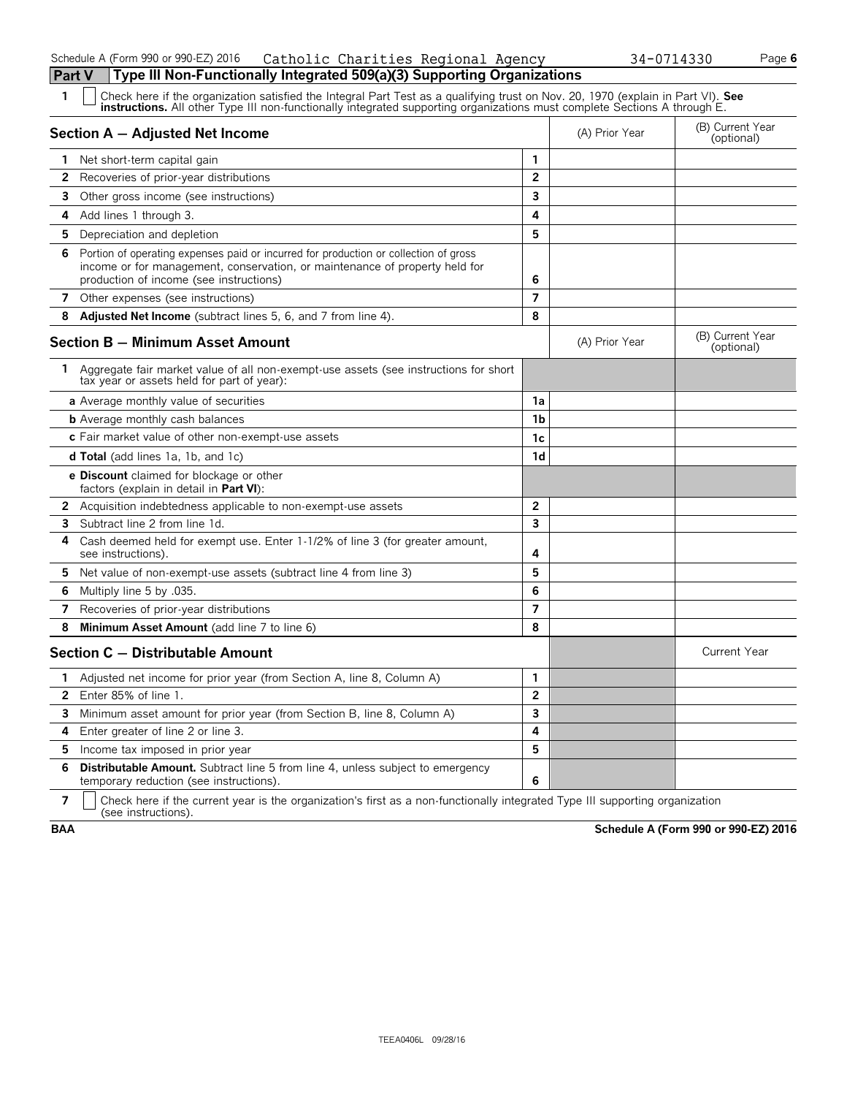| 1              | Check here if the organization satisfied the Integral Part Test as a qualifying trust on Nov. 20, 1970 (explain in Part VI). See<br><b>instructions.</b> All other Type III non-functionally integrated supporting organizations must complete Sections A through E. |                |                |                                |
|----------------|----------------------------------------------------------------------------------------------------------------------------------------------------------------------------------------------------------------------------------------------------------------------|----------------|----------------|--------------------------------|
|                | Section A - Adjusted Net Income                                                                                                                                                                                                                                      |                | (A) Prior Year | (B) Current Year<br>(optional) |
| 1.             | Net short-term capital gain                                                                                                                                                                                                                                          | 1              |                |                                |
| $\overline{2}$ | Recoveries of prior-year distributions                                                                                                                                                                                                                               | $\overline{2}$ |                |                                |
| 3              | Other gross income (see instructions)                                                                                                                                                                                                                                | 3              |                |                                |
| 4              | Add lines 1 through 3.                                                                                                                                                                                                                                               | 4              |                |                                |
| 5              | Depreciation and depletion                                                                                                                                                                                                                                           | 5              |                |                                |
| 6              | Portion of operating expenses paid or incurred for production or collection of gross<br>income or for management, conservation, or maintenance of property held for<br>production of income (see instructions)                                                       | 6              |                |                                |
|                | 7 Other expenses (see instructions)                                                                                                                                                                                                                                  | $\overline{7}$ |                |                                |
| 8              | Adjusted Net Income (subtract lines 5, 6, and 7 from line 4).                                                                                                                                                                                                        | 8              |                |                                |
|                | Section B - Minimum Asset Amount                                                                                                                                                                                                                                     |                | (A) Prior Year | (B) Current Year<br>(optional) |
| 1.             | Aggregate fair market value of all non-exempt-use assets (see instructions for short<br>tax year or assets held for part of year):                                                                                                                                   |                |                |                                |
|                | a Average monthly value of securities                                                                                                                                                                                                                                | 1a             |                |                                |
|                | <b>b</b> Average monthly cash balances                                                                                                                                                                                                                               | 1b             |                |                                |
|                | c Fair market value of other non-exempt-use assets                                                                                                                                                                                                                   | 1c             |                |                                |
|                | <b>d Total</b> (add lines 1a, 1b, and 1c)                                                                                                                                                                                                                            | 1 <sub>d</sub> |                |                                |
|                | <b>e Discount</b> claimed for blockage or other<br>factors (explain in detail in <b>Part VI</b> ):                                                                                                                                                                   |                |                |                                |
| $\mathbf{z}$   | Acquisition indebtedness applicable to non-exempt-use assets                                                                                                                                                                                                         | $\overline{2}$ |                |                                |
| 3              | Subtract line 2 from line 1d.                                                                                                                                                                                                                                        | 3              |                |                                |
| 4              | Cash deemed held for exempt use. Enter 1-1/2% of line 3 (for greater amount,<br>see instructions).                                                                                                                                                                   | 4              |                |                                |
| 5.             | Net value of non-exempt-use assets (subtract line 4 from line 3)                                                                                                                                                                                                     | 5              |                |                                |
| 6              | .035. Multiply line 5 by                                                                                                                                                                                                                                             | 6              |                |                                |
| 7              | Recoveries of prior-year distributions                                                                                                                                                                                                                               | $\overline{7}$ |                |                                |
| 8              | Minimum Asset Amount (add line 7 to line 6)                                                                                                                                                                                                                          | 8              |                |                                |
|                | Section C - Distributable Amount                                                                                                                                                                                                                                     |                |                | <b>Current Year</b>            |
| 1.             | Adjusted net income for prior year (from Section A, line 8, Column A)                                                                                                                                                                                                | 1              |                |                                |
| $\mathbf{2}$   | Enter 85% of line 1.                                                                                                                                                                                                                                                 | $\overline{2}$ |                |                                |
| 3.             | Minimum asset amount for prior year (from Section B, line 8, Column A)                                                                                                                                                                                               | 3              |                |                                |
| 4              | Enter greater of line 2 or line 3.                                                                                                                                                                                                                                   | 4              |                |                                |
| 5              | Income tax imposed in prior year                                                                                                                                                                                                                                     | 5              |                |                                |
| 6              | <b>Distributable Amount.</b> Subtract line 5 from line 4, unless subject to emergency<br>temporary reduction (see instructions).                                                                                                                                     | 6              |                |                                |

**7**  $\mid$  Check here if the current year is the organization's first as a non-functionally integrated Type III supporting organization (see instructions).

**BAA Schedule A (Form 990 or 990-EZ) 2016**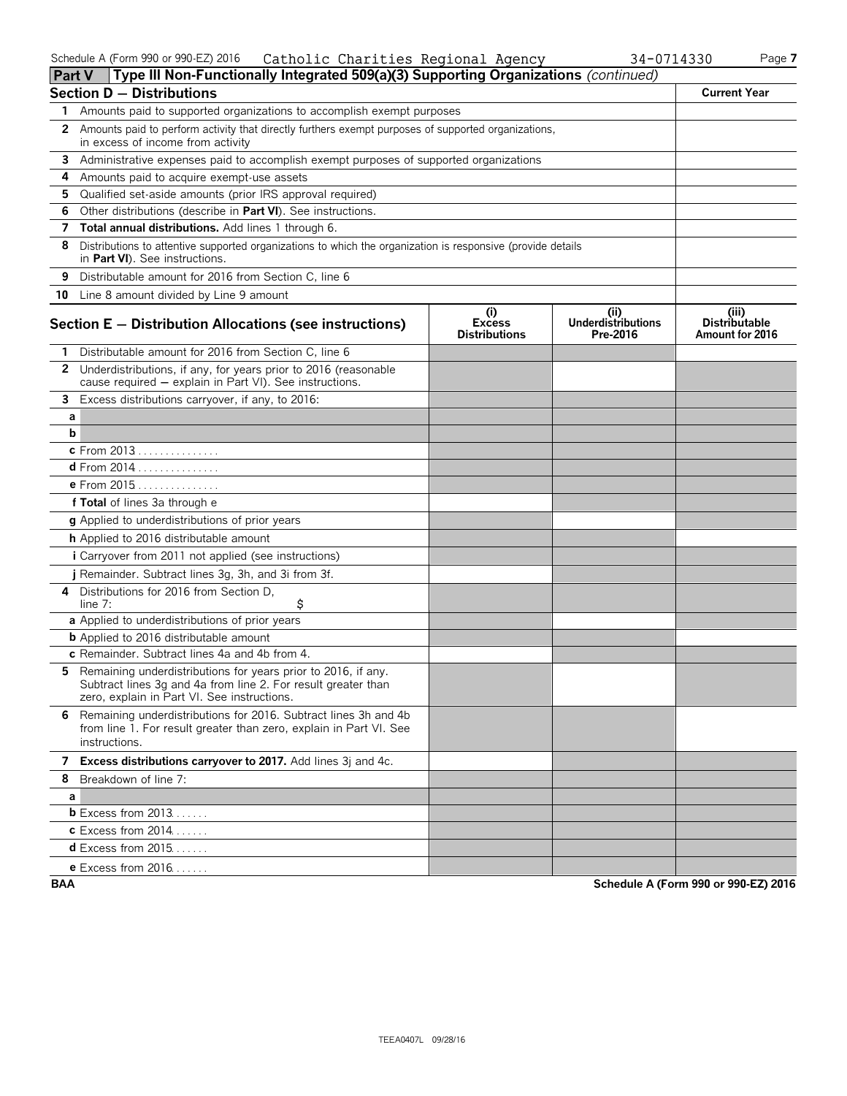#### Schedule A (Form 990 or 990-EZ) 2016 Catholic Charities Regional Agency 34-0714330 Page **7**

| ıcv | 34-0714330 |
|-----|------------|

| <b>Part V</b> | Type III Non-Functionally Integrated 509(a)(3) Supporting Organizations (continued)                                                                                             |                                              |                                              |                                                  |
|---------------|---------------------------------------------------------------------------------------------------------------------------------------------------------------------------------|----------------------------------------------|----------------------------------------------|--------------------------------------------------|
|               | <b>Section D - Distributions</b>                                                                                                                                                |                                              |                                              | <b>Current Year</b>                              |
| 1             | Amounts paid to supported organizations to accomplish exempt purposes                                                                                                           |                                              |                                              |                                                  |
| 2             | Amounts paid to perform activity that directly furthers exempt purposes of supported organizations,<br>in excess of income from activity                                        |                                              |                                              |                                                  |
| 3             | Administrative expenses paid to accomplish exempt purposes of supported organizations                                                                                           |                                              |                                              |                                                  |
| 4             | Amounts paid to acquire exempt-use assets                                                                                                                                       |                                              |                                              |                                                  |
| 5.            | Qualified set-aside amounts (prior IRS approval required)                                                                                                                       |                                              |                                              |                                                  |
| 6             | Other distributions (describe in Part VI). See instructions.                                                                                                                    |                                              |                                              |                                                  |
| 7             | Total annual distributions. Add lines 1 through 6.                                                                                                                              |                                              |                                              |                                                  |
| 8             | Distributions to attentive supported organizations to which the organization is responsive (provide details<br>in Part VI). See instructions.                                   |                                              |                                              |                                                  |
| 9             | Distributable amount for 2016 from Section C, line 6                                                                                                                            |                                              |                                              |                                                  |
| 10            | Line 8 amount divided by Line 9 amount                                                                                                                                          |                                              |                                              |                                                  |
|               | Section E - Distribution Allocations (see instructions)                                                                                                                         | (i)<br><b>Excess</b><br><b>Distributions</b> | (i)<br><b>Underdistributions</b><br>Pre-2016 | (iii)<br><b>Distributable</b><br>Amount for 2016 |
| 1             | Distributable amount for 2016 from Section C, line 6                                                                                                                            |                                              |                                              |                                                  |
| $\mathbf{2}$  | Underdistributions, if any, for years prior to 2016 (reasonable<br>cause required - explain in Part VI). See instructions.                                                      |                                              |                                              |                                                  |
| 3             | Excess distributions carryover, if any, to 2016:                                                                                                                                |                                              |                                              |                                                  |
| a             |                                                                                                                                                                                 |                                              |                                              |                                                  |
| b             |                                                                                                                                                                                 |                                              |                                              |                                                  |
|               | <b>c</b> From 2013                                                                                                                                                              |                                              |                                              |                                                  |
|               | <b>d</b> From 2014                                                                                                                                                              |                                              |                                              |                                                  |
|               | <b>e</b> From 2015                                                                                                                                                              |                                              |                                              |                                                  |
|               | f Total of lines 3a through e                                                                                                                                                   |                                              |                                              |                                                  |
|               | g Applied to underdistributions of prior years                                                                                                                                  |                                              |                                              |                                                  |
|               | h Applied to 2016 distributable amount                                                                                                                                          |                                              |                                              |                                                  |
|               | <i>i</i> Carryover from 2011 not applied (see instructions)                                                                                                                     |                                              |                                              |                                                  |
|               | j Remainder. Subtract lines 3g, 3h, and 3i from 3f.                                                                                                                             |                                              |                                              |                                                  |
|               | 4 Distributions for 2016 from Section D.<br>\$<br>$line 7$ :                                                                                                                    |                                              |                                              |                                                  |
|               | a Applied to underdistributions of prior years                                                                                                                                  |                                              |                                              |                                                  |
|               | <b>b</b> Applied to 2016 distributable amount                                                                                                                                   |                                              |                                              |                                                  |
|               | c Remainder. Subtract lines 4a and 4b from 4.                                                                                                                                   |                                              |                                              |                                                  |
|               | 5 Remaining underdistributions for years prior to 2016, if any.<br>Subtract lines 3g and 4a from line 2. For result greater than<br>zero, explain in Part VI. See instructions. |                                              |                                              |                                                  |
|               | 6 Remaining underdistributions for 2016. Subtract lines 3h and 4b<br>from line 1. For result greater than zero, explain in Part VI. See<br>instructions.                        |                                              |                                              |                                                  |
|               | 7 Excess distributions carryover to 2017. Add lines 3j and 4c.                                                                                                                  |                                              |                                              |                                                  |
|               | 8 Breakdown of line 7:                                                                                                                                                          |                                              |                                              |                                                  |
| a             |                                                                                                                                                                                 |                                              |                                              |                                                  |
|               | <b>b</b> Excess from $2013$                                                                                                                                                     |                                              |                                              |                                                  |
|               | <b>c</b> Excess from 2014                                                                                                                                                       |                                              |                                              |                                                  |
|               | <b>d</b> Excess from $2015$                                                                                                                                                     |                                              |                                              |                                                  |
|               | <b>e</b> Excess from 2016                                                                                                                                                       |                                              |                                              |                                                  |

**BAA Schedule A (Form 990 or 990-EZ) 2016**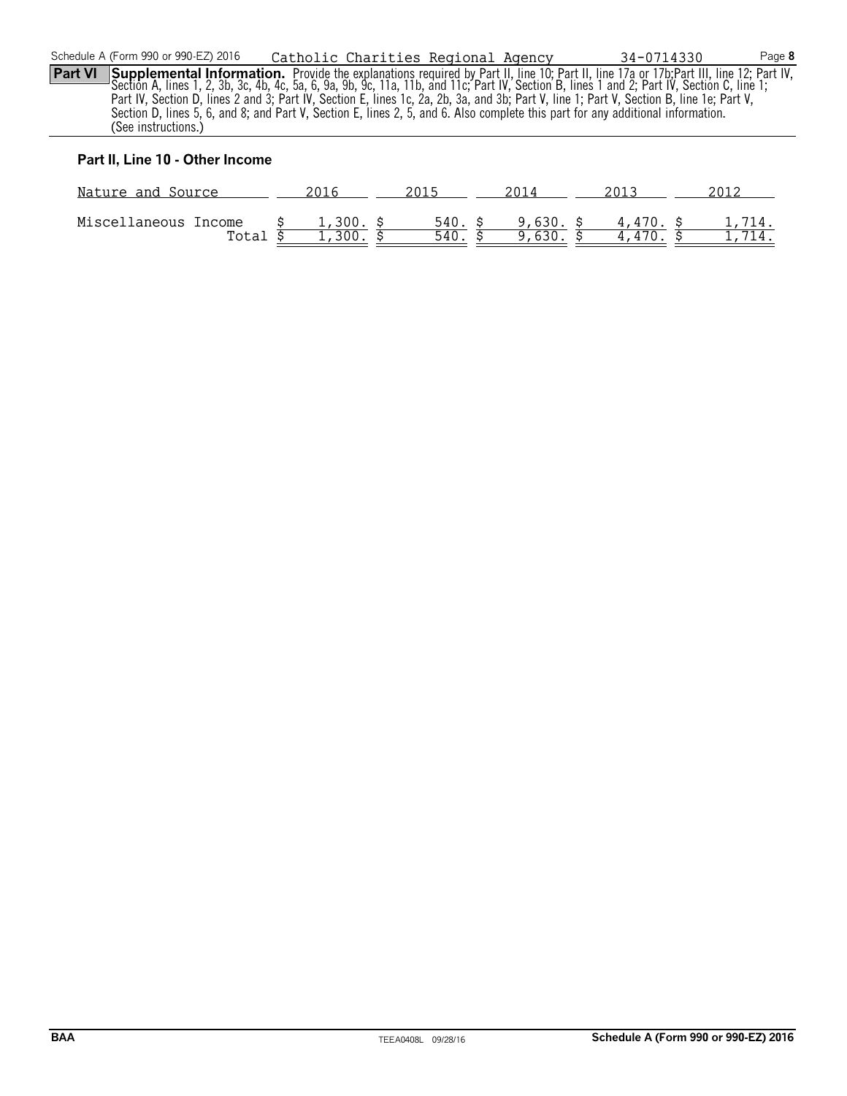Schedule A (Form 990 or 990-EZ) 2016 Page **8** Catholic Charities Regional Agency 34-0714330

**Part VI** Supplemental Information. Provide the explanations required by Part II, line 10; Part II, line 17a or 17b; Part III, line 12; Part IV, Section A, lines 1, 2, 3b, 3c, 4b, 4c, 5a, 6, 9a, 9b, 9c, 11a, 11b, and 11c; Part IV, Section B, lines 1 and 2; Part IV, Section C, line 1; Part IV, Section D, lines 2 and 3; Part IV, Section E, lines 1c, 2a, 2b, 3a, and 3b; Part V, line 1; Part V, Section B, line 1e; Part V, Section D, lines 5, 6, and 8; and Part V, Section E, lines 2, 5, and 6. Also complete this part for any additional information. (See instructions.)

### **Part II, Line 10 - Other Income**

| Nature and Source    |       |        |              |        | 201.   |                    |
|----------------------|-------|--------|--------------|--------|--------|--------------------|
| Miscellaneous Income | Total | 1,300. | 540.<br>540. | 9,630. | 4,470. | $\overline{714}$ . |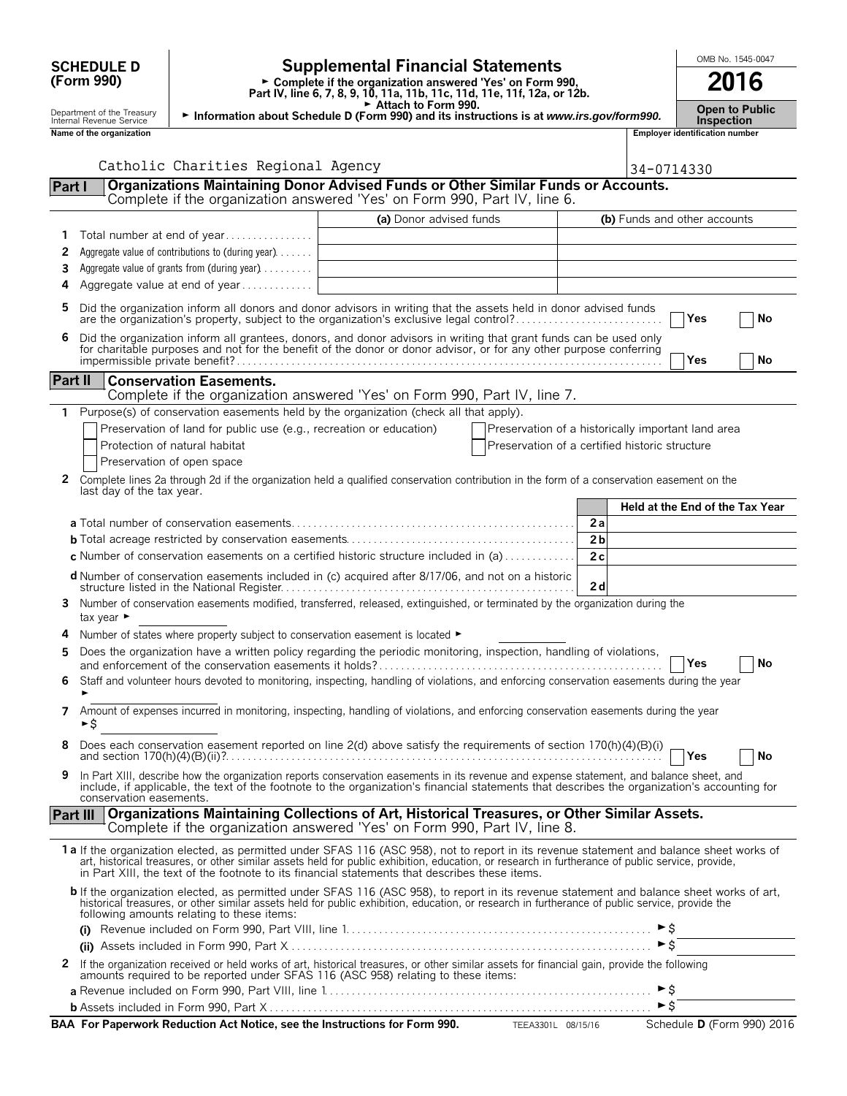| <b>Supplemental Financial Statements</b><br><b>SCHEDULE D</b> |                                                      |                                                                                                      |                                                                                                                                                                                                                                                                                                                                                                                                 |                |                                                 |                                                     | OMB No. 1545-0047     |
|---------------------------------------------------------------|------------------------------------------------------|------------------------------------------------------------------------------------------------------|-------------------------------------------------------------------------------------------------------------------------------------------------------------------------------------------------------------------------------------------------------------------------------------------------------------------------------------------------------------------------------------------------|----------------|-------------------------------------------------|-----------------------------------------------------|-----------------------|
|                                                               | (Form 990)                                           |                                                                                                      | Complete if the organization answered 'Yes' on Form 990,<br>Part IV, line 6, 7, 8, 9, 10, 11a, 11b, 11c, 11d, 11e, 11f, 12a, or 12b.                                                                                                                                                                                                                                                            |                | 2016                                            |                                                     |                       |
|                                                               | Department of the Treasury                           |                                                                                                      | ► Attach to Form 990.<br>Information about Schedule D (Form 990) and its instructions is at www.irs.gov/form990.                                                                                                                                                                                                                                                                                |                |                                                 |                                                     | <b>Open to Public</b> |
|                                                               | Internal Revenue Service<br>Name of the organization |                                                                                                      |                                                                                                                                                                                                                                                                                                                                                                                                 |                |                                                 | Inspection<br><b>Employer identification number</b> |                       |
|                                                               |                                                      |                                                                                                      |                                                                                                                                                                                                                                                                                                                                                                                                 |                |                                                 |                                                     |                       |
|                                                               |                                                      | Catholic Charities Regional Agency                                                                   |                                                                                                                                                                                                                                                                                                                                                                                                 |                | 34-0714330                                      |                                                     |                       |
| Part I                                                        |                                                      |                                                                                                      | Organizations Maintaining Donor Advised Funds or Other Similar Funds or Accounts.<br>Complete if the organization answered 'Yes' on Form 990, Part IV, line 6.                                                                                                                                                                                                                                  |                |                                                 |                                                     |                       |
|                                                               |                                                      |                                                                                                      |                                                                                                                                                                                                                                                                                                                                                                                                 |                |                                                 |                                                     |                       |
| 1                                                             |                                                      |                                                                                                      | (a) Donor advised funds                                                                                                                                                                                                                                                                                                                                                                         |                |                                                 | (b) Funds and other accounts                        |                       |
| 2                                                             |                                                      | Aggregate value of contributions to (during year)                                                    |                                                                                                                                                                                                                                                                                                                                                                                                 |                |                                                 |                                                     |                       |
| 3                                                             |                                                      | Aggregate value of grants from (during year)                                                         |                                                                                                                                                                                                                                                                                                                                                                                                 |                |                                                 |                                                     |                       |
| 4                                                             |                                                      | Aggregate value at end of year                                                                       |                                                                                                                                                                                                                                                                                                                                                                                                 |                |                                                 |                                                     |                       |
| 5                                                             |                                                      |                                                                                                      | Did the organization inform all donors and donor advisors in writing that the assets held in donor advised funds<br>are the organization's property, subject to the organization's exclusive legal control?                                                                                                                                                                                     |                |                                                 | Yes                                                 | No                    |
|                                                               |                                                      |                                                                                                      | Did the organization inform all grantees, donors, and donor advisors in writing that grant funds can be used only<br>for charitable purposes and not for the benefit of the donor or donor advisor, or for any other purpose conferring                                                                                                                                                         |                |                                                 | Yes                                                 | No                    |
| Part II                                                       |                                                      | <b>Conservation Easements.</b>                                                                       |                                                                                                                                                                                                                                                                                                                                                                                                 |                |                                                 |                                                     |                       |
|                                                               |                                                      |                                                                                                      | Complete if the organization answered 'Yes' on Form 990, Part IV, line 7.                                                                                                                                                                                                                                                                                                                       |                |                                                 |                                                     |                       |
| 1                                                             |                                                      |                                                                                                      | Purpose(s) of conservation easements held by the organization (check all that apply).                                                                                                                                                                                                                                                                                                           |                |                                                 |                                                     |                       |
|                                                               |                                                      | Preservation of land for public use (e.g., recreation or education)<br>Protection of natural habitat | Preservation of a historically important land area<br>Preservation of a certified historic structure                                                                                                                                                                                                                                                                                            |                |                                                 |                                                     |                       |
|                                                               |                                                      | Preservation of open space                                                                           |                                                                                                                                                                                                                                                                                                                                                                                                 |                |                                                 |                                                     |                       |
| 2                                                             |                                                      |                                                                                                      | Complete lines 2a through 2d if the organization held a qualified conservation contribution in the form of a conservation easement on the                                                                                                                                                                                                                                                       |                |                                                 |                                                     |                       |
|                                                               | last day of the tax year.                            |                                                                                                      |                                                                                                                                                                                                                                                                                                                                                                                                 |                |                                                 |                                                     |                       |
|                                                               |                                                      |                                                                                                      |                                                                                                                                                                                                                                                                                                                                                                                                 | 2a             |                                                 | <b>Held at the End of the Tax Year</b>              |                       |
|                                                               |                                                      |                                                                                                      |                                                                                                                                                                                                                                                                                                                                                                                                 | 2 <sub>b</sub> |                                                 |                                                     |                       |
|                                                               |                                                      |                                                                                                      | <b>c</b> Number of conservation easements on a certified historic structure included in (a) $\dots \dots \dots$                                                                                                                                                                                                                                                                                 | 2c             |                                                 |                                                     |                       |
|                                                               |                                                      |                                                                                                      | d Number of conservation easements included in (c) acquired after 8/17/06, and not on a historic                                                                                                                                                                                                                                                                                                | 2d             |                                                 |                                                     |                       |
| 3.                                                            | tax year ►                                           |                                                                                                      | Number of conservation easements modified, transferred, released, extinguished, or terminated by the organization during the                                                                                                                                                                                                                                                                    |                |                                                 |                                                     |                       |
|                                                               |                                                      | Number of states where property subject to conservation easement is located ►                        |                                                                                                                                                                                                                                                                                                                                                                                                 |                |                                                 |                                                     |                       |
|                                                               |                                                      |                                                                                                      | Does the organization have a written policy regarding the periodic monitoring, inspection, handling of violations,                                                                                                                                                                                                                                                                              |                |                                                 |                                                     |                       |
| 6                                                             |                                                      |                                                                                                      | Staff and volunteer hours devoted to monitoring, inspecting, handling of violations, and enforcing conservation easements during the year                                                                                                                                                                                                                                                       |                |                                                 | $\exists$ Yes                                       | No                    |
| 7                                                             | ►Ŝ                                                   |                                                                                                      | Amount of expenses incurred in monitoring, inspecting, handling of violations, and enforcing conservation easements during the year                                                                                                                                                                                                                                                             |                |                                                 |                                                     |                       |
| 8                                                             |                                                      |                                                                                                      | Does each conservation easement reported on line 2(d) above satisfy the requirements of section 170(h)(4)(B)(i)                                                                                                                                                                                                                                                                                 |                |                                                 | Yes                                                 | No                    |
| 9                                                             | conservation easements.                              |                                                                                                      | In Part XIII, describe how the organization reports conservation easements in its revenue and expense statement, and balance sheet, and<br>include, if applicable, the text of the footnote to the organization's financial statements that describes the organization's accounting for                                                                                                         |                |                                                 |                                                     |                       |
| Part III                                                      |                                                      |                                                                                                      | Organizations Maintaining Collections of Art, Historical Treasures, or Other Similar Assets.<br>Complete if the organization answered 'Yes' on Form 990, Part IV, line 8.                                                                                                                                                                                                                       |                |                                                 |                                                     |                       |
|                                                               |                                                      |                                                                                                      | 1 a If the organization elected, as permitted under SFAS 116 (ASC 958), not to report in its revenue statement and balance sheet works of<br>art, historical treasures, or other similar assets held for public exhibition, education, or research in furtherance of public service, provide,<br>in Part XIII, the text of the footnote to its financial statements that describes these items. |                |                                                 |                                                     |                       |
|                                                               |                                                      | following amounts relating to these items:                                                           | b If the organization elected, as permitted under SFAS 116 (ASC 958), to report in its revenue statement and balance sheet works of art,<br>historical treasures, or other similar assets held for public exhibition, education, or research in furtherance of public service, provide the                                                                                                      |                |                                                 |                                                     |                       |
|                                                               |                                                      |                                                                                                      |                                                                                                                                                                                                                                                                                                                                                                                                 |                | ►\$                                             |                                                     |                       |
|                                                               |                                                      |                                                                                                      |                                                                                                                                                                                                                                                                                                                                                                                                 |                | $\blacktriangleright$ \$                        |                                                     |                       |
|                                                               |                                                      |                                                                                                      | 2 If the organization received or held works of art, historical treasures, or other similar assets for financial gain, provide the following<br>amounts required to be reported under SFAS 116 (ASC 958) relating to these items:                                                                                                                                                               |                |                                                 |                                                     |                       |
|                                                               |                                                      |                                                                                                      |                                                                                                                                                                                                                                                                                                                                                                                                 |                | $\blacktriangleright$ \$<br>$\triangleright$ \$ |                                                     |                       |
|                                                               |                                                      |                                                                                                      |                                                                                                                                                                                                                                                                                                                                                                                                 |                |                                                 |                                                     |                       |

| BAA For Paperwork Reduction Act Notice, see the Instructions for Form 990. | TEEA3301L 08/15/16 | Schedule <b>D</b> (Form 990) 2016 |
|----------------------------------------------------------------------------|--------------------|-----------------------------------|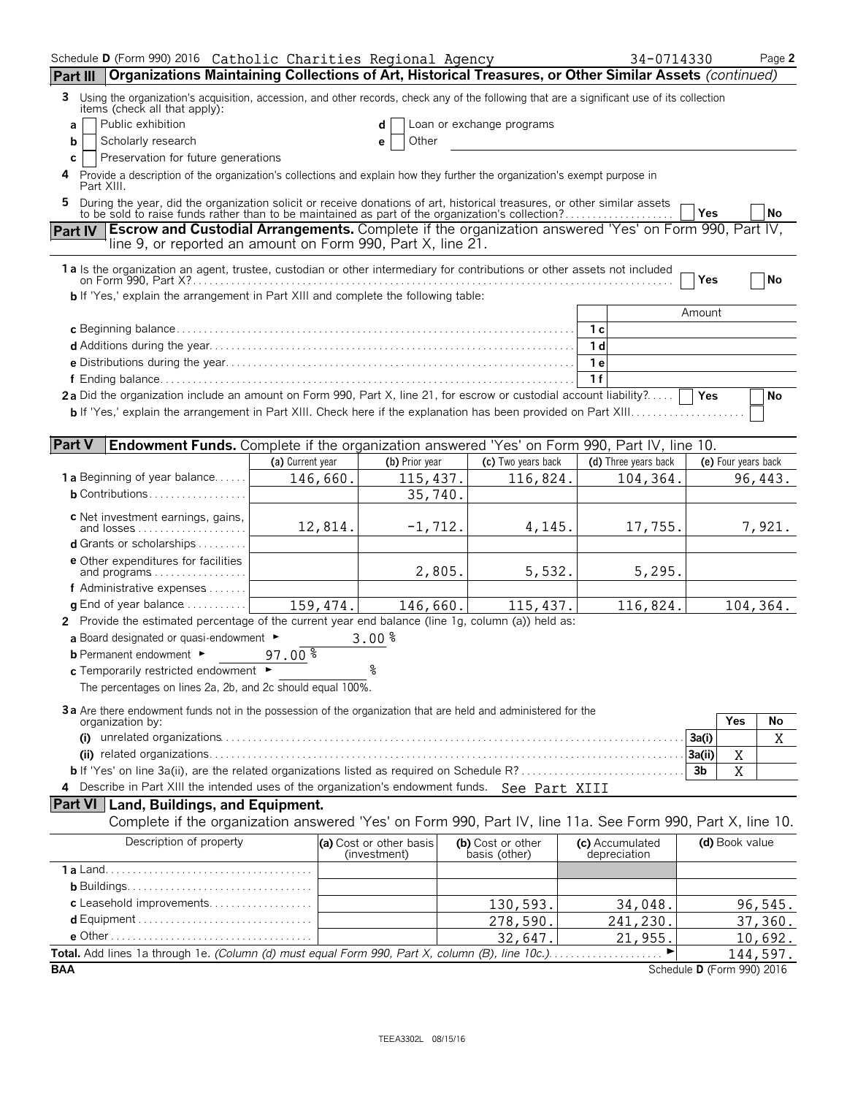| Schedule D (Form 990) 2016 Catholic Charities Regional Agency                                                                                                                                                                     |                  |                                         |                                    | 34-0714330                      | Page 2                     |
|-----------------------------------------------------------------------------------------------------------------------------------------------------------------------------------------------------------------------------------|------------------|-----------------------------------------|------------------------------------|---------------------------------|----------------------------|
| Organizations Maintaining Collections of Art, Historical Treasures, or Other Similar Assets (continued)<br><b>Part III</b>                                                                                                        |                  |                                         |                                    |                                 |                            |
| Using the organization's acquisition, accession, and other records, check any of the following that are a significant use of its collection<br>3<br>items (check all that apply):                                                 |                  |                                         |                                    |                                 |                            |
| Public exhibition<br>a                                                                                                                                                                                                            |                  | d                                       | Loan or exchange programs          |                                 |                            |
| Scholarly research<br>b                                                                                                                                                                                                           |                  | Other<br>е                              |                                    |                                 |                            |
| Preservation for future generations<br>C                                                                                                                                                                                          |                  |                                         |                                    |                                 |                            |
| Provide a description of the organization's collections and explain how they further the organization's exempt purpose in<br>4<br>Part XIII.                                                                                      |                  |                                         |                                    |                                 |                            |
| During the year, did the organization solicit or receive donations of art, historical treasures, or other similar assets<br>5<br>to be sold to raise funds rather than to be maintained as part of the organization's collection? |                  |                                         |                                    |                                 | Yes<br>No                  |
| <b>Escrow and Custodial Arrangements.</b> Complete if the organization answered 'Yes' on Form 990, Part IV,<br><b>Part IV</b><br>line 9, or reported an amount on Form 990, Part X, line 21.                                      |                  |                                         |                                    |                                 |                            |
| 1a Is the organization an agent, trustee, custodian or other intermediary for contributions or other assets not included                                                                                                          |                  |                                         |                                    |                                 | Yes<br>No                  |
| <b>b</b> If 'Yes,' explain the arrangement in Part XIII and complete the following table:                                                                                                                                         |                  |                                         |                                    |                                 |                            |
|                                                                                                                                                                                                                                   |                  |                                         |                                    |                                 | Amount                     |
|                                                                                                                                                                                                                                   |                  |                                         |                                    | 1 с                             |                            |
|                                                                                                                                                                                                                                   |                  |                                         |                                    | 1 d                             |                            |
|                                                                                                                                                                                                                                   |                  |                                         |                                    | 1 e                             |                            |
|                                                                                                                                                                                                                                   |                  |                                         |                                    | 1f                              |                            |
| 2a Did the organization include an amount on Form 990, Part X, line 21, for escrow or custodial account liability?                                                                                                                |                  |                                         |                                    |                                 | Yes<br>No                  |
|                                                                                                                                                                                                                                   |                  |                                         |                                    |                                 |                            |
|                                                                                                                                                                                                                                   |                  |                                         |                                    |                                 |                            |
| <b>Part V</b><br>Endowment Funds. Complete if the organization answered 'Yes' on Form 990, Part IV, line 10.                                                                                                                      |                  |                                         |                                    |                                 |                            |
|                                                                                                                                                                                                                                   | (a) Current year | (b) Prior year                          | (c) Two years back                 | (d) Three years back            | (e) Four years back        |
| <b>1 a</b> Beginning of year balance                                                                                                                                                                                              | 146,660.         | 115, 437.                               | 116,824.                           | 104,364.                        | 96,443.                    |
| $b$ Contributions                                                                                                                                                                                                                 |                  | 35,740.                                 |                                    |                                 |                            |
|                                                                                                                                                                                                                                   |                  |                                         |                                    |                                 |                            |
| c Net investment earnings, gains,                                                                                                                                                                                                 | 12,814.          | $-1, 712.$                              | 4,145.                             | 17,755.                         | 7,921.                     |
| <b>d</b> Grants or scholarships $\ldots \ldots$                                                                                                                                                                                   |                  |                                         |                                    |                                 |                            |
|                                                                                                                                                                                                                                   |                  |                                         |                                    |                                 |                            |
| <b>e</b> Other expenditures for facilities<br>and programs                                                                                                                                                                        |                  | 2,805.                                  | 5,532.                             | 5,295.                          |                            |
| f Administrative expenses                                                                                                                                                                                                         |                  |                                         |                                    |                                 |                            |
| <b>g</b> End of year balance $\dots\dots\dots\dots$                                                                                                                                                                               | 159,474.         | 146,660.                                | 115,437.                           | 116,824.                        | 104,364.                   |
| 2 Provide the estimated percentage of the current year end balance (line 1g, column (a)) held as:                                                                                                                                 |                  |                                         |                                    |                                 |                            |
| a Board designated or quasi-endowment $\blacktriangleright$                                                                                                                                                                       |                  | 3.00 <sup>8</sup>                       |                                    |                                 |                            |
| <b>b</b> Permanent endowment ►                                                                                                                                                                                                    | $97.00*$         |                                         |                                    |                                 |                            |
| c Temporarily restricted endowment ►                                                                                                                                                                                              |                  | °                                       |                                    |                                 |                            |
| The percentages on lines 2a, 2b, and 2c should equal 100%.                                                                                                                                                                        |                  |                                         |                                    |                                 |                            |
|                                                                                                                                                                                                                                   |                  |                                         |                                    |                                 |                            |
| 3a Are there endowment funds not in the possession of the organization that are held and administered for the<br>organization by:                                                                                                 |                  |                                         |                                    |                                 | Yes<br>No                  |
|                                                                                                                                                                                                                                   |                  |                                         |                                    |                                 | X<br>3a(i)                 |
|                                                                                                                                                                                                                                   |                  |                                         |                                    |                                 | 3a(ii)<br>Χ                |
|                                                                                                                                                                                                                                   |                  |                                         |                                    |                                 | X<br>3 <sub>b</sub>        |
| Describe in Part XIII the intended uses of the organization's endowment funds. See Part XIII<br>4                                                                                                                                 |                  |                                         |                                    |                                 |                            |
| Part VI   Land, Buildings, and Equipment.                                                                                                                                                                                         |                  |                                         |                                    |                                 |                            |
| Complete if the organization answered 'Yes' on Form 990, Part IV, line 11a. See Form 990, Part X, line 10.                                                                                                                        |                  |                                         |                                    |                                 |                            |
|                                                                                                                                                                                                                                   |                  |                                         |                                    |                                 |                            |
| Description of property                                                                                                                                                                                                           |                  | (a) Cost or other basis<br>(investment) | (b) Cost or other<br>basis (other) | (c) Accumulated<br>depreciation | (d) Book value             |
|                                                                                                                                                                                                                                   |                  |                                         |                                    |                                 |                            |
|                                                                                                                                                                                                                                   |                  |                                         |                                    |                                 |                            |
| c Leasehold improvements                                                                                                                                                                                                          |                  |                                         | 130,593.                           | 34,048.                         | 96,545.                    |
|                                                                                                                                                                                                                                   |                  |                                         | 278,590.                           | 241,230.                        | 37,360.                    |
|                                                                                                                                                                                                                                   |                  |                                         | 32,647                             | 21,955.                         | 10,692.                    |
|                                                                                                                                                                                                                                   |                  |                                         |                                    |                                 | 144,597.                   |
| <b>BAA</b>                                                                                                                                                                                                                        |                  |                                         |                                    |                                 | Schedule D (Form 990) 2016 |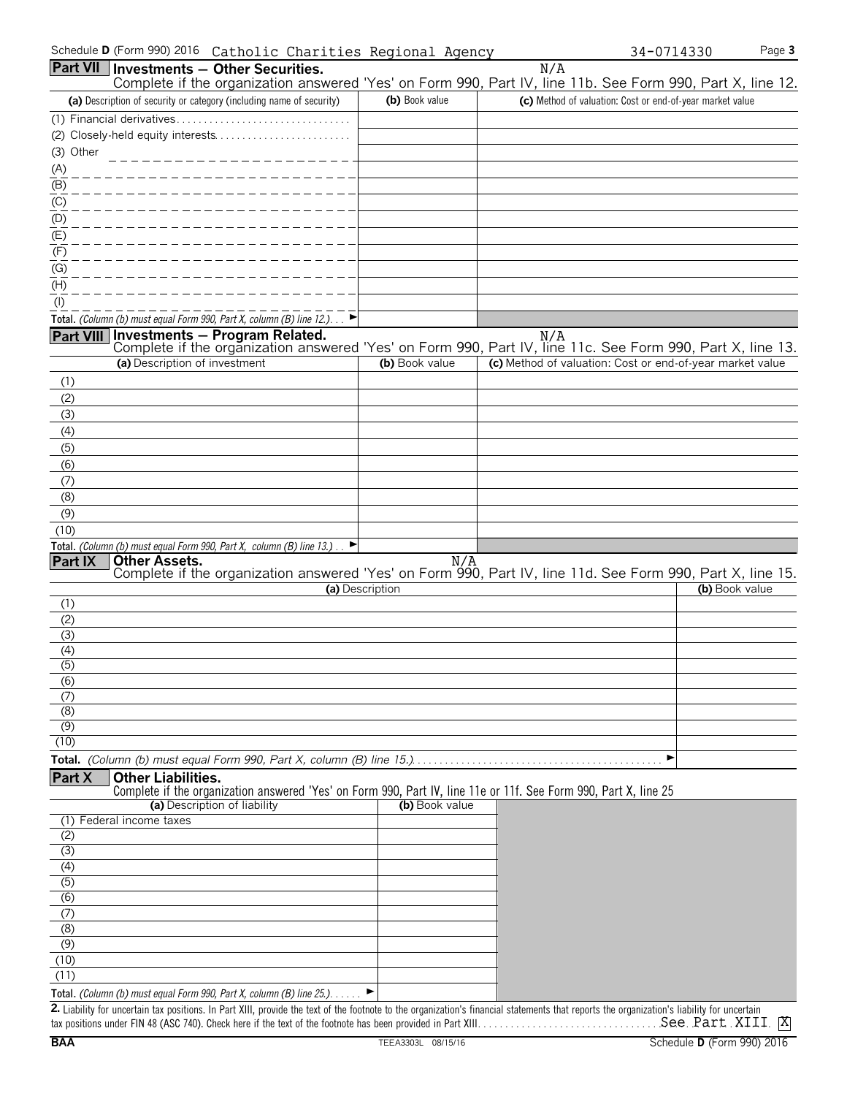| Schedule D (Form 990) 2016 Catholic Charities Regional Agency                                                                                                                               |                 |     | 34-0714330                                                | Page 3 |
|---------------------------------------------------------------------------------------------------------------------------------------------------------------------------------------------|-----------------|-----|-----------------------------------------------------------|--------|
| <b>Part VII</b><br><b>Investments - Other Securities.</b>                                                                                                                                   |                 | N/A |                                                           |        |
| Complete if the organization answered 'Yes' on Form 990, Part IV, line 11b. See Form 990, Part X, line 12.<br>(a) Description of security or category (including name of security)          | (b) Book value  |     | (c) Method of valuation: Cost or end-of-year market value |        |
|                                                                                                                                                                                             |                 |     |                                                           |        |
| (2) Closely-held equity interests                                                                                                                                                           |                 |     |                                                           |        |
| (3) Other                                                                                                                                                                                   |                 |     |                                                           |        |
| (A)                                                                                                                                                                                         |                 |     |                                                           |        |
| (B)                                                                                                                                                                                         |                 |     |                                                           |        |
| $\underline{(C)}$                                                                                                                                                                           |                 |     |                                                           |        |
| (D)                                                                                                                                                                                         |                 |     |                                                           |        |
| (E)                                                                                                                                                                                         |                 |     |                                                           |        |
| (F)                                                                                                                                                                                         |                 |     |                                                           |        |
| (G)<br>(H)                                                                                                                                                                                  |                 |     |                                                           |        |
| $($ l $)$                                                                                                                                                                                   |                 |     |                                                           |        |
| Total. (Column (b) must equal Form 990, Part X, column (B) line 12.). $\Box$                                                                                                                |                 |     |                                                           |        |
| <b>Investments - Program Related.</b><br><b>Part VIII</b>                                                                                                                                   |                 | N/A |                                                           |        |
| Complete if the organization answered 'Yes' on Form 990, Part IV, line 11c. See Form 990, Part X, line 13.<br>(a) Description of investment                                                 | (b) Book value  |     | (c) Method of valuation: Cost or end-of-year market value |        |
|                                                                                                                                                                                             |                 |     |                                                           |        |
| (1)<br>(2)                                                                                                                                                                                  |                 |     |                                                           |        |
| (3)                                                                                                                                                                                         |                 |     |                                                           |        |
| (4)                                                                                                                                                                                         |                 |     |                                                           |        |
| (5)                                                                                                                                                                                         |                 |     |                                                           |        |
| (6)                                                                                                                                                                                         |                 |     |                                                           |        |
| (7)                                                                                                                                                                                         |                 |     |                                                           |        |
| (8)                                                                                                                                                                                         |                 |     |                                                           |        |
| (9)                                                                                                                                                                                         |                 |     |                                                           |        |
| (10)<br>Total. (Column (b) must equal Form 990, Part X, column (B) line 13.).                                                                                                               |                 |     |                                                           |        |
| <b>Part IX</b><br><b>Other Assets.</b>                                                                                                                                                      | N/A             |     |                                                           |        |
| Complete if the organization answered 'Yes' on Form 990, Part IV, line 11d. See Form 990, Part X, line 15.                                                                                  |                 |     |                                                           |        |
| (1)                                                                                                                                                                                         | (a) Description |     | (b) Book value                                            |        |
| (2)                                                                                                                                                                                         |                 |     |                                                           |        |
| (3)                                                                                                                                                                                         |                 |     |                                                           |        |
| (4)                                                                                                                                                                                         |                 |     |                                                           |        |
| (5)<br>(6)                                                                                                                                                                                  |                 |     |                                                           |        |
| (7)                                                                                                                                                                                         |                 |     |                                                           |        |
| (8)                                                                                                                                                                                         |                 |     |                                                           |        |
| (9)                                                                                                                                                                                         |                 |     |                                                           |        |
| (10)                                                                                                                                                                                        |                 |     |                                                           |        |
| Total. (Column (b) must equal Form 990, Part X, column (B) line 15.)                                                                                                                        |                 |     | ▶                                                         |        |
| Part X<br><b>Other Liabilities.</b><br>Complete if the organization answered 'Yes' on Form 990, Part IV, line 11e or 11f. See Form 990, Part X, line 25                                     |                 |     |                                                           |        |
| (a) Description of liability                                                                                                                                                                | (b) Book value  |     |                                                           |        |
| (1) Federal income taxes                                                                                                                                                                    |                 |     |                                                           |        |
| (2)                                                                                                                                                                                         |                 |     |                                                           |        |
| (3)<br>(4)                                                                                                                                                                                  |                 |     |                                                           |        |
| (5)                                                                                                                                                                                         |                 |     |                                                           |        |
| (6)                                                                                                                                                                                         |                 |     |                                                           |        |
| (7)                                                                                                                                                                                         |                 |     |                                                           |        |
| (8)                                                                                                                                                                                         |                 |     |                                                           |        |
| $\overline{(9)}$<br>(10)                                                                                                                                                                    |                 |     |                                                           |        |
| (11)                                                                                                                                                                                        |                 |     |                                                           |        |
| Total. (Column (b) must equal Form 990, Part X, column (B) line 25.).                                                                                                                       |                 |     |                                                           |        |
| 2. Liability for uncertain tax positions. In Part XIII, provide the text of the footnote to the organization's financial statements that reports the organization's liability for uncertain |                 |     |                                                           |        |
|                                                                                                                                                                                             |                 |     | See Part XIII X                                           |        |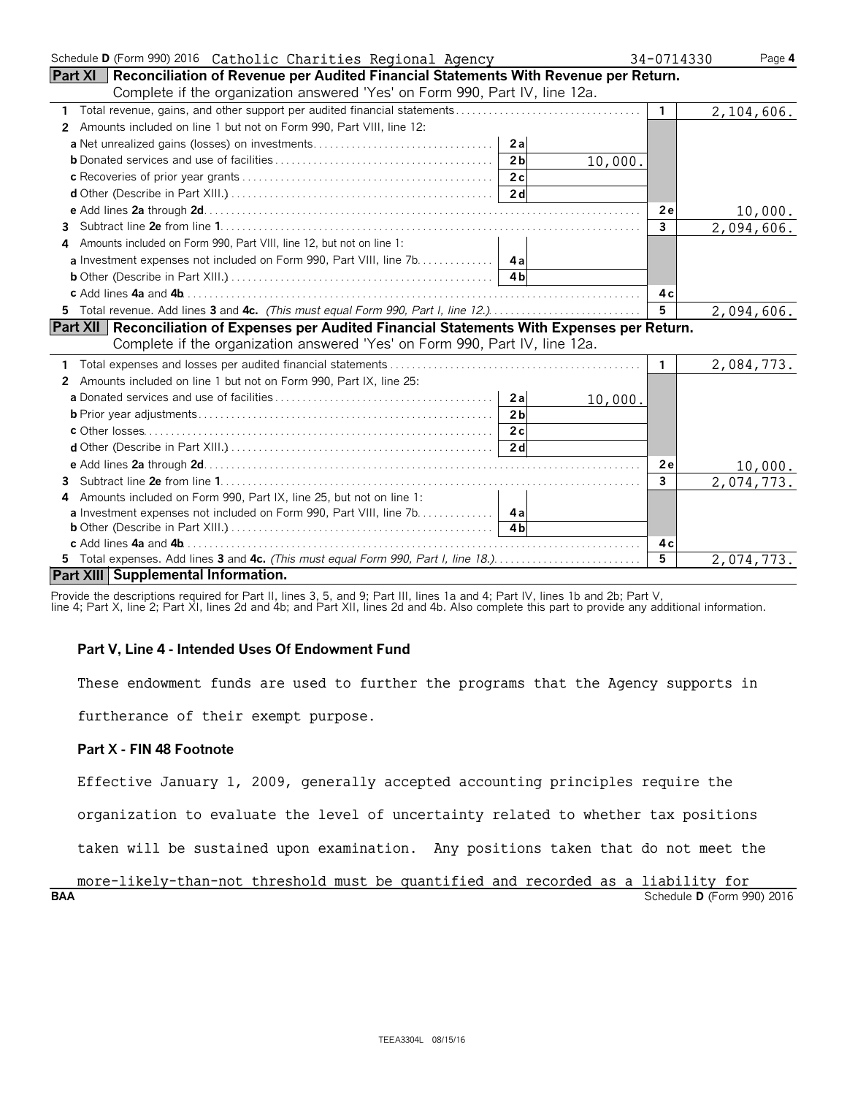| Schedule D (Form 990) 2016 Catholic Charities Regional Agency                                      | 34-0714330     | Page 4          |
|----------------------------------------------------------------------------------------------------|----------------|-----------------|
| <b>Part XI</b> Reconciliation of Revenue per Audited Financial Statements With Revenue per Return. |                |                 |
| Complete if the organization answered 'Yes' on Form 990, Part IV, line 12a.                        |                |                 |
| $\mathbf{1}$                                                                                       | $\mathbf{1}$   | 2,104,606.      |
| Amounts included on line 1 but not on Form 990, Part VIII, line 12:<br>$\mathbf{2}$                |                |                 |
|                                                                                                    |                |                 |
| 2 <sub>b</sub><br>10,000.                                                                          |                |                 |
|                                                                                                    |                |                 |
|                                                                                                    |                |                 |
|                                                                                                    | 2e             | 10,000.         |
| 3                                                                                                  | $\mathbf{3}$   | 2,094,606.      |
| Amounts included on Form 990, Part VIII, line 12, but not on line 1:                               |                |                 |
| a Investment expenses not included on Form 990, Part VIII, line 7b. 4a                             |                |                 |
| 4 <sub>h</sub>                                                                                     |                |                 |
|                                                                                                    | 4 c            |                 |
| 5 Total revenue. Add lines 3 and 4c. (This must equal Form 990, Part I, line 12.)                  | 5              | 2,094,606.      |
| Part XII   Reconciliation of Expenses per Audited Financial Statements With Expenses per Return.   |                |                 |
| Complete if the organization answered 'Yes' on Form 990, Part IV, line 12a.                        |                |                 |
|                                                                                                    | $\mathbf{1}$   | 2,084,773.      |
| Amounts included on line 1 but not on Form 990, Part IX, line 25:<br>$\mathbf{2}$                  |                |                 |
| 10,000.                                                                                            |                |                 |
| 2 <sub>b</sub>                                                                                     |                |                 |
|                                                                                                    |                |                 |
|                                                                                                    |                |                 |
|                                                                                                    | 2e             | <u> 10,000.</u> |
| 3                                                                                                  | 3              | 2,074,773.      |
| Amounts included on Form 990, Part IX, line 25, but not on line 1:<br>4                            |                |                 |
| a Investment expenses not included on Form 990, Part VIII, line 7b. 4a                             |                |                 |
|                                                                                                    |                |                 |
|                                                                                                    | 4 c            |                 |
|                                                                                                    | $\overline{5}$ | 2,074,773.      |
| Part XIII Supplemental Information.                                                                |                |                 |

Provide the descriptions required for Part II, lines 3, 5, and 9; Part III, lines 1a and 4; Part IV, lines 1b and 2b; Part V,

line 4; Part X, line 2; Part XI, lines 2d and 4b; and Part XII, lines 2d and 4b. Also complete this part to provide any additional information.

#### **Part V, Line 4 - Intended Uses Of Endowment Fund**

These endowment funds are used to further the programs that the Agency supports in

furtherance of their exempt purpose.

#### **Part X - FIN 48 Footnote**

Effective January 1, 2009, generally accepted accounting principles require the

organization to evaluate the level of uncertainty related to whether tax positions

taken will be sustained upon examination. Any positions taken that do not meet the

**BAA** Schedule **D** (Form 990) 2016 more-likely-than-not threshold must be quantified and recorded as a liability for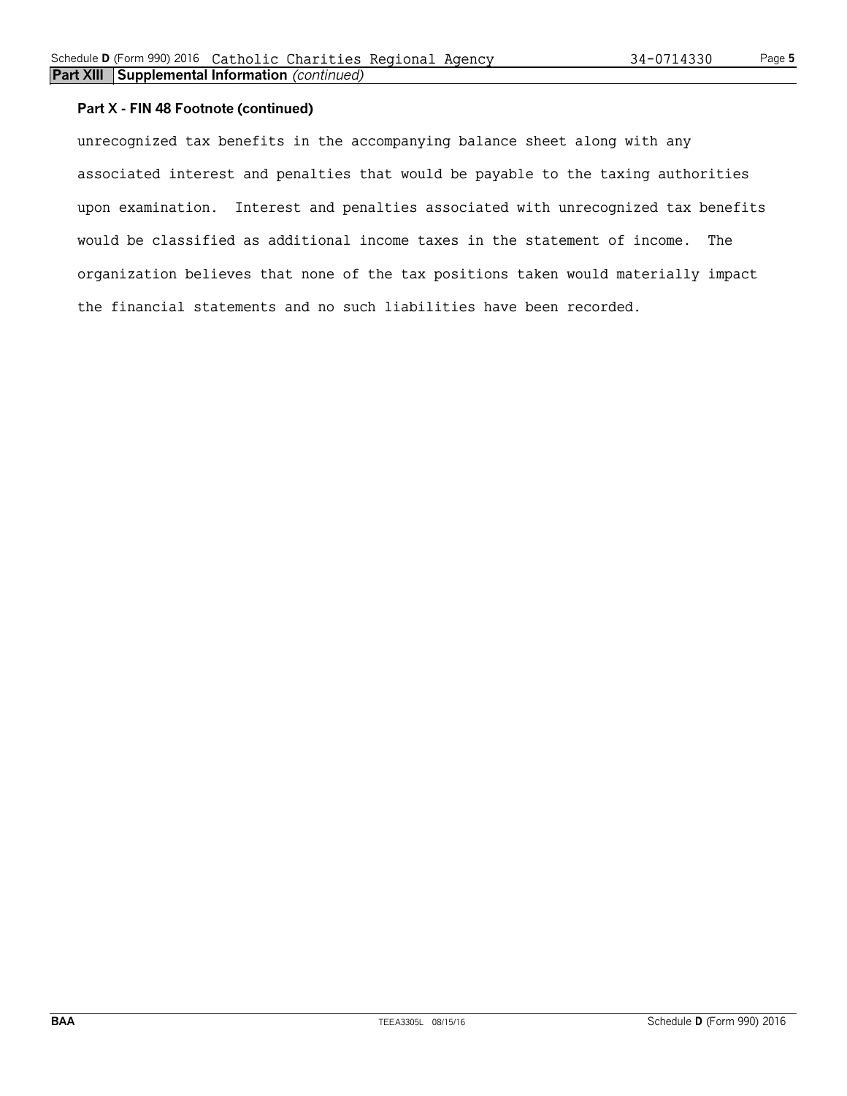#### **Part X - FIN 48 Footnote (continued)**

unrecognized tax benefits in the accompanying balance sheet along with any associated interest and penalties that would be payable to the taxing authorities upon examination. Interest and penalties associated with unrecognized tax benefits would be classified as additional income taxes in the statement of income. The organization believes that none of the tax positions taken would materially impact the financial statements and no such liabilities have been recorded.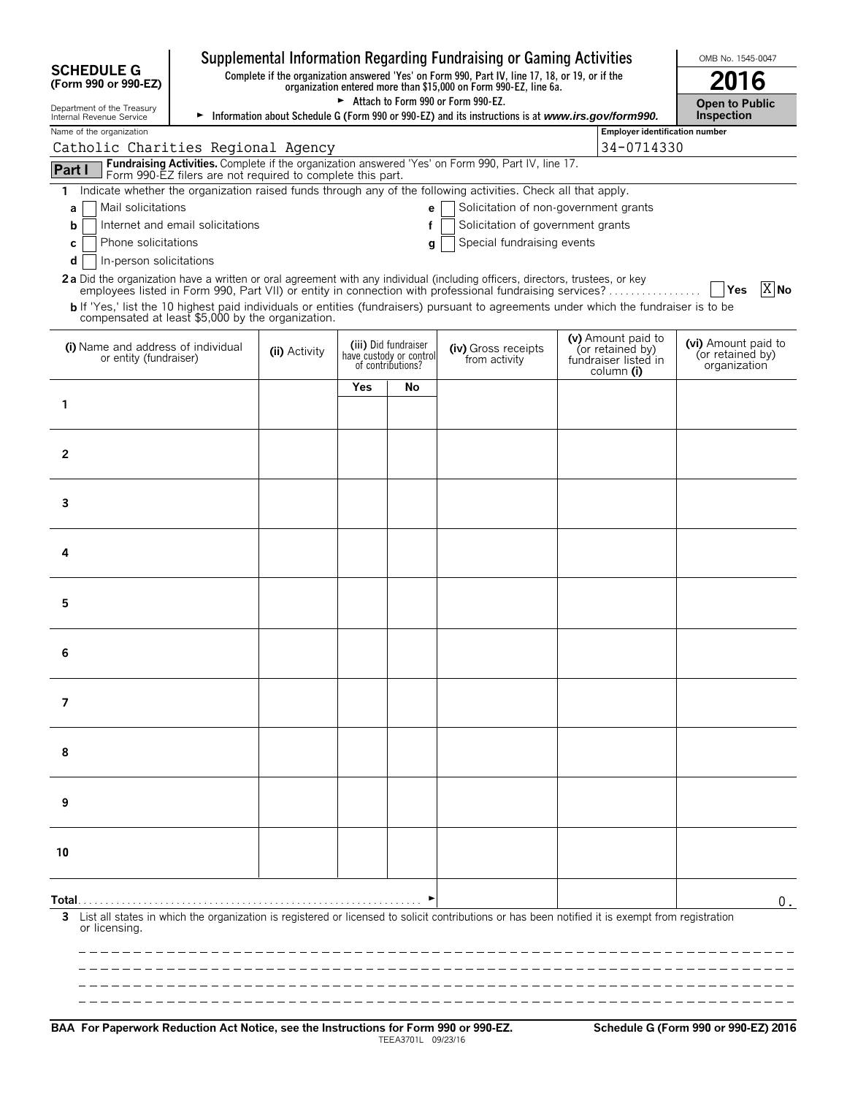|                                                                                                                                                                                                                                                                                                                                                                                   |               |     |                                                                      | Supplemental Information Regarding Fundraising or Gaming Activities                                                                                                 |                                                                              | OMB No. 1545-0047                                       |
|-----------------------------------------------------------------------------------------------------------------------------------------------------------------------------------------------------------------------------------------------------------------------------------------------------------------------------------------------------------------------------------|---------------|-----|----------------------------------------------------------------------|---------------------------------------------------------------------------------------------------------------------------------------------------------------------|------------------------------------------------------------------------------|---------------------------------------------------------|
| <b>SCHEDULE G</b><br>(Form 990 or 990-EZ)                                                                                                                                                                                                                                                                                                                                         |               |     |                                                                      | Complete if the organization answered 'Yes' on Form 990, Part IV, line 17, 18, or 19, or if the<br>organization entered more than \$15,000 on Form 990-EZ, line 6a. |                                                                              | 2016                                                    |
| Department of the Treasury<br>►<br>Internal Revenue Service                                                                                                                                                                                                                                                                                                                       |               |     |                                                                      | Attach to Form 990 or Form 990-EZ.<br>Information about Schedule G (Form 990 or 990-EZ) and its instructions is at www.irs.gov/form990.                             |                                                                              | <b>Open to Public</b><br><b>Inspection</b>              |
| Name of the organization<br>Catholic Charities Regional Agency                                                                                                                                                                                                                                                                                                                    |               |     |                                                                      |                                                                                                                                                                     | <b>Employer identification number</b><br>34-0714330                          |                                                         |
| Fundraising Activities. Complete if the organization answered 'Yes' on Form 990, Part IV, line 17.<br>Part I<br>Form 990-EZ filers are not required to complete this part.                                                                                                                                                                                                        |               |     |                                                                      |                                                                                                                                                                     |                                                                              |                                                         |
| Indicate whether the organization raised funds through any of the following activities. Check all that apply.<br>1                                                                                                                                                                                                                                                                |               |     |                                                                      |                                                                                                                                                                     |                                                                              |                                                         |
| Mail solicitations<br>a                                                                                                                                                                                                                                                                                                                                                           |               |     | e l                                                                  | Solicitation of non-government grants                                                                                                                               |                                                                              |                                                         |
| Internet and email solicitations<br>b<br>Phone solicitations<br>с                                                                                                                                                                                                                                                                                                                 |               |     | f<br>q                                                               | Solicitation of government grants<br>Special fundraising events                                                                                                     |                                                                              |                                                         |
| In-person solicitations<br>d                                                                                                                                                                                                                                                                                                                                                      |               |     |                                                                      |                                                                                                                                                                     |                                                                              |                                                         |
| 2a Did the organization have a written or oral agreement with any individual (including officers, directors, trustees, or key<br>employees listed in Form 990, Part VII) or entity in connection with professional fundraising services?<br>b If 'Yes,' list the 10 highest paid individuals or entities (fundraisers) pursuant to agreements under which the fundraiser is to be |               |     |                                                                      |                                                                                                                                                                     |                                                                              | $ X $ No<br>Yes                                         |
| compensated at least \$5,000 by the organization.                                                                                                                                                                                                                                                                                                                                 |               |     |                                                                      |                                                                                                                                                                     |                                                                              |                                                         |
| (i) Name and address of individual<br>or entity (fundraiser)                                                                                                                                                                                                                                                                                                                      | (ii) Activity |     | (iii) Did fundraiser<br>have custody or control<br>of contributions? | (iv) Gross receipts<br>from activity                                                                                                                                | (v) Amount paid to<br>(or retained by)<br>fundraiser listed in<br>column (i) | (vi) Amount paid to<br>(or retained by)<br>organization |
|                                                                                                                                                                                                                                                                                                                                                                                   |               | Yes | No                                                                   |                                                                                                                                                                     |                                                                              |                                                         |
| 1                                                                                                                                                                                                                                                                                                                                                                                 |               |     |                                                                      |                                                                                                                                                                     |                                                                              |                                                         |
| 2                                                                                                                                                                                                                                                                                                                                                                                 |               |     |                                                                      |                                                                                                                                                                     |                                                                              |                                                         |
|                                                                                                                                                                                                                                                                                                                                                                                   |               |     |                                                                      |                                                                                                                                                                     |                                                                              |                                                         |
| 3                                                                                                                                                                                                                                                                                                                                                                                 |               |     |                                                                      |                                                                                                                                                                     |                                                                              |                                                         |
| 4                                                                                                                                                                                                                                                                                                                                                                                 |               |     |                                                                      |                                                                                                                                                                     |                                                                              |                                                         |
| 5                                                                                                                                                                                                                                                                                                                                                                                 |               |     |                                                                      |                                                                                                                                                                     |                                                                              |                                                         |
| 6                                                                                                                                                                                                                                                                                                                                                                                 |               |     |                                                                      |                                                                                                                                                                     |                                                                              |                                                         |
| 7                                                                                                                                                                                                                                                                                                                                                                                 |               |     |                                                                      |                                                                                                                                                                     |                                                                              |                                                         |
| 8                                                                                                                                                                                                                                                                                                                                                                                 |               |     |                                                                      |                                                                                                                                                                     |                                                                              |                                                         |
| 9                                                                                                                                                                                                                                                                                                                                                                                 |               |     |                                                                      |                                                                                                                                                                     |                                                                              |                                                         |
| 10                                                                                                                                                                                                                                                                                                                                                                                |               |     |                                                                      |                                                                                                                                                                     |                                                                              |                                                         |
|                                                                                                                                                                                                                                                                                                                                                                                   |               |     |                                                                      |                                                                                                                                                                     |                                                                              | 0.                                                      |
| List all states in which the organization is registered or licensed to solicit contributions or has been notified it is exempt from registration<br>3<br>or licensing.                                                                                                                                                                                                            |               |     |                                                                      |                                                                                                                                                                     |                                                                              |                                                         |
|                                                                                                                                                                                                                                                                                                                                                                                   |               |     |                                                                      |                                                                                                                                                                     |                                                                              |                                                         |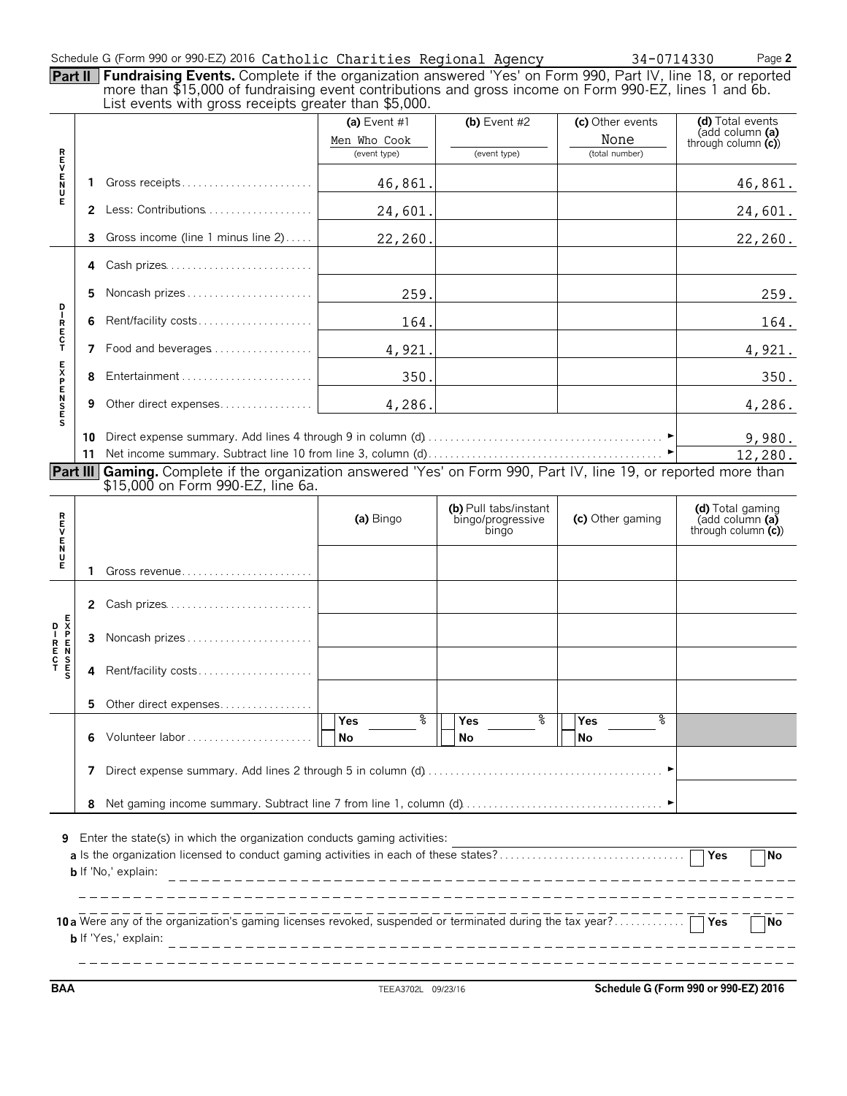#### Schedule G (Form 990 or 990-EZ) 2016 Catholic Charities Regional Agency 34-0714330 Page **2**

**Part II Fundraising Events.** Complete if the organization answered 'Yes' on Form 990, Part IV, line 18, or reported more than \$15,000 of fundraising event contributions and gross income on Form 990-EZ, lines 1 and 6b. List events with gross receipts greater than \$5,000.

|                                                                                                                          |                                   | List events with gross receipts greater than \$5,000.                                                                                                         |                                                |                                                     |                                            |                                                             |  |  |  |  |
|--------------------------------------------------------------------------------------------------------------------------|-----------------------------------|---------------------------------------------------------------------------------------------------------------------------------------------------------------|------------------------------------------------|-----------------------------------------------------|--------------------------------------------|-------------------------------------------------------------|--|--|--|--|
|                                                                                                                          |                                   |                                                                                                                                                               | (a) Event $#1$<br>Men Who Cook<br>(event type) | (b) Event $#2$<br>(event type)                      | (c) Other events<br>None<br>(total number) | (d) Total events<br>(add column (a)<br>through column $(c)$ |  |  |  |  |
|                                                                                                                          |                                   |                                                                                                                                                               |                                                |                                                     |                                            |                                                             |  |  |  |  |
| トロンドルス                                                                                                                   | 1                                 |                                                                                                                                                               | 46,861.                                        |                                                     |                                            | 46,861.                                                     |  |  |  |  |
|                                                                                                                          | 2                                 | Less: Contributions                                                                                                                                           | 24,601.                                        |                                                     |                                            | 24,601.                                                     |  |  |  |  |
|                                                                                                                          | 3                                 | Gross income (line 1 minus line 2)                                                                                                                            | 22,260.                                        |                                                     |                                            | 22,260.                                                     |  |  |  |  |
|                                                                                                                          | 4                                 | Cash prizes                                                                                                                                                   |                                                |                                                     |                                            |                                                             |  |  |  |  |
| D                                                                                                                        | 5.                                | Noncash prizes                                                                                                                                                | 259.                                           |                                                     |                                            | 259.                                                        |  |  |  |  |
| $\mathbf{I}$                                                                                                             | 6                                 | Rent/facility costs                                                                                                                                           | 164.                                           |                                                     |                                            | 164.                                                        |  |  |  |  |
| R<br>E<br>C<br>T                                                                                                         | 7                                 | Food and beverages                                                                                                                                            | 4,921.                                         |                                                     |                                            | 4,921.                                                      |  |  |  |  |
|                                                                                                                          | 8                                 |                                                                                                                                                               | 350.                                           |                                                     |                                            | 350.                                                        |  |  |  |  |
| <b>EXPENSES</b>                                                                                                          | 9                                 | Other direct expenses                                                                                                                                         | 4,286.                                         |                                                     |                                            | 4,286.                                                      |  |  |  |  |
|                                                                                                                          | 10                                |                                                                                                                                                               |                                                |                                                     |                                            | 9,980.                                                      |  |  |  |  |
|                                                                                                                          | 11                                |                                                                                                                                                               |                                                |                                                     |                                            | 12,280.                                                     |  |  |  |  |
|                                                                                                                          |                                   | <b>Part III Gaming.</b> Complete if the organization answered 'Yes' on Form 990, Part IV, line 19, or reported more than<br>\$15,000 on Form 990-EZ, line 6a. |                                                |                                                     |                                            |                                                             |  |  |  |  |
| <b>REVENDE</b>                                                                                                           |                                   |                                                                                                                                                               | (a) Bingo                                      | (b) Pull tabs/instant<br>bingo/progressive<br>bingo | (c) Other gaming                           | (d) Total gaming<br>(add column (a)<br>through column $(c)$ |  |  |  |  |
|                                                                                                                          |                                   | Gross revenue                                                                                                                                                 |                                                |                                                     |                                            |                                                             |  |  |  |  |
|                                                                                                                          |                                   | 2 Cash prizes                                                                                                                                                 |                                                |                                                     |                                            |                                                             |  |  |  |  |
|                                                                                                                          | 3                                 | Noncash prizes                                                                                                                                                |                                                |                                                     |                                            |                                                             |  |  |  |  |
|                                                                                                                          | 4                                 | Rent/facility costs                                                                                                                                           |                                                |                                                     |                                            |                                                             |  |  |  |  |
|                                                                                                                          |                                   | 5 Other direct expenses                                                                                                                                       |                                                |                                                     |                                            |                                                             |  |  |  |  |
|                                                                                                                          | 6                                 | Volunteer labor                                                                                                                                               | ०७<br>Yes<br>No                                | %<br>Yes<br>No                                      | %<br>Yes<br><b>No</b>                      |                                                             |  |  |  |  |
|                                                                                                                          | 7                                 |                                                                                                                                                               |                                                |                                                     |                                            |                                                             |  |  |  |  |
|                                                                                                                          | 8                                 |                                                                                                                                                               |                                                |                                                     |                                            |                                                             |  |  |  |  |
| Enter the state(s) in which the organization conducts gaming activities:<br>9<br><b>No</b><br><b>b</b> If 'No,' explain: |                                   |                                                                                                                                                               |                                                |                                                     |                                            |                                                             |  |  |  |  |
|                                                                                                                          | No<br><b>b</b> If 'Yes,' explain: |                                                                                                                                                               |                                                |                                                     |                                            |                                                             |  |  |  |  |

**BAA** TEEA3702L 09/23/16 **Schedule G (Form 990 or 990-EZ) 2016**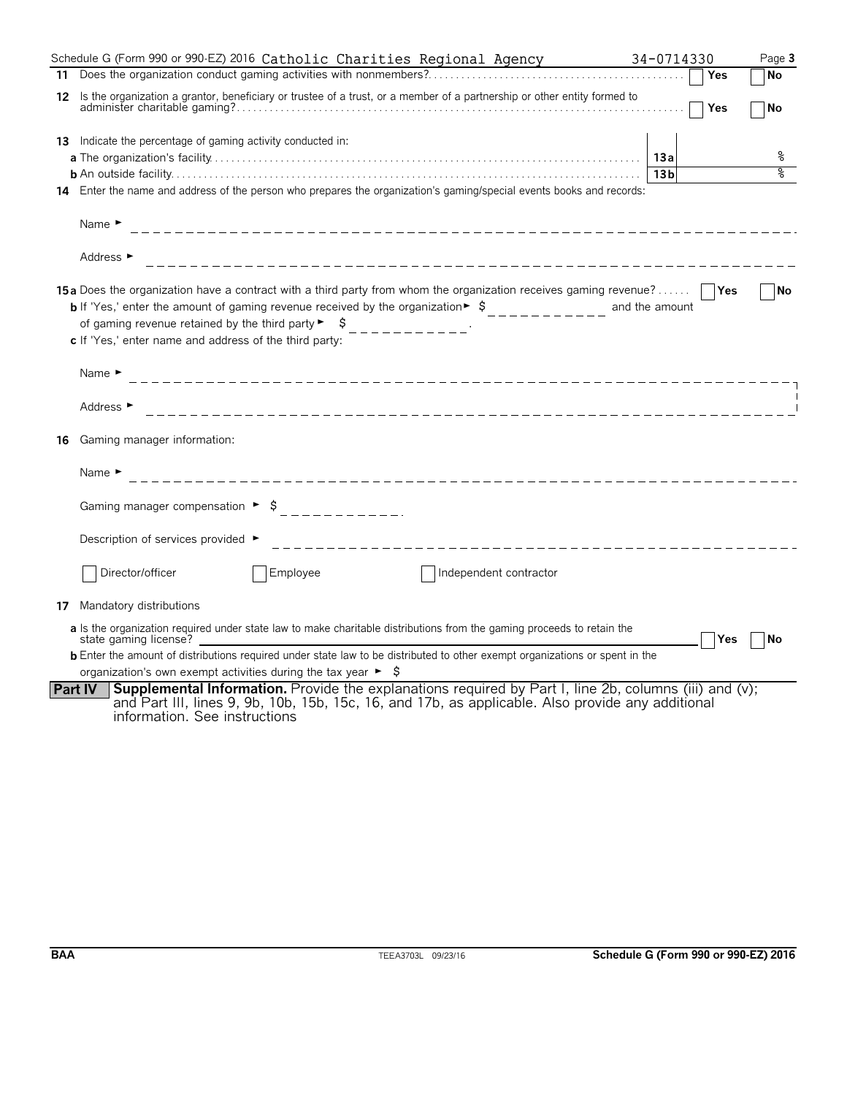|    | Schedule G (Form 990 or 990-EZ) 2016 Catholic Charities Regional Agency                                                                                                                                                                                                                                                                                                                                                                                                                                                                                     | 34-0714330      | Page 3    |
|----|-------------------------------------------------------------------------------------------------------------------------------------------------------------------------------------------------------------------------------------------------------------------------------------------------------------------------------------------------------------------------------------------------------------------------------------------------------------------------------------------------------------------------------------------------------------|-----------------|-----------|
|    |                                                                                                                                                                                                                                                                                                                                                                                                                                                                                                                                                             | Yes             | No        |
|    | 12 Is the organization a grantor, beneficiary or trustee of a trust, or a member of a partnership or other entity formed to                                                                                                                                                                                                                                                                                                                                                                                                                                 | Yes             | No        |
|    | <b>13</b> Indicate the percentage of gaming activity conducted in:                                                                                                                                                                                                                                                                                                                                                                                                                                                                                          |                 |           |
|    |                                                                                                                                                                                                                                                                                                                                                                                                                                                                                                                                                             | 13a             | ႜ         |
|    |                                                                                                                                                                                                                                                                                                                                                                                                                                                                                                                                                             | 13 <sub>b</sub> | ৡ         |
|    | 14 Enter the name and address of the person who prepares the organization's gaming/special events books and records:                                                                                                                                                                                                                                                                                                                                                                                                                                        |                 |           |
|    | Name $\blacktriangleright$                                                                                                                                                                                                                                                                                                                                                                                                                                                                                                                                  |                 |           |
|    | Address ►                                                                                                                                                                                                                                                                                                                                                                                                                                                                                                                                                   |                 |           |
|    | 15a Does the organization have a contract with a third party from whom the organization receives gaming revenue?<br><b>b</b> If 'Yes,' enter the amount of gaming revenue received by the organization $\frac{1}{2}$ $\frac{1}{2}$ = $\frac{1}{2}$ = $\frac{1}{2}$ = $\frac{1}{2}$ = $\frac{1}{2}$ = $\frac{1}{2}$ = $\frac{1}{2}$ = $\frac{1}{2}$ = $\frac{1}{2}$ = $\frac{1}{2}$ = $\frac{1}{2}$ =<br>of gaming revenue retained by the third party $\blacktriangleright$ $\blacktriangleright$<br>c If 'Yes,' enter name and address of the third party: | and the amount  | <b>No</b> |
|    | Name $\blacktriangleright$                                                                                                                                                                                                                                                                                                                                                                                                                                                                                                                                  |                 |           |
|    | Address ►                                                                                                                                                                                                                                                                                                                                                                                                                                                                                                                                                   |                 |           |
| 16 | Gaming manager information:                                                                                                                                                                                                                                                                                                                                                                                                                                                                                                                                 |                 |           |
|    | Name $\blacktriangleright$<br>___________________________________                                                                                                                                                                                                                                                                                                                                                                                                                                                                                           |                 |           |
|    | Gaming manager compensation $\triangleright$ $\uparrow$ $\cdot$                                                                                                                                                                                                                                                                                                                                                                                                                                                                                             |                 |           |
|    | Description of services provided ►<br>___________________________________                                                                                                                                                                                                                                                                                                                                                                                                                                                                                   |                 |           |
|    | Director/officer<br>Employee<br>Independent contractor                                                                                                                                                                                                                                                                                                                                                                                                                                                                                                      |                 |           |
| 17 | Mandatory distributions                                                                                                                                                                                                                                                                                                                                                                                                                                                                                                                                     |                 |           |
|    | a Is the organization required under state law to make charitable distributions from the gaming proceeds to retain the<br>state gaming license?                                                                                                                                                                                                                                                                                                                                                                                                             | Yes             | No        |
|    | <b>b</b> Enter the amount of distributions required under state law to be distributed to other exempt organizations or spent in the                                                                                                                                                                                                                                                                                                                                                                                                                         |                 |           |
|    | organization's own exempt activities during the tax year $\blacktriangleright$ $\blacklozenge$                                                                                                                                                                                                                                                                                                                                                                                                                                                              |                 |           |
|    | <b>Supplemental Information.</b> Provide the explanations required by Part I, line 2b, columns (iii) and (v);<br><b>Part IV</b><br>and Part III, lines 9, 9b, 10b, 15b, 15c, 16, and 17b, as applicable. Also provide any additional<br>information. See instructions                                                                                                                                                                                                                                                                                       |                 |           |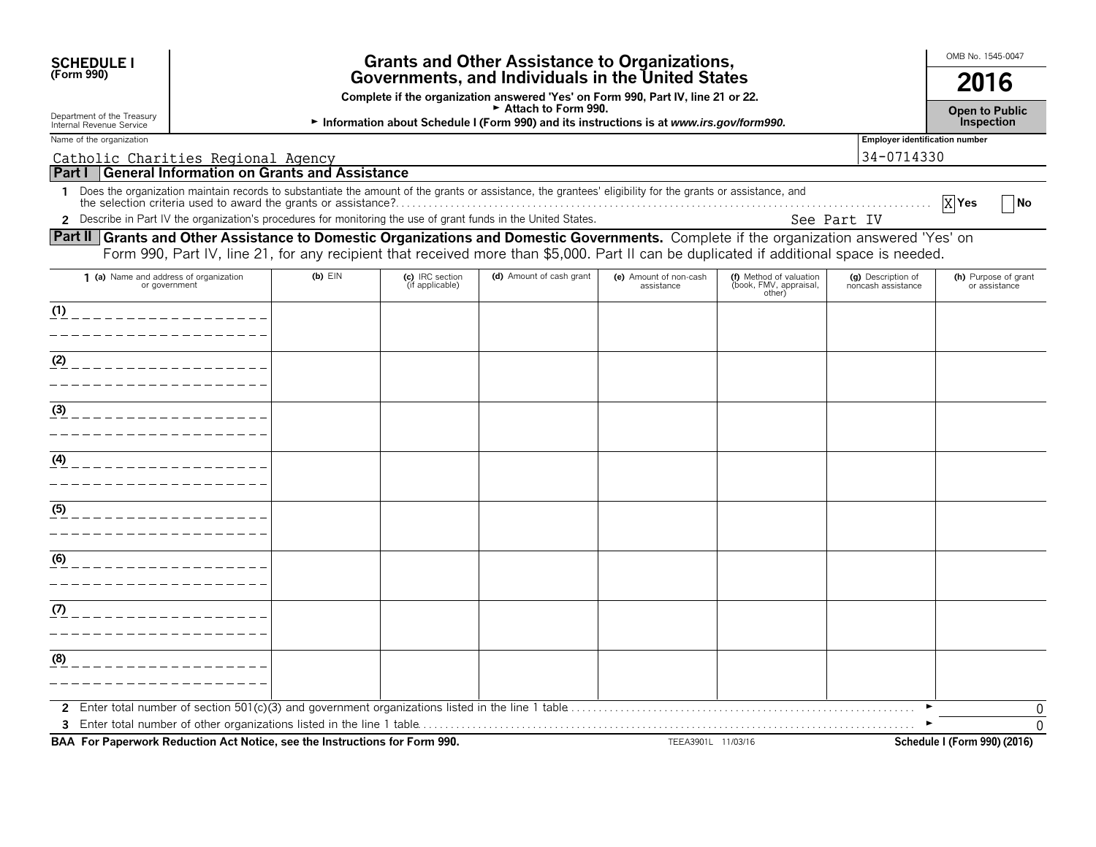| <b>SCHEDULE I</b>                                                                                                                             |              |                                    | <b>Grants and Other Assistance to Organizations,</b>                                                                                                       |                                      |                                                             |                                                     | OMB No. 1545-0047                     |
|-----------------------------------------------------------------------------------------------------------------------------------------------|--------------|------------------------------------|------------------------------------------------------------------------------------------------------------------------------------------------------------|--------------------------------------|-------------------------------------------------------------|-----------------------------------------------------|---------------------------------------|
| (Form 990)                                                                                                                                    |              |                                    | Governments, and Individuals in the United States                                                                                                          |                                      |                                                             |                                                     | 2016                                  |
| Department of the Treasury                                                                                                                    |              |                                    | Complete if the organization answered 'Yes' on Form 990, Part IV, line 21 or 22.<br>► Attach to Form 990.                                                  |                                      |                                                             |                                                     | <b>Open to Public</b>                 |
| Internal Revenue Service                                                                                                                      |              |                                    | Information about Schedule I (Form 990) and its instructions is at www.irs.gov/form990.                                                                    |                                      |                                                             |                                                     | Inspection                            |
| Name of the organization<br>Catholic Charities Regional Agency                                                                                |              |                                    |                                                                                                                                                            |                                      |                                                             | <b>Employer identification number</b><br>34-0714330 |                                       |
| <b>Part I</b> General Information on Grants and Assistance                                                                                    |              |                                    |                                                                                                                                                            |                                      |                                                             |                                                     |                                       |
| 1.                                                                                                                                            |              |                                    | Does the organization maintain records to substantiate the amount of the grants or assistance, the grantees' eligibility for the grants or assistance, and |                                      |                                                             |                                                     | X <sub>Yes</sub><br><b>No</b>         |
|                                                                                                                                               |              |                                    | 2 Describe in Part IV the organization's procedures for monitoring the use of grant funds in the United States.                                            |                                      |                                                             | See Part IV                                         |                                       |
| <b>Part II Grants and Other Assistance to Domestic Organizations and Domestic Governments.</b> Complete if the organization answered 'Yes' on |              |                                    | Form 990, Part IV, line 21, for any recipient that received more than \$5,000. Part II can be duplicated if additional space is needed.                    |                                      |                                                             |                                                     |                                       |
| 1 (a) Name and address of organization<br>or government                                                                                       | $(b)$ $E$ IN | (c) IRC section<br>(if applicable) | (d) Amount of cash grant                                                                                                                                   | (e) Amount of non-cash<br>assistance | (f) Method of valuation<br>(book, FMV, appraisal,<br>other) | (g) Description of<br>noncash assistance            | (h) Purpose of grant<br>or assistance |
| (1)                                                                                                                                           |              |                                    |                                                                                                                                                            |                                      |                                                             |                                                     |                                       |
|                                                                                                                                               |              |                                    |                                                                                                                                                            |                                      |                                                             |                                                     |                                       |
| (2)                                                                                                                                           |              |                                    |                                                                                                                                                            |                                      |                                                             |                                                     |                                       |
|                                                                                                                                               |              |                                    |                                                                                                                                                            |                                      |                                                             |                                                     |                                       |
| (3)                                                                                                                                           |              |                                    |                                                                                                                                                            |                                      |                                                             |                                                     |                                       |
|                                                                                                                                               |              |                                    |                                                                                                                                                            |                                      |                                                             |                                                     |                                       |
| (4)                                                                                                                                           |              |                                    |                                                                                                                                                            |                                      |                                                             |                                                     |                                       |
|                                                                                                                                               |              |                                    |                                                                                                                                                            |                                      |                                                             |                                                     |                                       |
| (5)                                                                                                                                           |              |                                    |                                                                                                                                                            |                                      |                                                             |                                                     |                                       |
|                                                                                                                                               |              |                                    |                                                                                                                                                            |                                      |                                                             |                                                     |                                       |
| (6)                                                                                                                                           |              |                                    |                                                                                                                                                            |                                      |                                                             |                                                     |                                       |
|                                                                                                                                               |              |                                    |                                                                                                                                                            |                                      |                                                             |                                                     |                                       |
| (7)                                                                                                                                           |              |                                    |                                                                                                                                                            |                                      |                                                             |                                                     |                                       |
|                                                                                                                                               |              |                                    |                                                                                                                                                            |                                      |                                                             |                                                     |                                       |
| (8)                                                                                                                                           |              |                                    |                                                                                                                                                            |                                      |                                                             |                                                     |                                       |
|                                                                                                                                               |              |                                    |                                                                                                                                                            |                                      |                                                             |                                                     |                                       |
|                                                                                                                                               |              |                                    |                                                                                                                                                            |                                      |                                                             |                                                     |                                       |
|                                                                                                                                               |              |                                    |                                                                                                                                                            |                                      |                                                             |                                                     |                                       |
| BAA For Paperwork Reduction Act Notice, see the Instructions for Form 990.                                                                    |              |                                    |                                                                                                                                                            | TEEA3901L 11/03/16                   |                                                             |                                                     | Schedule I (Form 990) (2016)          |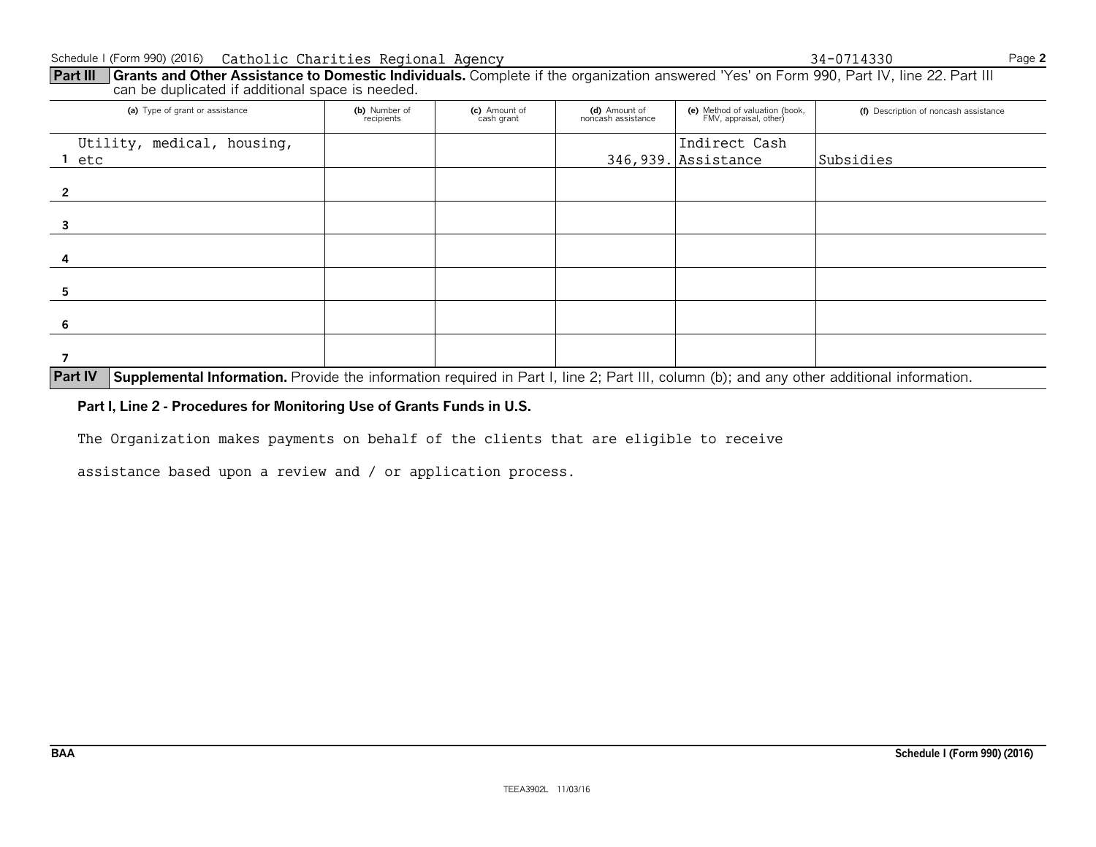**Part III** Grants and Other Assistance to Domestic Individuals. Complete if the organization answered 'Yes' on Form 990, Part IV, line 22. Part III can be duplicated if additional space is needed.

| (a) Type of grant or assistance                                                                                                                             | (b) Number of<br>recipients | (c) Amount of<br>cash grant | (d) Amount of<br>noncash assistance | (e) Method of valuation (book,<br>FMV, appraisal, other) | (f) Description of noncash assistance |
|-------------------------------------------------------------------------------------------------------------------------------------------------------------|-----------------------------|-----------------------------|-------------------------------------|----------------------------------------------------------|---------------------------------------|
| Utility, medical, housing,<br>etc                                                                                                                           |                             |                             |                                     | Indirect Cash<br>346, 939. Assistance                    | Subsidies                             |
|                                                                                                                                                             |                             |                             |                                     |                                                          |                                       |
|                                                                                                                                                             |                             |                             |                                     |                                                          |                                       |
|                                                                                                                                                             |                             |                             |                                     |                                                          |                                       |
| 5                                                                                                                                                           |                             |                             |                                     |                                                          |                                       |
| -6                                                                                                                                                          |                             |                             |                                     |                                                          |                                       |
|                                                                                                                                                             |                             |                             |                                     |                                                          |                                       |
| <b>Part IV</b><br>Supplemental Information. Provide the information required in Part I, line 2; Part III, column (b); and any other additional information. |                             |                             |                                     |                                                          |                                       |

#### **Part I, Line 2 - Procedures for Monitoring Use of Grants Funds in U.S.**

The Organization makes payments on behalf of the clients that are eligible to receive

assistance based upon a review and / or application process.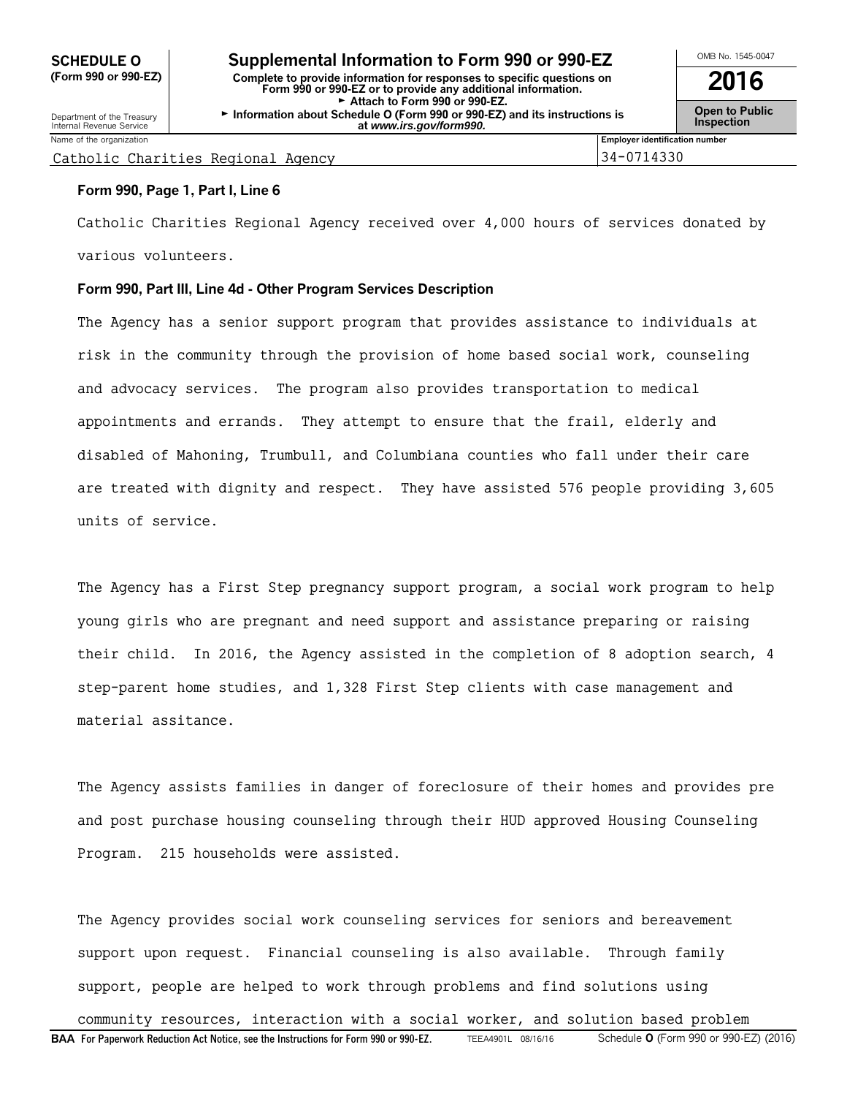Attach to Form 990 or 990-EZ. <sup>G</sup>**Open to Public** Department of the Treasury **Information about Schedule O (Form 990 or 990-EZ) and its instructions is** Internal Revenue Service **Inspection at** *www.irs.gov/form990.*

Name of the organization **Employer identification number Employer identification number** 

| Catholic Charities Regional Agency |  | $ 34 - 0714330$ |
|------------------------------------|--|-----------------|
|                                    |  |                 |

#### **Form 990, Page 1, Part I, Line 6**

Catholic Charities Regional Agency received over 4,000 hours of services donated by various volunteers.

### **Form 990, Part III, Line 4d - Other Program Services Description**

The Agency has a senior support program that provides assistance to individuals at risk in the community through the provision of home based social work, counseling and advocacy services. The program also provides transportation to medical appointments and errands. They attempt to ensure that the frail, elderly and disabled of Mahoning, Trumbull, and Columbiana counties who fall under their care are treated with dignity and respect. They have assisted 576 people providing 3,605 units of service.

The Agency has a First Step pregnancy support program, a social work program to help young girls who are pregnant and need support and assistance preparing or raising their child. In 2016, the Agency assisted in the completion of 8 adoption search, 4 step-parent home studies, and 1,328 First Step clients with case management and material assitance.

The Agency assists families in danger of foreclosure of their homes and provides pre and post purchase housing counseling through their HUD approved Housing Counseling Program. 215 households were assisted.

The Agency provides social work counseling services for seniors and bereavement support upon request. Financial counseling is also available. Through family support, people are helped to work through problems and find solutions using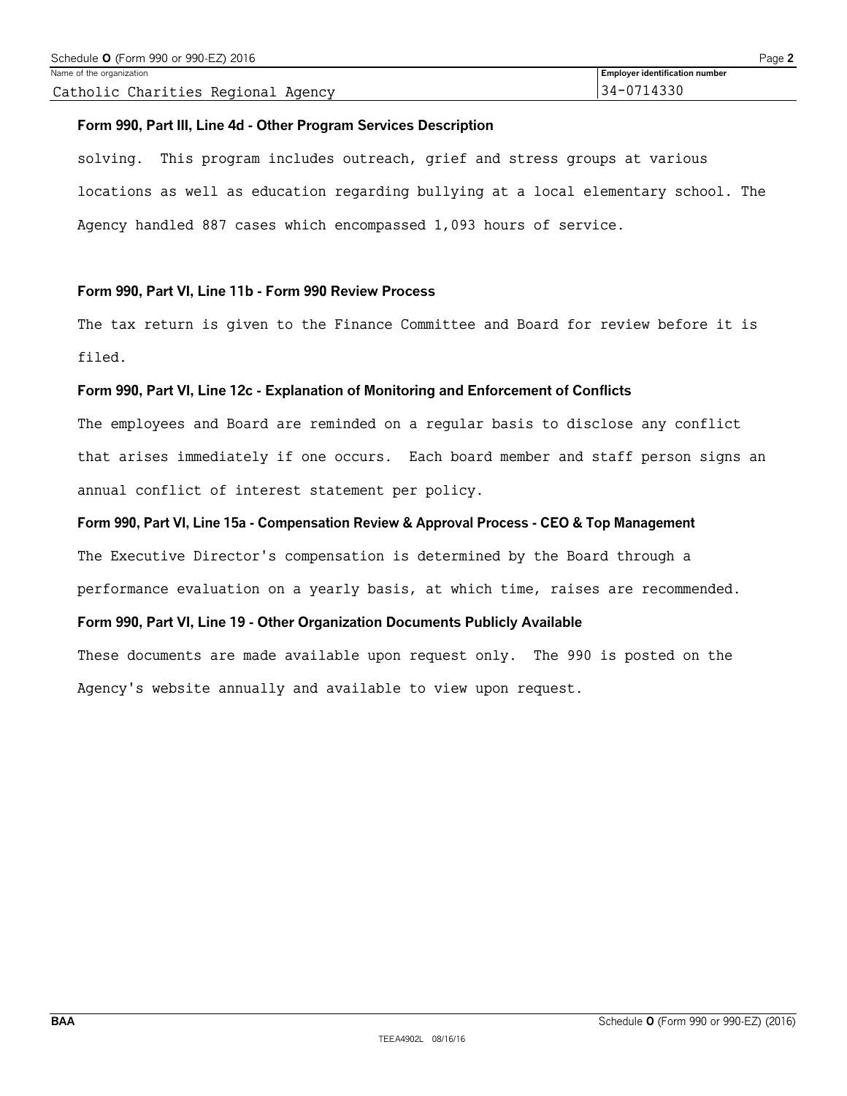#### **Form 990, Part III, Line 4d - Other Program Services Description**

solving. This program includes outreach, grief and stress groups at various locations as well as education regarding bullying at a local elementary school. The Agency handled 887 cases which encompassed 1,093 hours of service.

#### **Form 990, Part VI, Line 11b - Form 990 Review Process**

The tax return is given to the Finance Committee and Board for review before it is filed.

#### **Form 990, Part VI, Line 12c - Explanation of Monitoring and Enforcement of Conflicts**

The employees and Board are reminded on a regular basis to disclose any conflict that arises immediately if one occurs. Each board member and staff person signs an annual conflict of interest statement per policy.

#### **Form 990, Part VI, Line 15a - Compensation Review & Approval Process - CEO & Top Management**

The Executive Director's compensation is determined by the Board through a performance evaluation on a yearly basis, at which time, raises are recommended.

#### **Form 990, Part VI, Line 19 - Other Organization Documents Publicly Available**

These documents are made available upon request only. The 990 is posted on the Agency's website annually and available to view upon request.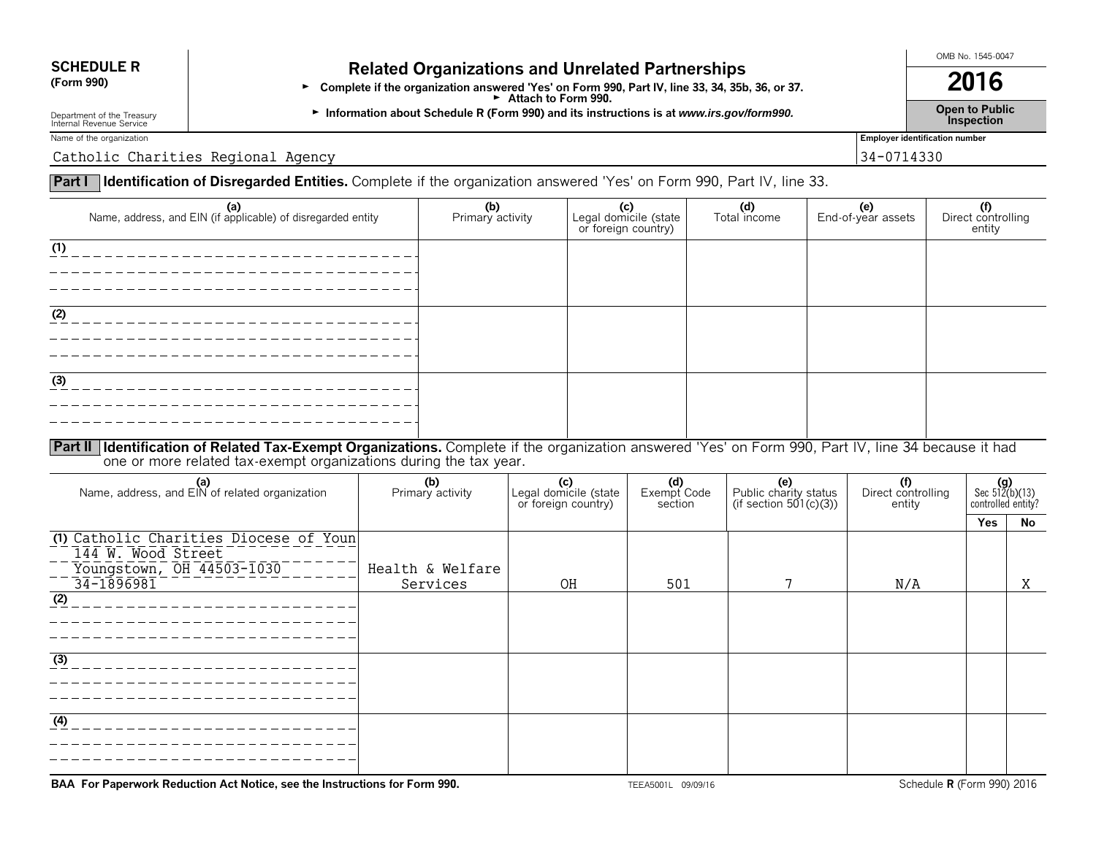# **SCHEDULE R Related Organizations and Unrelated Partnerships**<br>(Form 990) **Related Organizations and Unrelated Partnerships**

**Exercice of gamizations and om clated Tartificisings**<br>**■** Complete if the organization answered 'Yes' on Form 990, Part IV, line 33, 34, 35b, 36, or 37. ■ Attach to Form 990.

G **Open to Public** Department of the Treasury **Information about Schedule R (Form 990) and its instructions is at** *www.irs.gov/form990.* Internal Revenue Service **Inspection**

Catholic Charities Regional Agency 34-0714330

### **Part I Identification of Disregarded Entities.** Complete if the organization answered 'Yes' on Form 990, Part IV, line 33.

| (a)<br>Name, address, and EIN (if applicable) of disregarded entity                                                                                        | (b)<br>Primary activity | $\begin{array}{c} \textbf{(c)} \\ \text{Legal domicile (state)} \end{array}$<br>or foreign country) | (d)<br>Total income | (e)<br>End-of-year assets | (f)<br>Direct controlling<br>entity |
|------------------------------------------------------------------------------------------------------------------------------------------------------------|-------------------------|-----------------------------------------------------------------------------------------------------|---------------------|---------------------------|-------------------------------------|
| (1)                                                                                                                                                        |                         |                                                                                                     |                     |                           |                                     |
|                                                                                                                                                            |                         |                                                                                                     |                     |                           |                                     |
|                                                                                                                                                            |                         |                                                                                                     |                     |                           |                                     |
|                                                                                                                                                            |                         |                                                                                                     |                     |                           |                                     |
| (2)                                                                                                                                                        |                         |                                                                                                     |                     |                           |                                     |
|                                                                                                                                                            |                         |                                                                                                     |                     |                           |                                     |
|                                                                                                                                                            |                         |                                                                                                     |                     |                           |                                     |
|                                                                                                                                                            |                         |                                                                                                     |                     |                           |                                     |
|                                                                                                                                                            |                         |                                                                                                     |                     |                           |                                     |
| (3)                                                                                                                                                        |                         |                                                                                                     |                     |                           |                                     |
|                                                                                                                                                            |                         |                                                                                                     |                     |                           |                                     |
|                                                                                                                                                            |                         |                                                                                                     |                     |                           |                                     |
|                                                                                                                                                            |                         |                                                                                                     |                     |                           |                                     |
| <b>Part II Identification of Pelated Tay-Evempt Organizations</b> Complete if the organization answered 'Yes' on Form 990, Part IV, Jine 34 because it had |                         |                                                                                                     |                     |                           |                                     |

**Part II Identification of Related Tax-Exempt Organizations.** Complete if the organization answered 'Yes' on Form 990, Part IV, line 34 because it had one or more related tax-exempt organizations during the tax year.

| (a)<br>Name, address, and EIN of related organization                                     | (b)<br>Primary activity | (c)<br>Legal domicile (state<br>or foreign country) | (d)<br>Exempt Code<br>section | (e)<br>Public charity status<br>(if section $501(c)(3)$ ) | (f)<br>Direct controlling<br>entity | $(g)$<br>Sec 512(b)(13)<br>controlled entity? |    |
|-------------------------------------------------------------------------------------------|-------------------------|-----------------------------------------------------|-------------------------------|-----------------------------------------------------------|-------------------------------------|-----------------------------------------------|----|
|                                                                                           |                         |                                                     |                               |                                                           |                                     | <b>Yes</b>                                    | No |
| (1) Catholic Charities Diocese of Youn<br>144 W. Wood Street<br>Youngstown, OH 44503-1030 | Health & Welfare        |                                                     |                               |                                                           |                                     |                                               |    |
| 34-1896981                                                                                | Services                | OH                                                  | 501                           |                                                           | N/A                                 |                                               | Χ  |
| (2)                                                                                       |                         |                                                     |                               |                                                           |                                     |                                               |    |
| (3)                                                                                       |                         |                                                     |                               |                                                           |                                     |                                               |    |
| (4)                                                                                       |                         |                                                     |                               |                                                           |                                     |                                               |    |

**BAA For Paperwork Reduction Act Notice, see the Instructions for Form 990.** TEEA5001L 09/09/16 Schedule **R** (Form 990) 2016

OMB No. 1545-0047

Name of the organization **Employer identification number**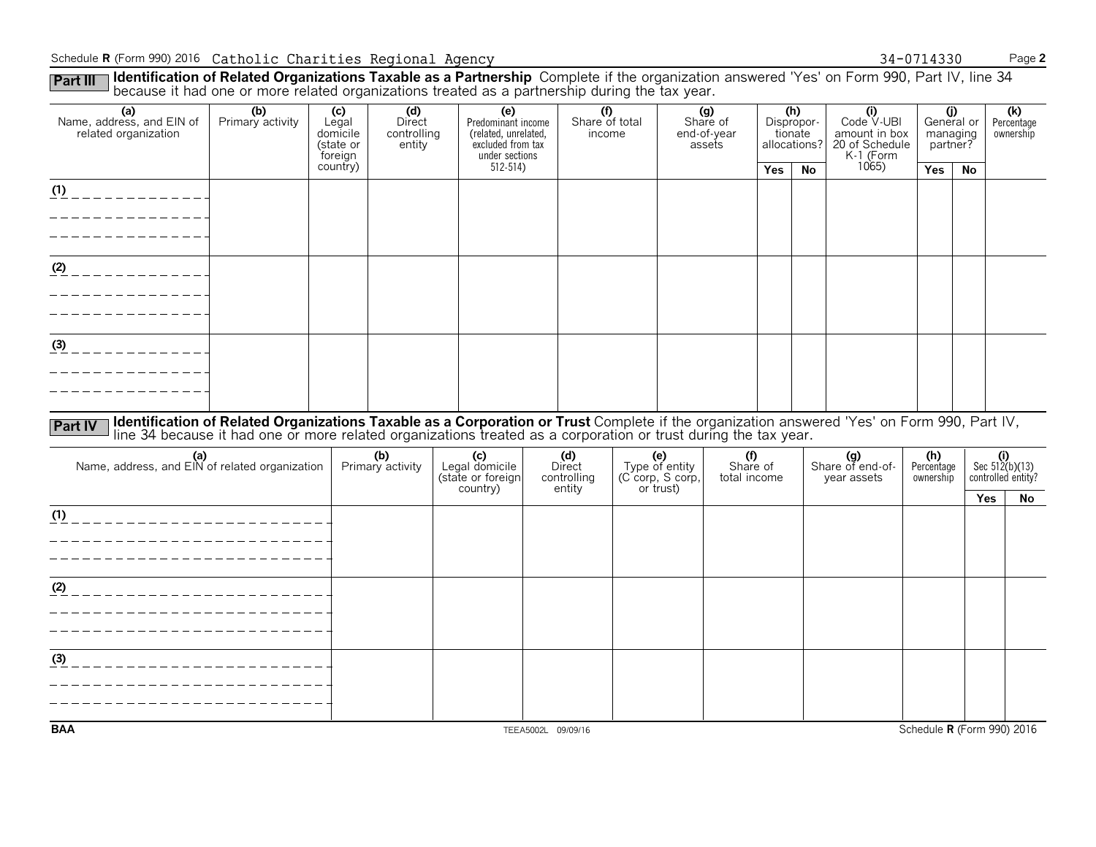#### Schedule **R** (Form 990) 2016 Page **2** Catholic Charities Regional Agency 34-0714330

Part III Identification of Related Organizations Taxable as a Partnership Complete if the organization answered 'Yes' on Form 990, Part IV, line 34<br>because it had one or more related organizations treated as a partnership

| (a)<br>Name, address, and EIN of<br>related organization | (b)<br>Primary activity                                                                                                                                                                                                       | (c)<br>Legal<br>domicile<br>(state or<br>foreign | (d)<br>Direct<br>controlling<br>entity | (e)<br>Predominant income<br>(related, unrelated,<br>excluded from tax<br>under sections | $\overline{(\text{f})}$<br>Share of total<br>income |                                           | (g)<br>Share of<br>end-of-year<br>assets |     | (h)<br>Dispropor-<br>tionate<br>allocations? | (i)<br>Code V-UBI<br>amount in box<br>20 of Schedule<br>K-1 (Form<br>1065) | managing<br>partner? | (j)<br>General or | (k)<br>Percentage<br>ownership |
|----------------------------------------------------------|-------------------------------------------------------------------------------------------------------------------------------------------------------------------------------------------------------------------------------|--------------------------------------------------|----------------------------------------|------------------------------------------------------------------------------------------|-----------------------------------------------------|-------------------------------------------|------------------------------------------|-----|----------------------------------------------|----------------------------------------------------------------------------|----------------------|-------------------|--------------------------------|
|                                                          |                                                                                                                                                                                                                               | country)                                         |                                        | $512 - 514$                                                                              |                                                     |                                           |                                          | Yes | <b>No</b>                                    |                                                                            | Yes                  | No                |                                |
| (1)<br>$- - - - - - - - - -$                             |                                                                                                                                                                                                                               |                                                  |                                        |                                                                                          |                                                     |                                           |                                          |     |                                              |                                                                            |                      |                   |                                |
|                                                          |                                                                                                                                                                                                                               |                                                  |                                        |                                                                                          |                                                     |                                           |                                          |     |                                              |                                                                            |                      |                   |                                |
|                                                          |                                                                                                                                                                                                                               |                                                  |                                        |                                                                                          |                                                     |                                           |                                          |     |                                              |                                                                            |                      |                   |                                |
| $\frac{(2)}{2}$ - - - - - - - - - - - -                  |                                                                                                                                                                                                                               |                                                  |                                        |                                                                                          |                                                     |                                           |                                          |     |                                              |                                                                            |                      |                   |                                |
|                                                          |                                                                                                                                                                                                                               |                                                  |                                        |                                                                                          |                                                     |                                           |                                          |     |                                              |                                                                            |                      |                   |                                |
|                                                          |                                                                                                                                                                                                                               |                                                  |                                        |                                                                                          |                                                     |                                           |                                          |     |                                              |                                                                            |                      |                   |                                |
|                                                          |                                                                                                                                                                                                                               |                                                  |                                        |                                                                                          |                                                     |                                           |                                          |     |                                              |                                                                            |                      |                   |                                |
| (3)                                                      |                                                                                                                                                                                                                               |                                                  |                                        |                                                                                          |                                                     |                                           |                                          |     |                                              |                                                                            |                      |                   |                                |
|                                                          |                                                                                                                                                                                                                               |                                                  |                                        |                                                                                          |                                                     |                                           |                                          |     |                                              |                                                                            |                      |                   |                                |
|                                                          |                                                                                                                                                                                                                               |                                                  |                                        |                                                                                          |                                                     |                                           |                                          |     |                                              |                                                                            |                      |                   |                                |
| <b>Part IV</b>                                           |                                                                                                                                                                                                                               |                                                  |                                        |                                                                                          |                                                     |                                           |                                          |     |                                              |                                                                            |                      |                   |                                |
|                                                          | Identification of Related Organizations Taxable as a Corporation or Trust Complete if the organization answered 'Yes' on Form 990, Part IV, line 34 because it had one or more related organizations treated as a corporation |                                                  |                                        |                                                                                          |                                                     |                                           |                                          |     |                                              |                                                                            |                      |                   |                                |
| (a)<br>Name, address, and EIN of related organization    |                                                                                                                                                                                                                               |                                                  | (b)<br>Primary activity                | (c)<br>Legal domicile                                                                    | (d)<br>Direct                                       | (e)<br>Type of entity<br>(C corp, S corp, | (f)<br>Share of                          |     |                                              | (g)<br>Share of end-of-                                                    | (h)<br>Percentage    |                   | (i)<br>Sec $5!2(b)(13)$        |
|                                                          |                                                                                                                                                                                                                               |                                                  |                                        | (state or foreign<br>country)                                                            | controlling<br>entity                               | or trust)                                 | total income                             |     |                                              | year assets                                                                | ownership            |                   | controlled entity?             |
| (1)                                                      |                                                                                                                                                                                                                               |                                                  |                                        |                                                                                          |                                                     |                                           |                                          |     |                                              |                                                                            |                      |                   | Yes<br>No                      |
| ______________________                                   |                                                                                                                                                                                                                               |                                                  |                                        |                                                                                          |                                                     |                                           |                                          |     |                                              |                                                                            |                      |                   |                                |
|                                                          |                                                                                                                                                                                                                               |                                                  |                                        |                                                                                          |                                                     |                                           |                                          |     |                                              |                                                                            |                      |                   |                                |
|                                                          |                                                                                                                                                                                                                               |                                                  |                                        |                                                                                          |                                                     |                                           |                                          |     |                                              |                                                                            |                      |                   |                                |
| (2)                                                      |                                                                                                                                                                                                                               |                                                  |                                        |                                                                                          |                                                     |                                           |                                          |     |                                              |                                                                            |                      |                   |                                |
|                                                          |                                                                                                                                                                                                                               |                                                  |                                        |                                                                                          |                                                     |                                           |                                          |     |                                              |                                                                            |                      |                   |                                |
|                                                          |                                                                                                                                                                                                                               |                                                  |                                        |                                                                                          |                                                     |                                           |                                          |     |                                              |                                                                            |                      |                   |                                |
| (3)<br>______________________                            |                                                                                                                                                                                                                               |                                                  |                                        |                                                                                          |                                                     |                                           |                                          |     |                                              |                                                                            |                      |                   |                                |
|                                                          |                                                                                                                                                                                                                               |                                                  |                                        |                                                                                          |                                                     |                                           |                                          |     |                                              |                                                                            |                      |                   |                                |
|                                                          |                                                                                                                                                                                                                               |                                                  |                                        |                                                                                          |                                                     |                                           |                                          |     |                                              |                                                                            |                      |                   |                                |
| <b>BAA</b>                                               |                                                                                                                                                                                                                               |                                                  |                                        |                                                                                          | TEEA5002L 09/09/16                                  |                                           |                                          |     |                                              |                                                                            |                      |                   | Schedule R (Form 990) 2016     |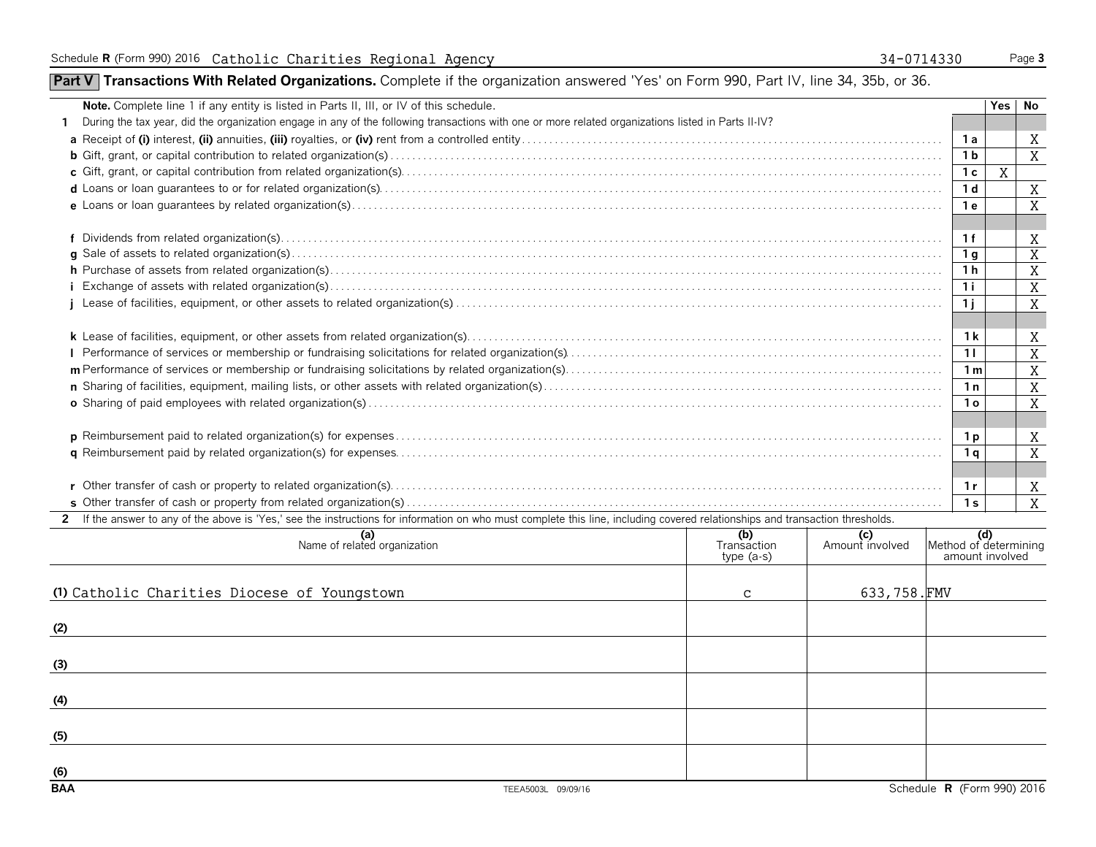# **Part V** Transactions With Related Organizations. Complete if the organization answered 'Yes' on Form 990, Part IV, line 34, 35b, or 36.

| <b>Note.</b> Complete line 1 if any entity is listed in Parts II, III, or IV of this schedule.                                                                                 |                                                                  |                        |                                        | Yes | No          |
|--------------------------------------------------------------------------------------------------------------------------------------------------------------------------------|------------------------------------------------------------------|------------------------|----------------------------------------|-----|-------------|
| During the tax year, did the organization engage in any of the following transactions with one or more related organizations listed in Parts II-IV?                            |                                                                  |                        |                                        |     |             |
|                                                                                                                                                                                |                                                                  |                        | - 1 a                                  |     | Χ           |
|                                                                                                                                                                                |                                                                  |                        | 1 <sub>b</sub>                         |     | X           |
|                                                                                                                                                                                |                                                                  |                        | 1 <sup>c</sup>                         | X   |             |
|                                                                                                                                                                                |                                                                  |                        | 1 <sub>d</sub>                         |     | X           |
|                                                                                                                                                                                |                                                                  |                        | 1 е                                    |     | X           |
|                                                                                                                                                                                |                                                                  |                        |                                        |     |             |
|                                                                                                                                                                                |                                                                  |                        | 1f                                     |     | X           |
|                                                                                                                                                                                |                                                                  |                        | 1 g                                    |     | X           |
|                                                                                                                                                                                |                                                                  |                        | 1 h                                    |     | $\mathbf X$ |
|                                                                                                                                                                                |                                                                  |                        | 1i                                     |     | X           |
|                                                                                                                                                                                |                                                                  |                        | 11                                     |     | X           |
|                                                                                                                                                                                |                                                                  |                        |                                        |     |             |
|                                                                                                                                                                                |                                                                  |                        | 1 k                                    |     | X           |
|                                                                                                                                                                                |                                                                  |                        | 11                                     |     | X           |
|                                                                                                                                                                                |                                                                  |                        | 1 <sub>m</sub>                         |     | X           |
|                                                                                                                                                                                |                                                                  |                        | 1n                                     |     | X           |
|                                                                                                                                                                                |                                                                  |                        | 1 <sub>o</sub>                         |     | X           |
|                                                                                                                                                                                |                                                                  |                        |                                        |     |             |
|                                                                                                                                                                                |                                                                  |                        | 1p                                     |     | X           |
|                                                                                                                                                                                |                                                                  |                        | 1 <sub>q</sub>                         |     | X           |
|                                                                                                                                                                                |                                                                  |                        |                                        |     |             |
|                                                                                                                                                                                |                                                                  |                        | 1r                                     |     | X           |
|                                                                                                                                                                                |                                                                  |                        | 1 <sub>s</sub>                         |     | X           |
| 2 If the answer to any of the above is 'Yes,' see the instructions for information on who must complete this line, including covered relationships and transaction thresholds. |                                                                  |                        |                                        |     |             |
| (a)<br>Name of related organization                                                                                                                                            | (b)<br>Transaction<br>$\mathbf{L}$ and $\mathbf{L}$ $\mathbf{L}$ | (c)<br>Amount involved | $\left  \right $ Method of determining |     |             |

| Name of related organization                 |                    | Transaction<br>type (a-s) | Amount involved | Method of determining<br>amount involved |
|----------------------------------------------|--------------------|---------------------------|-----------------|------------------------------------------|
| (1) Catholic Charities Diocese of Youngstown |                    | $\mathsf{C}$              | 633, 758.FMV    |                                          |
| (2)                                          |                    |                           |                 |                                          |
| (3)                                          |                    |                           |                 |                                          |
| (4)                                          |                    |                           |                 |                                          |
| (5)                                          |                    |                           |                 |                                          |
| (6)                                          |                    |                           |                 |                                          |
| <b>BAA</b>                                   | TEEA5003L 09/09/16 |                           |                 | Schedule R (Form 990) 2016               |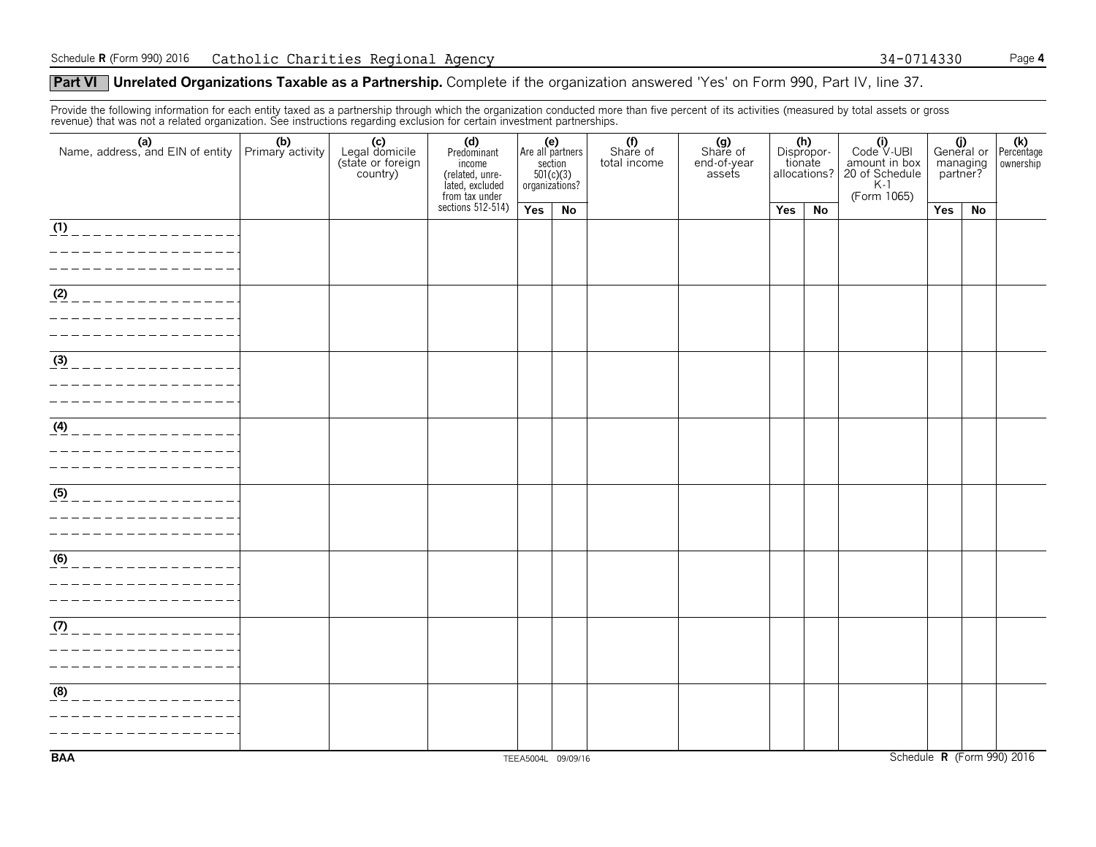#### **Part VI** Unrelated Organizations Taxable as a Partnership. Complete if the organization answered 'Yes' on Form 990, Part IV, line 37.

Provide the following information for each entity taxed as a partnership through which the organization conducted more than five percent of its activities (measured by total assets or gross revenue) that was not a related organization. See instructions regarding exclusion for certain investment partnerships.

| (a) (b)<br>Name, address, and EIN of entity Primary activity                                                                | (c)<br>Legal domicile<br>(state or foreign<br>country) | (d)<br>Predominant<br>income<br>(related, unre-<br>lated, excluded<br>from tax under |                    | (e)<br>Are all partners<br>section<br>501(c)(3)<br>organizations? | (f)<br>Share of<br>total income | (g)<br>Share of<br>end-of-year<br>assets |            | (h)<br>Dispropor-<br>tionate<br>allocations? | $\begin{array}{c} \textbf{(i)} \\ \text{Code V-UBI} \\ \text{amount in box} \\ \text{20 of Schedule} \\ \text{K-1.} \\ \text{C} \end{array}$<br>(Form 1065) | managing<br>partner? |    | General or Percentage<br>ownership |
|-----------------------------------------------------------------------------------------------------------------------------|--------------------------------------------------------|--------------------------------------------------------------------------------------|--------------------|-------------------------------------------------------------------|---------------------------------|------------------------------------------|------------|----------------------------------------------|-------------------------------------------------------------------------------------------------------------------------------------------------------------|----------------------|----|------------------------------------|
|                                                                                                                             |                                                        | sections $512-514$ )                                                                 | Yes                | No                                                                |                                 |                                          | <b>Yes</b> | No                                           |                                                                                                                                                             | Yes                  | No |                                    |
| (1)<br>. _ _ _ _ _ _ _ _ _ _ _ _ _ _ .                                                                                      |                                                        |                                                                                      |                    |                                                                   |                                 |                                          |            |                                              |                                                                                                                                                             |                      |    |                                    |
| $\sqrt{(2)}$<br>______________                                                                                              |                                                        |                                                                                      |                    |                                                                   |                                 |                                          |            |                                              |                                                                                                                                                             |                      |    |                                    |
| $\frac{(3)}{2}$<br>. _ _ _ _ _ _ _ _ _ _ _ _ _ _                                                                            |                                                        |                                                                                      |                    |                                                                   |                                 |                                          |            |                                              |                                                                                                                                                             |                      |    |                                    |
| $(4)$ _ _ _ _ _ _ _ _ _ _ _ _ _ _ _ _                                                                                       |                                                        |                                                                                      |                    |                                                                   |                                 |                                          |            |                                              |                                                                                                                                                             |                      |    |                                    |
| $\underline{(5)}$ _ _ _ _ _ _ _ _ _ _ _ _ _ _ _ _<br>_ _ _ _ _ _ _ _ _ _ _ _ _ _ _ _ _<br>_ _ _ _ _ _ _ _ _ _ _ _ _ _ _ _ _ |                                                        |                                                                                      |                    |                                                                   |                                 |                                          |            |                                              |                                                                                                                                                             |                      |    |                                    |
| <u>___________________</u>                                                                                                  |                                                        |                                                                                      |                    |                                                                   |                                 |                                          |            |                                              |                                                                                                                                                             |                      |    |                                    |
| (7)<br>_<br>_______________                                                                                                 |                                                        |                                                                                      |                    |                                                                   |                                 |                                          |            |                                              |                                                                                                                                                             |                      |    |                                    |
| (8)<br>____________                                                                                                         |                                                        |                                                                                      |                    |                                                                   |                                 |                                          |            |                                              |                                                                                                                                                             |                      |    |                                    |
| <b>BAA</b>                                                                                                                  |                                                        |                                                                                      | TEEA5004L 09/09/16 |                                                                   |                                 |                                          |            |                                              |                                                                                                                                                             |                      |    | Schedule R (Form 990) 2016         |